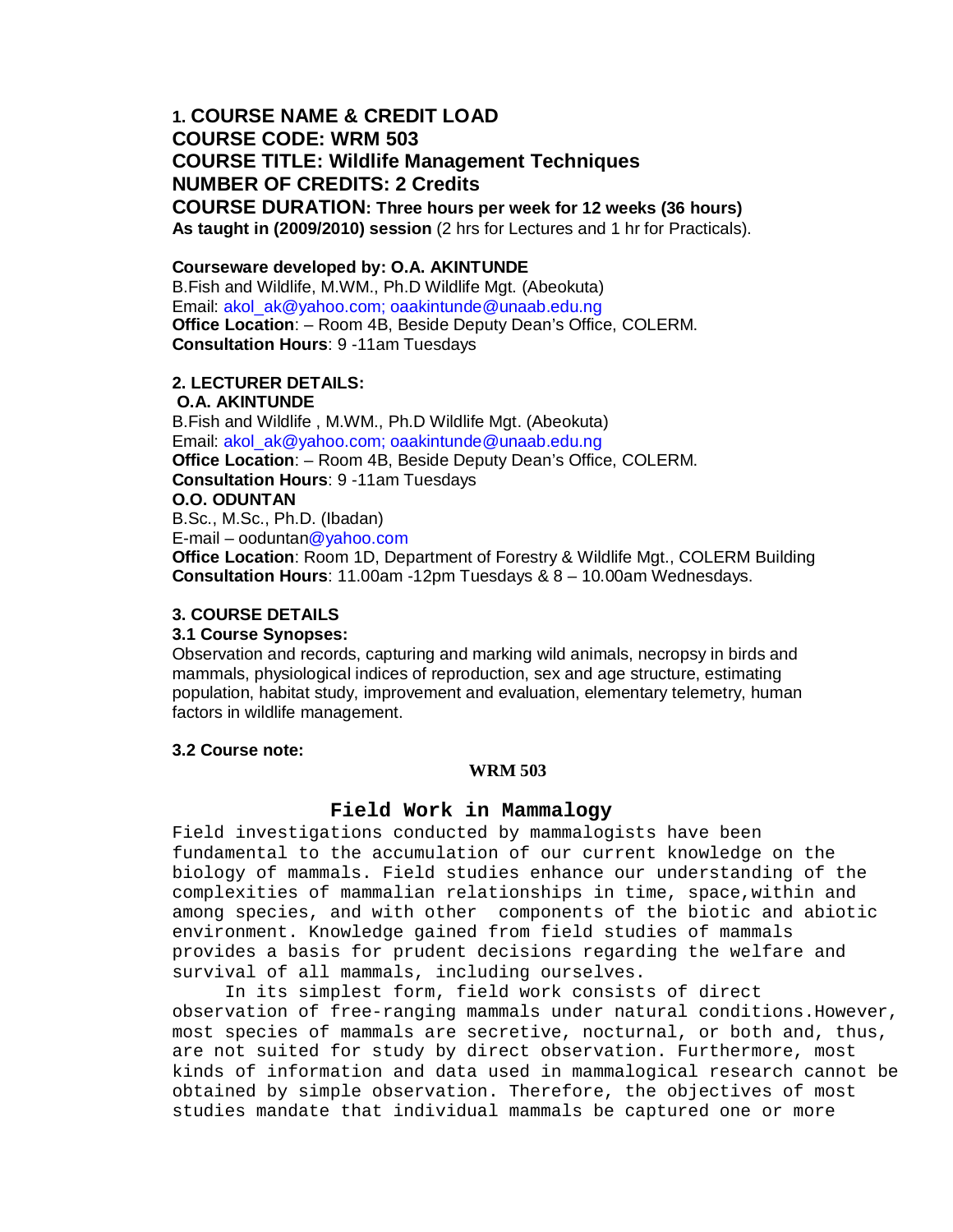# **1. COURSE NAME & CREDIT LOAD COURSE CODE: WRM 503 COURSE TITLE: Wildlife Management Techniques NUMBER OF CREDITS: 2 Credits COURSE DURATION: Three hours per week for 12 weeks (36 hours) As taught in (2009/2010) session** (2 hrs for Lectures and 1 hr for Practicals).

## **Courseware developed by: O.A. AKINTUNDE**

B.Fish and Wildlife, M.WM., Ph.D Wildlife Mgt. (Abeokuta) Email: akol\_ak@yahoo.com; oaakintunde@unaab.edu.ng **Office Location**: – Room 4B, Beside Deputy Dean's Office, COLERM. **Consultation Hours**: 9 -11am Tuesdays

## **2. LECTURER DETAILS:**

### **O.A. AKINTUNDE**

B.Fish and Wildlife , M.WM., Ph.D Wildlife Mgt. (Abeokuta) Email: akol\_ak@yahoo.com; oaakintunde@unaab.edu.ng **Office Location**: – Room 4B, Beside Deputy Dean's Office, COLERM. **Consultation Hours**: 9 -11am Tuesdays

## **O.O. ODUNTAN**

B.Sc., M.Sc., Ph.D. (Ibadan)

E-mail – ooduntan@yahoo.com

**Office Location**: Room 1D, Department of Forestry & Wildlife Mgt., COLERM Building **Consultation Hours**: 11.00am -12pm Tuesdays & 8 – 10.00am Wednesdays.

## **3. COURSE DETAILS**

## **3.1 Course Synopses:**

Observation and records, capturing and marking wild animals, necropsy in birds and mammals, physiological indices of reproduction, sex and age structure, estimating population, habitat study, improvement and evaluation, elementary telemetry, human factors in wildlife management.

## **3.2 Course note:**

## **WRM 503**

## **Field Work in Mammalogy**

Field investigations conducted by mammalogists have been fundamental to the accumulation of our current knowledge on the biology of mammals. Field studies enhance our understanding of the complexities of mammalian relationships in time, space,within and among species, and with other components of the biotic and abiotic environment. Knowledge gained from field studies of mammals provides a basis for prudent decisions regarding the welfare and survival of all mammals, including ourselves.

In its simplest form, field work consists of direct observation of free-ranging mammals under natural conditions.However, most species of mammals are secretive, nocturnal, or both and, thus, are not suited for study by direct observation. Furthermore, most kinds of information and data used in mammalogical research cannot be obtained by simple observation. Therefore, the objectives of most studies mandate that individual mammals be captured one or more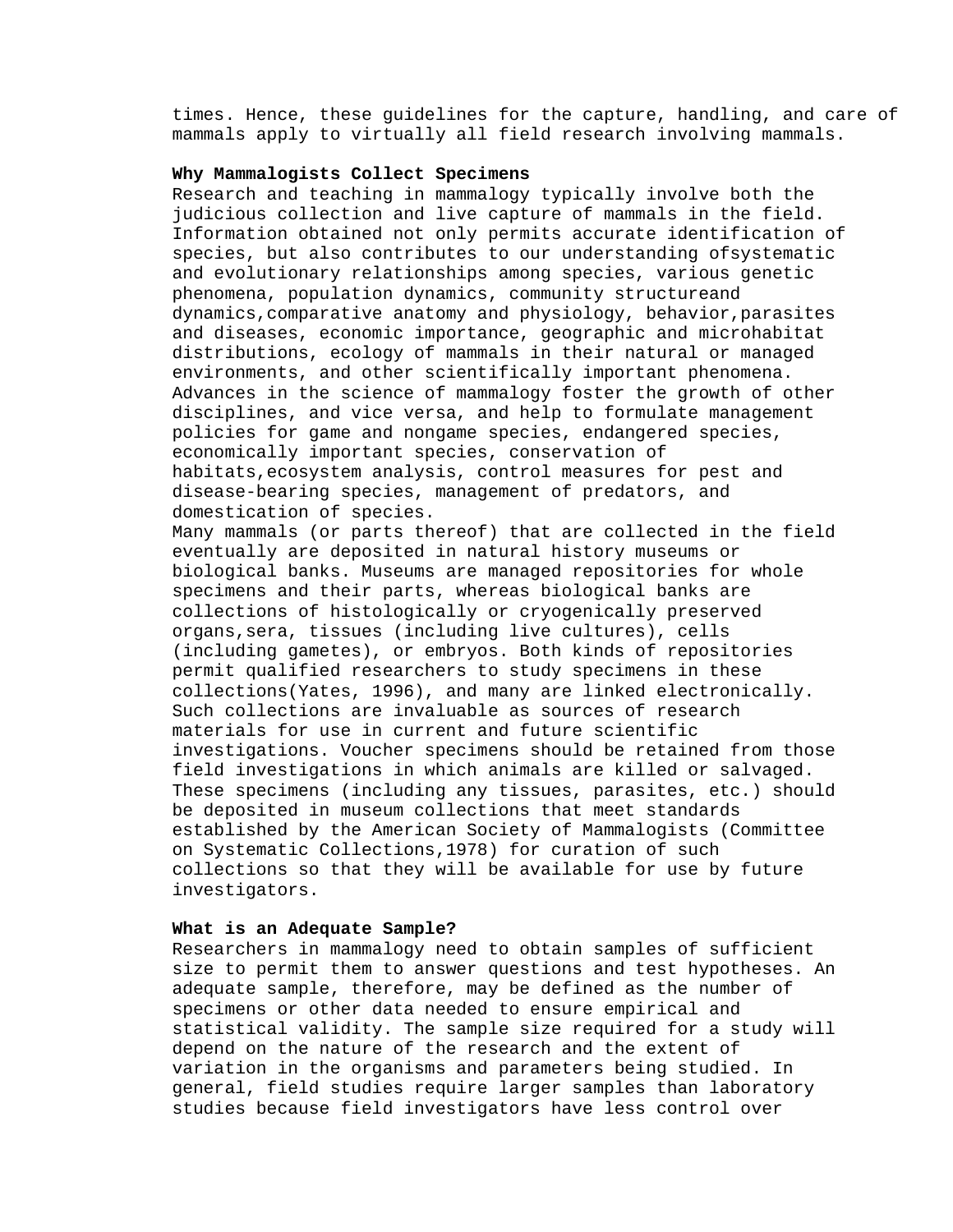times. Hence, these guidelines for the capture, handling, and care of mammals apply to virtually all field research involving mammals.

#### **Why Mammalogists Collect Specimens**

Research and teaching in mammalogy typically involve both the judicious collection and live capture of mammals in the field. Information obtained not only permits accurate identification of species, but also contributes to our understanding ofsystematic and evolutionary relationships among species, various genetic phenomena, population dynamics, community structureand dynamics,comparative anatomy and physiology, behavior,parasites and diseases, economic importance, geographic and microhabitat distributions, ecology of mammals in their natural or managed environments, and other scientifically important phenomena. Advances in the science of mammalogy foster the growth of other disciplines, and vice versa, and help to formulate management policies for game and nongame species, endangered species, economically important species, conservation of habitats,ecosystem analysis, control measures for pest and disease-bearing species, management of predators, and domestication of species.

Many mammals (or parts thereof) that are collected in the field eventually are deposited in natural history museums or biological banks. Museums are managed repositories for whole specimens and their parts, whereas biological banks are collections of histologically or cryogenically preserved organs,sera, tissues (including live cultures), cells (including gametes), or embryos. Both kinds of repositories permit qualified researchers to study specimens in these collections(Yates, 1996), and many are linked electronically. Such collections are invaluable as sources of research materials for use in current and future scientific investigations. Voucher specimens should be retained from those field investigations in which animals are killed or salvaged. These specimens (including any tissues, parasites, etc.) should be deposited in museum collections that meet standards established by the American Society of Mammalogists (Committee on Systematic Collections,1978) for curation of such collections so that they will be available for use by future investigators.

#### **What is an Adequate Sample?**

Researchers in mammalogy need to obtain samples of sufficient size to permit them to answer questions and test hypotheses. An adequate sample, therefore, may be defined as the number of specimens or other data needed to ensure empirical and statistical validity. The sample size required for a study will depend on the nature of the research and the extent of variation in the organisms and parameters being studied. In general, field studies require larger samples than laboratory studies because field investigators have less control over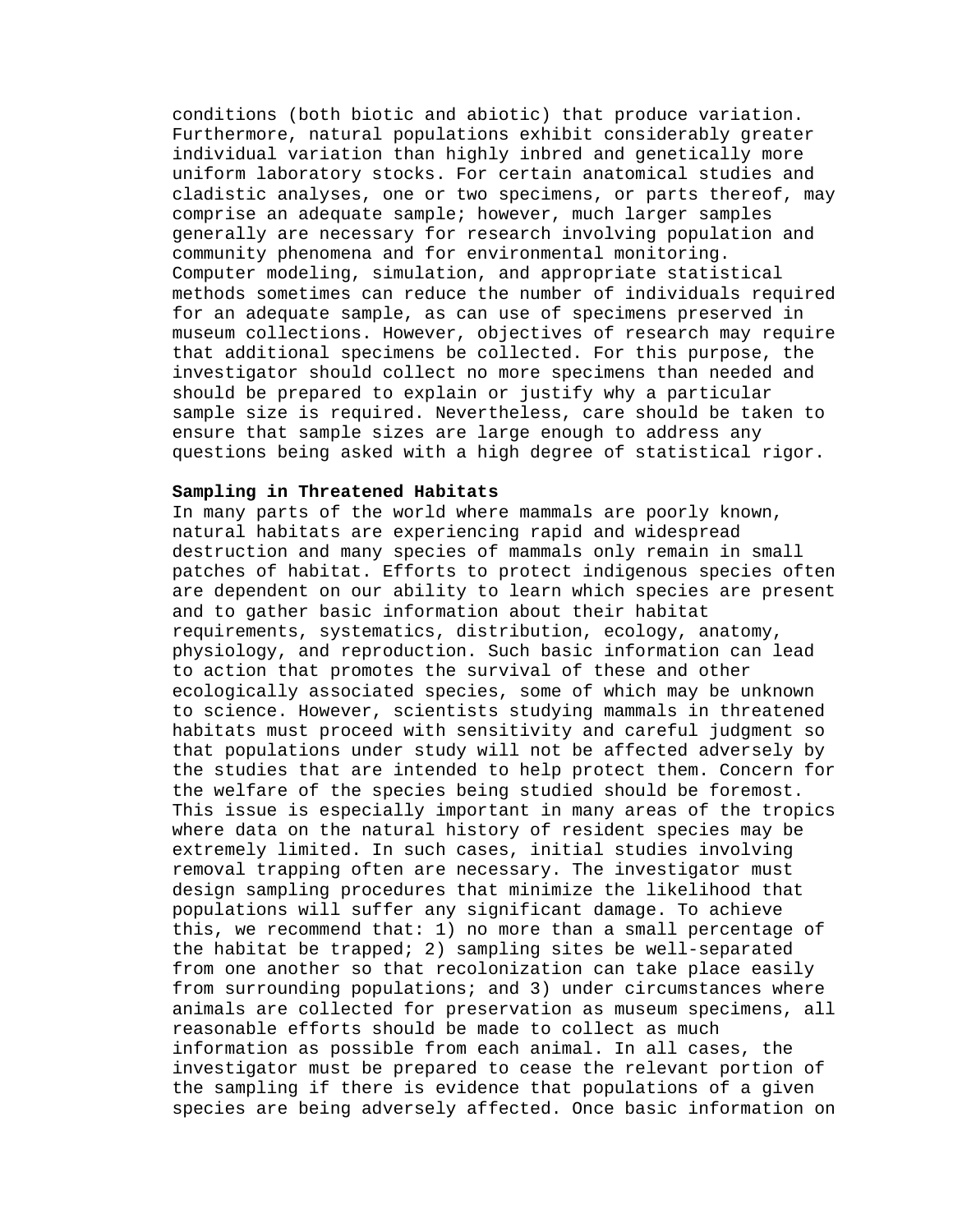conditions (both biotic and abiotic) that produce variation. Furthermore, natural populations exhibit considerably greater individual variation than highly inbred and genetically more uniform laboratory stocks. For certain anatomical studies and cladistic analyses, one or two specimens, or parts thereof, may comprise an adequate sample; however, much larger samples generally are necessary for research involving population and community phenomena and for environmental monitoring. Computer modeling, simulation, and appropriate statistical methods sometimes can reduce the number of individuals required for an adequate sample, as can use of specimens preserved in museum collections. However, objectives of research may require that additional specimens be collected. For this purpose, the investigator should collect no more specimens than needed and should be prepared to explain or justify why a particular sample size is required. Nevertheless, care should be taken to ensure that sample sizes are large enough to address any questions being asked with a high degree of statistical rigor.

#### **Sampling in Threatened Habitats**

In many parts of the world where mammals are poorly known, natural habitats are experiencing rapid and widespread destruction and many species of mammals only remain in small patches of habitat. Efforts to protect indigenous species often are dependent on our ability to learn which species are present and to gather basic information about their habitat requirements, systematics, distribution, ecology, anatomy, physiology, and reproduction. Such basic information can lead to action that promotes the survival of these and other ecologically associated species, some of which may be unknown to science. However, scientists studying mammals in threatened habitats must proceed with sensitivity and careful judgment so that populations under study will not be affected adversely by the studies that are intended to help protect them. Concern for the welfare of the species being studied should be foremost. This issue is especially important in many areas of the tropics where data on the natural history of resident species may be extremely limited. In such cases, initial studies involving removal trapping often are necessary. The investigator must design sampling procedures that minimize the likelihood that populations will suffer any significant damage. To achieve this, we recommend that: 1) no more than a small percentage of the habitat be trapped; 2) sampling sites be well-separated from one another so that recolonization can take place easily from surrounding populations; and 3) under circumstances where animals are collected for preservation as museum specimens, all reasonable efforts should be made to collect as much information as possible from each animal. In all cases, the investigator must be prepared to cease the relevant portion of the sampling if there is evidence that populations of a given species are being adversely affected. Once basic information on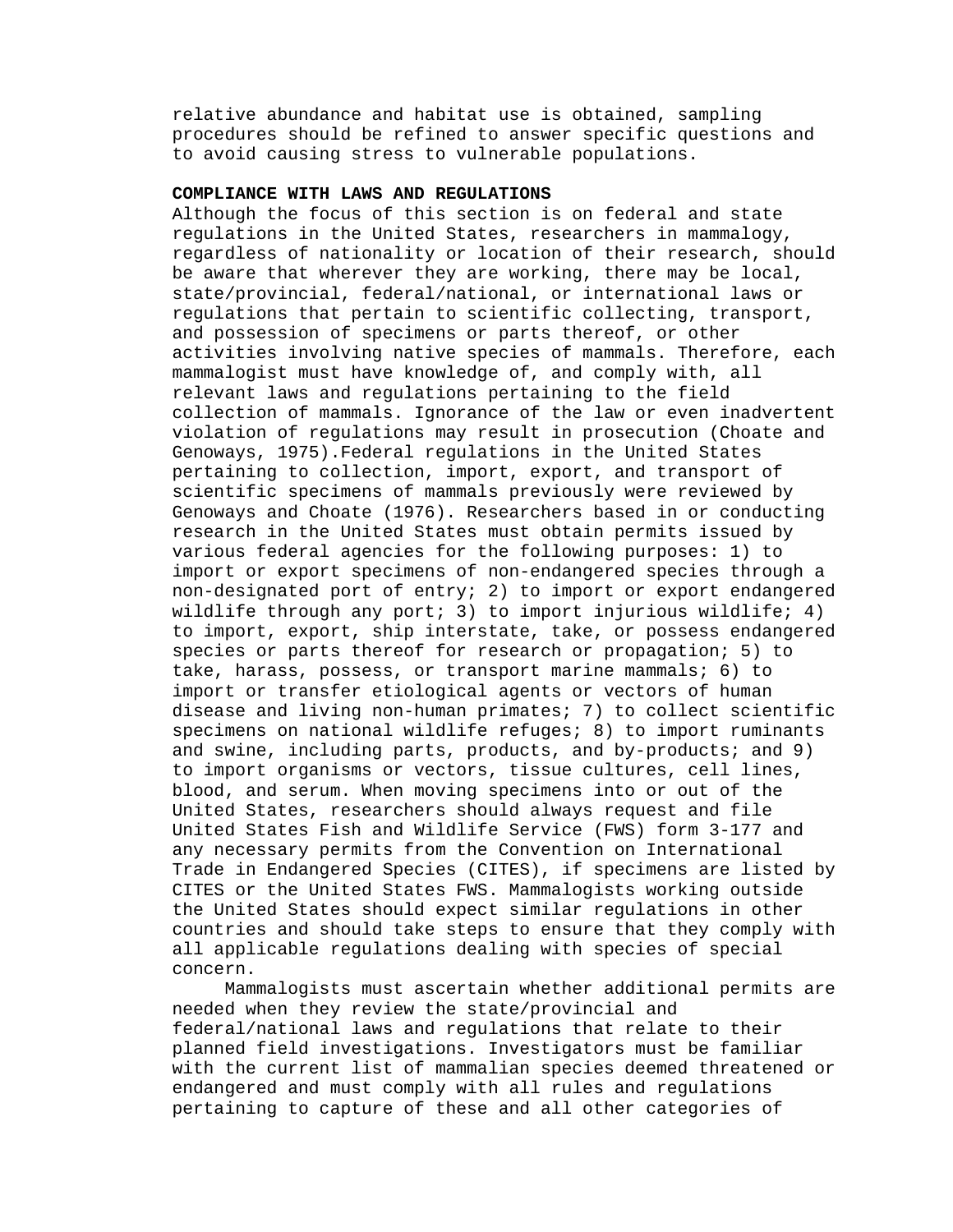relative abundance and habitat use is obtained, sampling procedures should be refined to answer specific questions and to avoid causing stress to vulnerable populations.

#### **COMPLIANCE WITH LAWS AND REGULATIONS**

Although the focus of this section is on federal and state regulations in the United States, researchers in mammalogy, regardless of nationality or location of their research, should be aware that wherever they are working, there may be local, state/provincial, federal/national, or international laws or regulations that pertain to scientific collecting, transport, and possession of specimens or parts thereof, or other activities involving native species of mammals. Therefore, each mammalogist must have knowledge of, and comply with, all relevant laws and regulations pertaining to the field collection of mammals. Ignorance of the law or even inadvertent violation of regulations may result in prosecution (Choate and Genoways, 1975).Federal regulations in the United States pertaining to collection, import, export, and transport of scientific specimens of mammals previously were reviewed by Genoways and Choate (1976). Researchers based in or conducting research in the United States must obtain permits issued by various federal agencies for the following purposes: 1) to import or export specimens of non-endangered species through a non-designated port of entry; 2) to import or export endangered wildlife through any port; 3) to import injurious wildlife; 4) to import, export, ship interstate, take, or possess endangered species or parts thereof for research or propagation; 5) to take, harass, possess, or transport marine mammals; 6) to import or transfer etiological agents or vectors of human disease and living non-human primates; 7) to collect scientific specimens on national wildlife refuges; 8) to import ruminants and swine, including parts, products, and by-products; and 9) to import organisms or vectors, tissue cultures, cell lines, blood, and serum. When moving specimens into or out of the United States, researchers should always request and file United States Fish and Wildlife Service (FWS) form 3-177 and any necessary permits from the Convention on International Trade in Endangered Species (CITES), if specimens are listed by CITES or the United States FWS. Mammalogists working outside the United States should expect similar regulations in other countries and should take steps to ensure that they comply with all applicable regulations dealing with species of special concern.

Mammalogists must ascertain whether additional permits are needed when they review the state/provincial and federal/national laws and regulations that relate to their planned field investigations. Investigators must be familiar with the current list of mammalian species deemed threatened or endangered and must comply with all rules and regulations pertaining to capture of these and all other categories of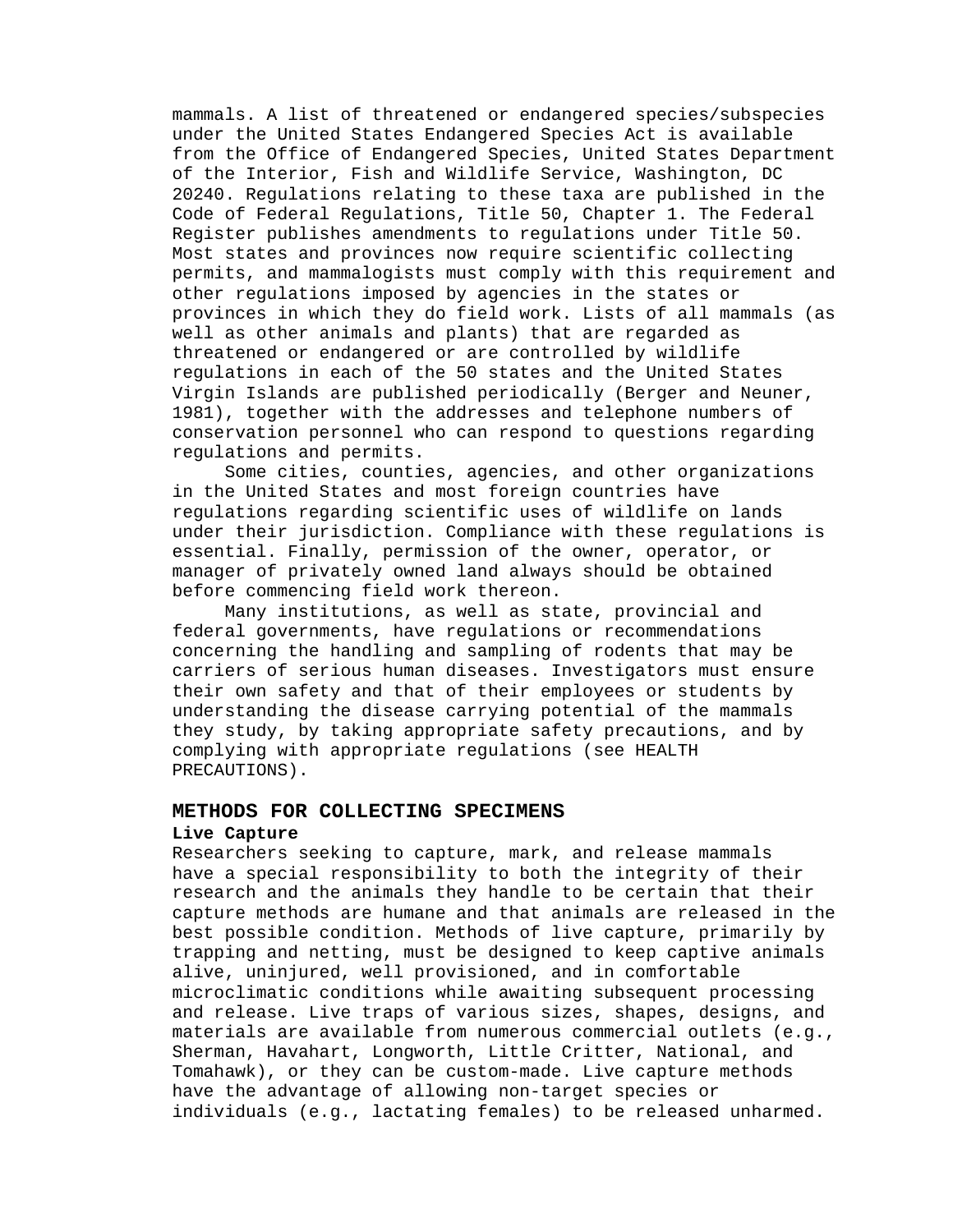mammals. A list of threatened or endangered species/subspecies under the United States Endangered Species Act is available from the Office of Endangered Species, United States Department of the Interior, Fish and Wildlife Service, Washington, DC 20240. Regulations relating to these taxa are published in the Code of Federal Regulations, Title 50, Chapter 1. The Federal Register publishes amendments to regulations under Title 50. Most states and provinces now require scientific collecting permits, and mammalogists must comply with this requirement and other regulations imposed by agencies in the states or provinces in which they do field work. Lists of all mammals (as well as other animals and plants) that are regarded as threatened or endangered or are controlled by wildlife regulations in each of the 50 states and the United States Virgin Islands are published periodically (Berger and Neuner, 1981), together with the addresses and telephone numbers of conservation personnel who can respond to questions regarding regulations and permits.

Some cities, counties, agencies, and other organizations in the United States and most foreign countries have regulations regarding scientific uses of wildlife on lands under their jurisdiction. Compliance with these regulations is essential. Finally, permission of the owner, operator, or manager of privately owned land always should be obtained before commencing field work thereon.

Many institutions, as well as state, provincial and federal governments, have regulations or recommendations concerning the handling and sampling of rodents that may be carriers of serious human diseases. Investigators must ensure their own safety and that of their employees or students by understanding the disease carrying potential of the mammals they study, by taking appropriate safety precautions, and by complying with appropriate regulations (see HEALTH PRECAUTIONS).

### **METHODS FOR COLLECTING SPECIMENS**

#### **Live Capture**

Researchers seeking to capture, mark, and release mammals have a special responsibility to both the integrity of their research and the animals they handle to be certain that their capture methods are humane and that animals are released in the best possible condition. Methods of live capture, primarily by trapping and netting, must be designed to keep captive animals alive, uninjured, well provisioned, and in comfortable microclimatic conditions while awaiting subsequent processing and release. Live traps of various sizes, shapes, designs, and materials are available from numerous commercial outlets (e.g., Sherman, Havahart, Longworth, Little Critter, National, and Tomahawk), or they can be custom-made. Live capture methods have the advantage of allowing non-target species or individuals (e.g., lactating females) to be released unharmed.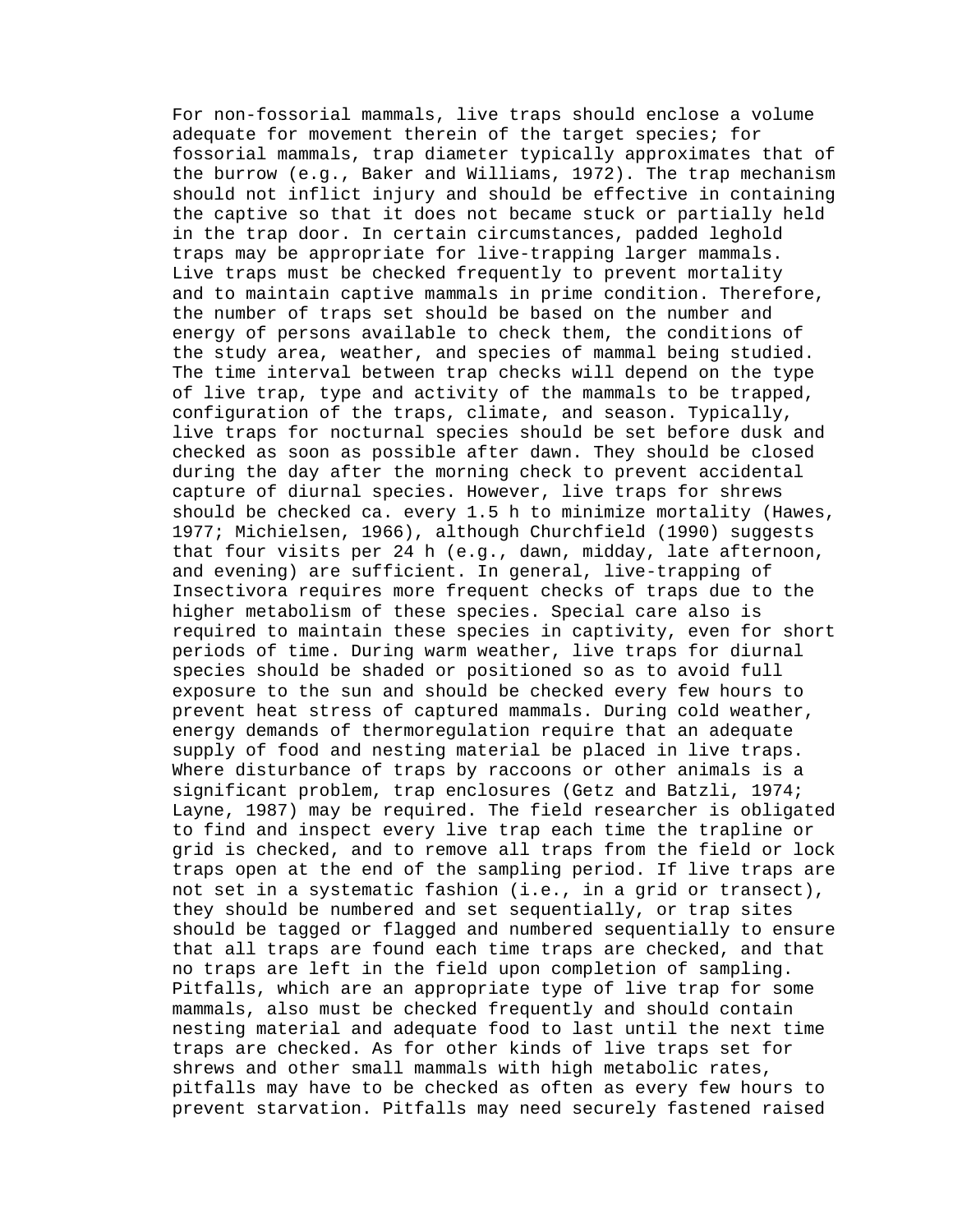For non-fossorial mammals, live traps should enclose a volume adequate for movement therein of the target species; for fossorial mammals, trap diameter typically approximates that of the burrow (e.g., Baker and Williams, 1972). The trap mechanism should not inflict injury and should be effective in containing the captive so that it does not became stuck or partially held in the trap door. In certain circumstances, padded leghold traps may be appropriate for live-trapping larger mammals. Live traps must be checked frequently to prevent mortality and to maintain captive mammals in prime condition. Therefore, the number of traps set should be based on the number and energy of persons available to check them, the conditions of the study area, weather, and species of mammal being studied. The time interval between trap checks will depend on the type of live trap, type and activity of the mammals to be trapped, configuration of the traps, climate, and season. Typically, live traps for nocturnal species should be set before dusk and checked as soon as possible after dawn. They should be closed during the day after the morning check to prevent accidental capture of diurnal species. However, live traps for shrews should be checked ca. every 1.5 h to minimize mortality (Hawes, 1977; Michielsen, 1966), although Churchfield (1990) suggests that four visits per 24 h (e.g., dawn, midday, late afternoon, and evening) are sufficient. In general, live-trapping of Insectivora requires more frequent checks of traps due to the higher metabolism of these species. Special care also is required to maintain these species in captivity, even for short periods of time. During warm weather, live traps for diurnal species should be shaded or positioned so as to avoid full exposure to the sun and should be checked every few hours to prevent heat stress of captured mammals. During cold weather, energy demands of thermoregulation require that an adequate supply of food and nesting material be placed in live traps. Where disturbance of traps by raccoons or other animals is a significant problem, trap enclosures (Getz and Batzli, 1974; Layne, 1987) may be required. The field researcher is obligated to find and inspect every live trap each time the trapline or grid is checked, and to remove all traps from the field or lock traps open at the end of the sampling period. If live traps are not set in a systematic fashion (i.e., in a grid or transect), they should be numbered and set sequentially, or trap sites should be tagged or flagged and numbered sequentially to ensure that all traps are found each time traps are checked, and that no traps are left in the field upon completion of sampling. Pitfalls, which are an appropriate type of live trap for some mammals, also must be checked frequently and should contain nesting material and adequate food to last until the next time traps are checked. As for other kinds of live traps set for shrews and other small mammals with high metabolic rates, pitfalls may have to be checked as often as every few hours to prevent starvation. Pitfalls may need securely fastened raised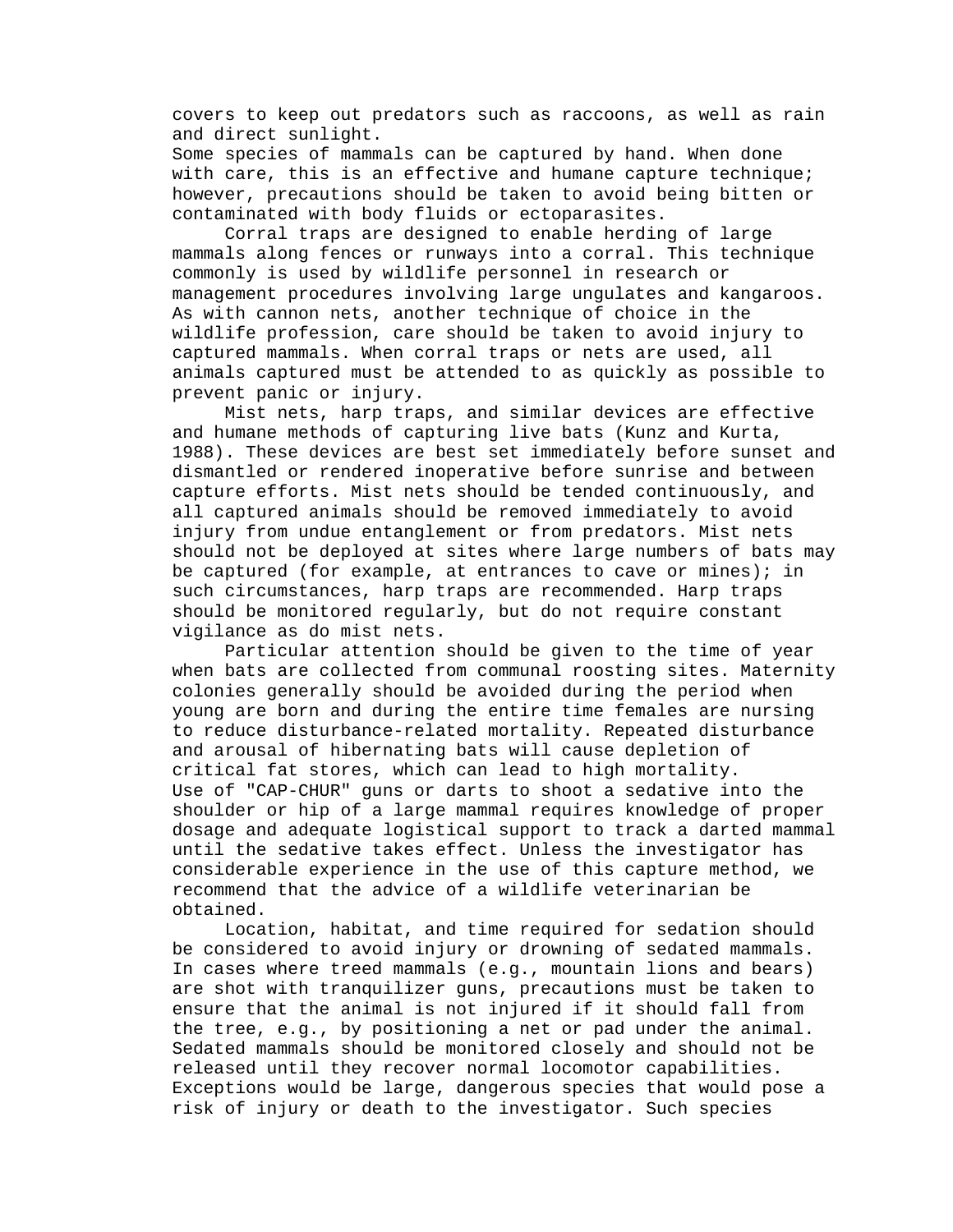covers to keep out predators such as raccoons, as well as rain and direct sunlight.

Some species of mammals can be captured by hand. When done with care, this is an effective and humane capture technique; however, precautions should be taken to avoid being bitten or contaminated with body fluids or ectoparasites.

Corral traps are designed to enable herding of large mammals along fences or runways into a corral. This technique commonly is used by wildlife personnel in research or management procedures involving large ungulates and kangaroos. As with cannon nets, another technique of choice in the wildlife profession, care should be taken to avoid injury to captured mammals. When corral traps or nets are used, all animals captured must be attended to as quickly as possible to prevent panic or injury.

Mist nets, harp traps, and similar devices are effective and humane methods of capturing live bats (Kunz and Kurta, 1988). These devices are best set immediately before sunset and dismantled or rendered inoperative before sunrise and between capture efforts. Mist nets should be tended continuously, and all captured animals should be removed immediately to avoid injury from undue entanglement or from predators. Mist nets should not be deployed at sites where large numbers of bats may be captured (for example, at entrances to cave or mines); in such circumstances, harp traps are recommended. Harp traps should be monitored regularly, but do not require constant vigilance as do mist nets.

Particular attention should be given to the time of year when bats are collected from communal roosting sites. Maternity colonies generally should be avoided during the period when young are born and during the entire time females are nursing to reduce disturbance-related mortality. Repeated disturbance and arousal of hibernating bats will cause depletion of critical fat stores, which can lead to high mortality. Use of "CAP-CHUR" guns or darts to shoot a sedative into the shoulder or hip of a large mammal requires knowledge of proper dosage and adequate logistical support to track a darted mammal until the sedative takes effect. Unless the investigator has considerable experience in the use of this capture method, we recommend that the advice of a wildlife veterinarian be obtained.

Location, habitat, and time required for sedation should be considered to avoid injury or drowning of sedated mammals. In cases where treed mammals (e.g., mountain lions and bears) are shot with tranquilizer guns, precautions must be taken to ensure that the animal is not injured if it should fall from the tree, e.g., by positioning a net or pad under the animal. Sedated mammals should be monitored closely and should not be released until they recover normal locomotor capabilities. Exceptions would be large, dangerous species that would pose a risk of injury or death to the investigator. Such species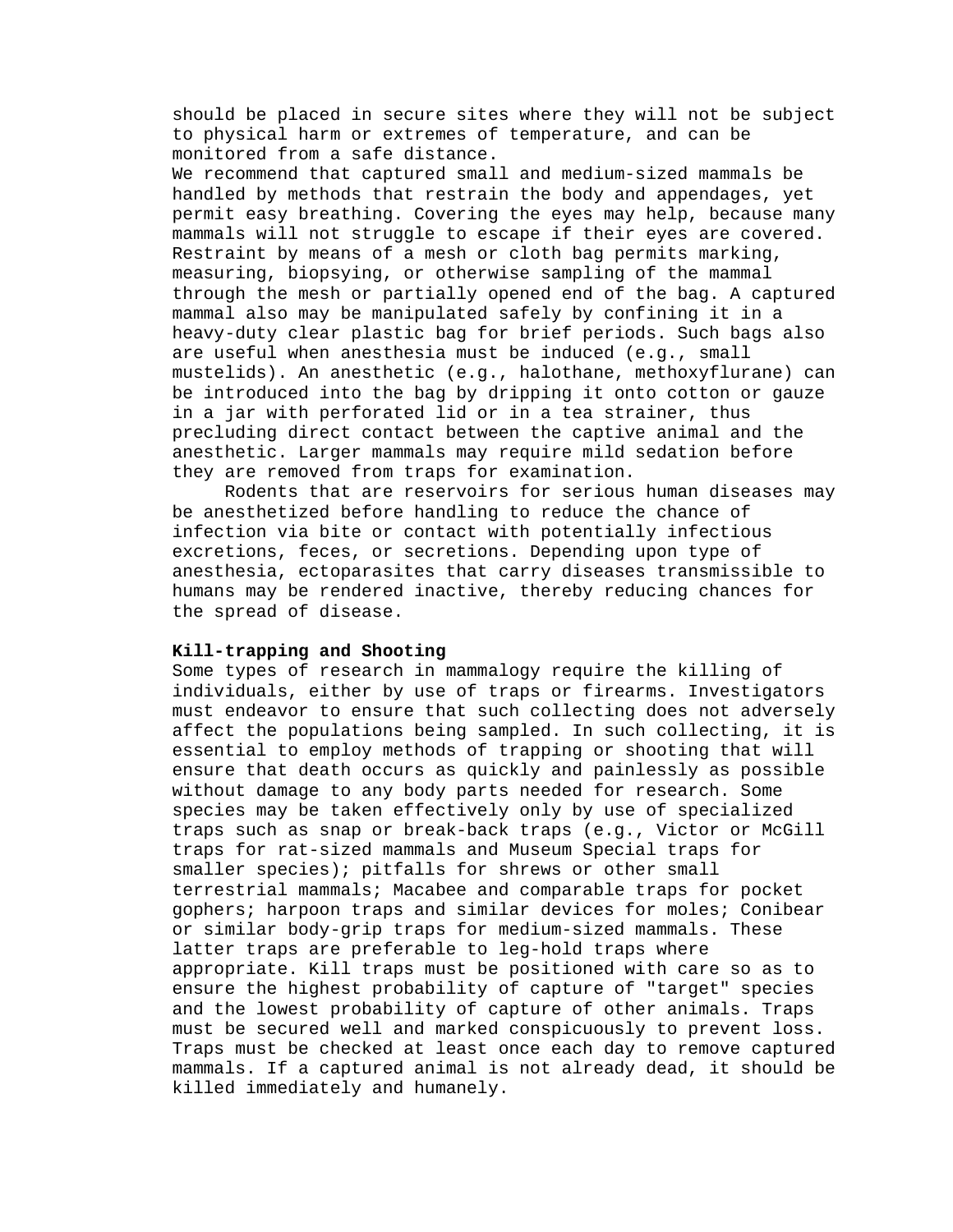should be placed in secure sites where they will not be subject to physical harm or extremes of temperature, and can be monitored from a safe distance. We recommend that captured small and medium-sized mammals be handled by methods that restrain the body and appendages, yet permit easy breathing. Covering the eyes may help, because many mammals will not struggle to escape if their eyes are covered. Restraint by means of a mesh or cloth bag permits marking, measuring, biopsying, or otherwise sampling of the mammal through the mesh or partially opened end of the bag. A captured mammal also may be manipulated safely by confining it in a heavy-duty clear plastic bag for brief periods. Such bags also are useful when anesthesia must be induced (e.g., small mustelids). An anesthetic (e.g., halothane, methoxyflurane) can be introduced into the bag by dripping it onto cotton or gauze

in a jar with perforated lid or in a tea strainer, thus precluding direct contact between the captive animal and the anesthetic. Larger mammals may require mild sedation before they are removed from traps for examination.

Rodents that are reservoirs for serious human diseases may be anesthetized before handling to reduce the chance of infection via bite or contact with potentially infectious excretions, feces, or secretions. Depending upon type of anesthesia, ectoparasites that carry diseases transmissible to humans may be rendered inactive, thereby reducing chances for the spread of disease.

### **Kill-trapping and Shooting**

Some types of research in mammalogy require the killing of individuals, either by use of traps or firearms. Investigators must endeavor to ensure that such collecting does not adversely affect the populations being sampled. In such collecting, it is essential to employ methods of trapping or shooting that will ensure that death occurs as quickly and painlessly as possible without damage to any body parts needed for research. Some species may be taken effectively only by use of specialized traps such as snap or break-back traps (e.g., Victor or McGill traps for rat-sized mammals and Museum Special traps for smaller species); pitfalls for shrews or other small terrestrial mammals; Macabee and comparable traps for pocket gophers; harpoon traps and similar devices for moles; Conibear or similar body-grip traps for medium-sized mammals. These latter traps are preferable to leg-hold traps where appropriate. Kill traps must be positioned with care so as to ensure the highest probability of capture of "target" species and the lowest probability of capture of other animals. Traps must be secured well and marked conspicuously to prevent loss. Traps must be checked at least once each day to remove captured mammals. If a captured animal is not already dead, it should be killed immediately and humanely.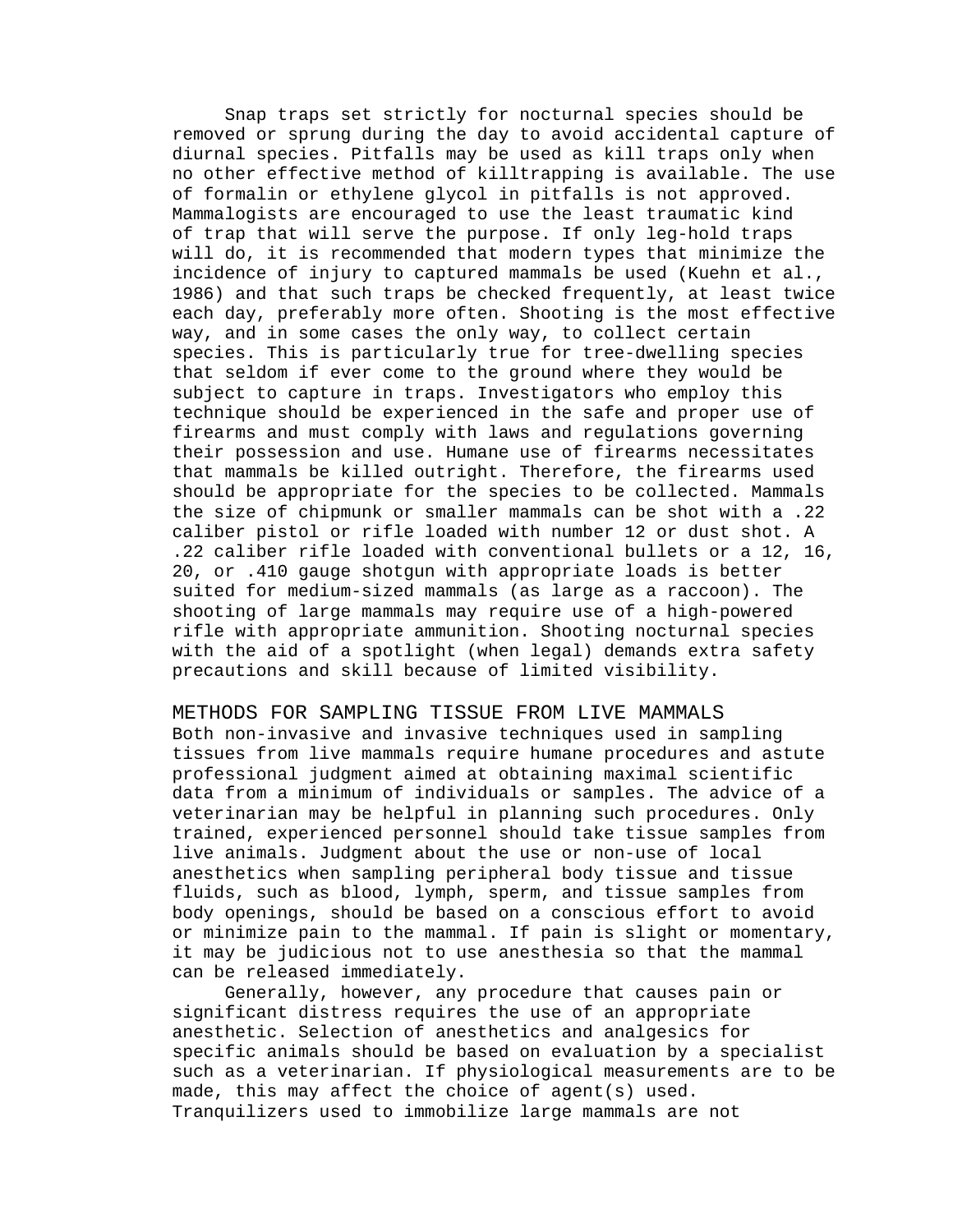Snap traps set strictly for nocturnal species should be removed or sprung during the day to avoid accidental capture of diurnal species. Pitfalls may be used as kill traps only when no other effective method of killtrapping is available. The use of formalin or ethylene glycol in pitfalls is not approved. Mammalogists are encouraged to use the least traumatic kind of trap that will serve the purpose. If only leg-hold traps will do, it is recommended that modern types that minimize the incidence of injury to captured mammals be used (Kuehn et al., 1986) and that such traps be checked frequently, at least twice each day, preferably more often. Shooting is the most effective way, and in some cases the only way, to collect certain species. This is particularly true for tree-dwelling species that seldom if ever come to the ground where they would be subject to capture in traps. Investigators who employ this technique should be experienced in the safe and proper use of firearms and must comply with laws and regulations governing their possession and use. Humane use of firearms necessitates that mammals be killed outright. Therefore, the firearms used should be appropriate for the species to be collected. Mammals the size of chipmunk or smaller mammals can be shot with a .22 caliber pistol or rifle loaded with number 12 or dust shot. A .22 caliber rifle loaded with conventional bullets or a 12, 16, 20, or .410 gauge shotgun with appropriate loads is better suited for medium-sized mammals (as large as a raccoon). The shooting of large mammals may require use of a high-powered rifle with appropriate ammunition. Shooting nocturnal species with the aid of a spotlight (when legal) demands extra safety precautions and skill because of limited visibility.

### METHODS FOR SAMPLING TISSUE FROM LIVE MAMMALS

Both non-invasive and invasive techniques used in sampling tissues from live mammals require humane procedures and astute professional judgment aimed at obtaining maximal scientific data from a minimum of individuals or samples. The advice of a veterinarian may be helpful in planning such procedures. Only trained, experienced personnel should take tissue samples from live animals. Judgment about the use or non-use of local anesthetics when sampling peripheral body tissue and tissue fluids, such as blood, lymph, sperm, and tissue samples from body openings, should be based on a conscious effort to avoid or minimize pain to the mammal. If pain is slight or momentary, it may be judicious not to use anesthesia so that the mammal can be released immediately.

Generally, however, any procedure that causes pain or significant distress requires the use of an appropriate anesthetic. Selection of anesthetics and analgesics for specific animals should be based on evaluation by a specialist such as a veterinarian. If physiological measurements are to be made, this may affect the choice of agent(s) used. Tranquilizers used to immobilize large mammals are not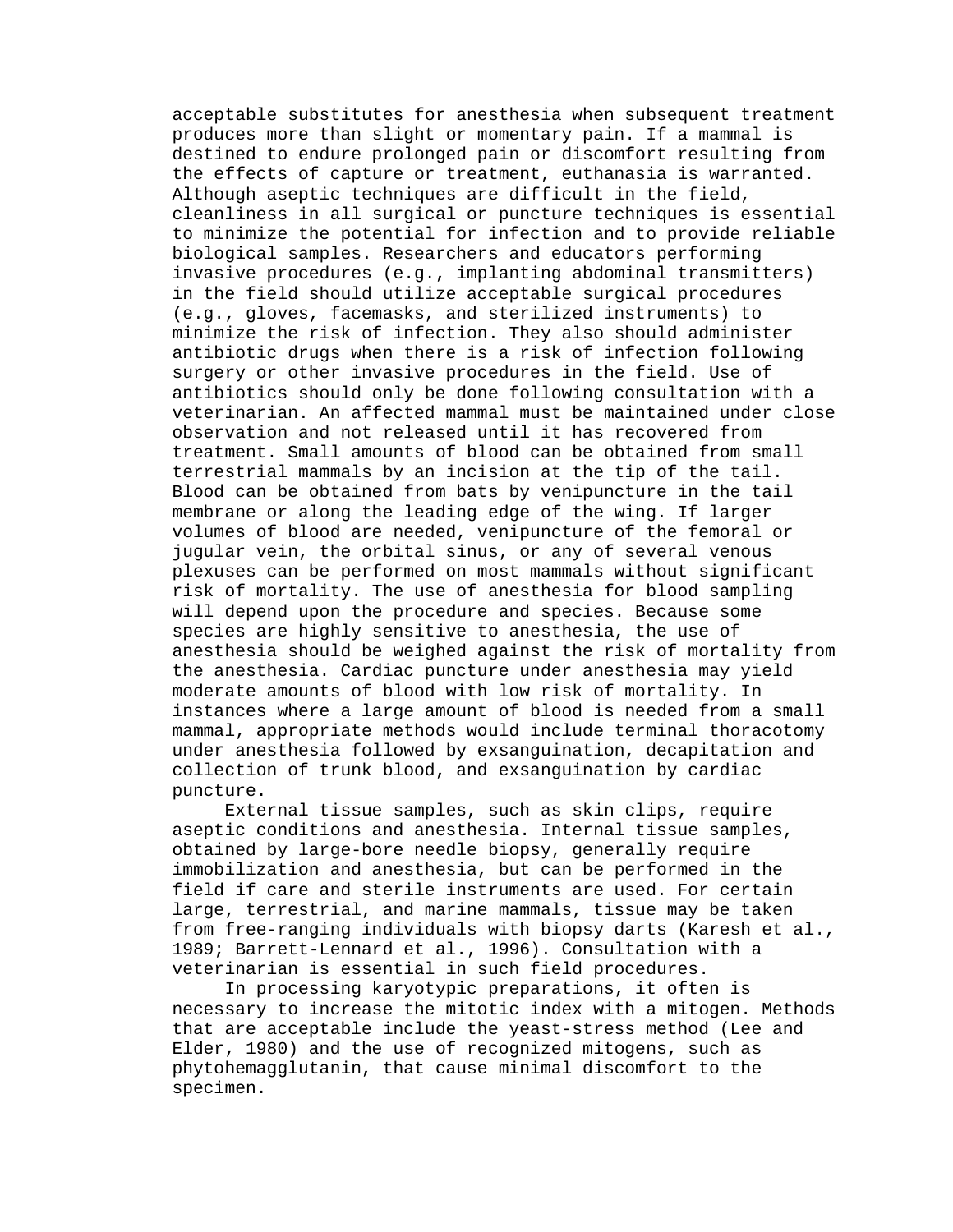acceptable substitutes for anesthesia when subsequent treatment produces more than slight or momentary pain. If a mammal is destined to endure prolonged pain or discomfort resulting from the effects of capture or treatment, euthanasia is warranted. Although aseptic techniques are difficult in the field, cleanliness in all surgical or puncture techniques is essential to minimize the potential for infection and to provide reliable biological samples. Researchers and educators performing invasive procedures (e.g., implanting abdominal transmitters) in the field should utilize acceptable surgical procedures (e.g., gloves, facemasks, and sterilized instruments) to minimize the risk of infection. They also should administer antibiotic drugs when there is a risk of infection following surgery or other invasive procedures in the field. Use of antibiotics should only be done following consultation with a veterinarian. An affected mammal must be maintained under close observation and not released until it has recovered from treatment. Small amounts of blood can be obtained from small terrestrial mammals by an incision at the tip of the tail. Blood can be obtained from bats by venipuncture in the tail membrane or along the leading edge of the wing. If larger volumes of blood are needed, venipuncture of the femoral or jugular vein, the orbital sinus, or any of several venous plexuses can be performed on most mammals without significant risk of mortality. The use of anesthesia for blood sampling will depend upon the procedure and species. Because some species are highly sensitive to anesthesia, the use of anesthesia should be weighed against the risk of mortality from the anesthesia. Cardiac puncture under anesthesia may yield moderate amounts of blood with low risk of mortality. In instances where a large amount of blood is needed from a small mammal, appropriate methods would include terminal thoracotomy under anesthesia followed by exsanguination, decapitation and collection of trunk blood, and exsanguination by cardiac puncture.

External tissue samples, such as skin clips, require aseptic conditions and anesthesia. Internal tissue samples, obtained by large-bore needle biopsy, generally require immobilization and anesthesia, but can be performed in the field if care and sterile instruments are used. For certain large, terrestrial, and marine mammals, tissue may be taken from free-ranging individuals with biopsy darts (Karesh et al., 1989; Barrett-Lennard et al., 1996). Consultation with a veterinarian is essential in such field procedures.

In processing karyotypic preparations, it often is necessary to increase the mitotic index with a mitogen. Methods that are acceptable include the yeast-stress method (Lee and Elder, 1980) and the use of recognized mitogens, such as phytohemagglutanin, that cause minimal discomfort to the specimen.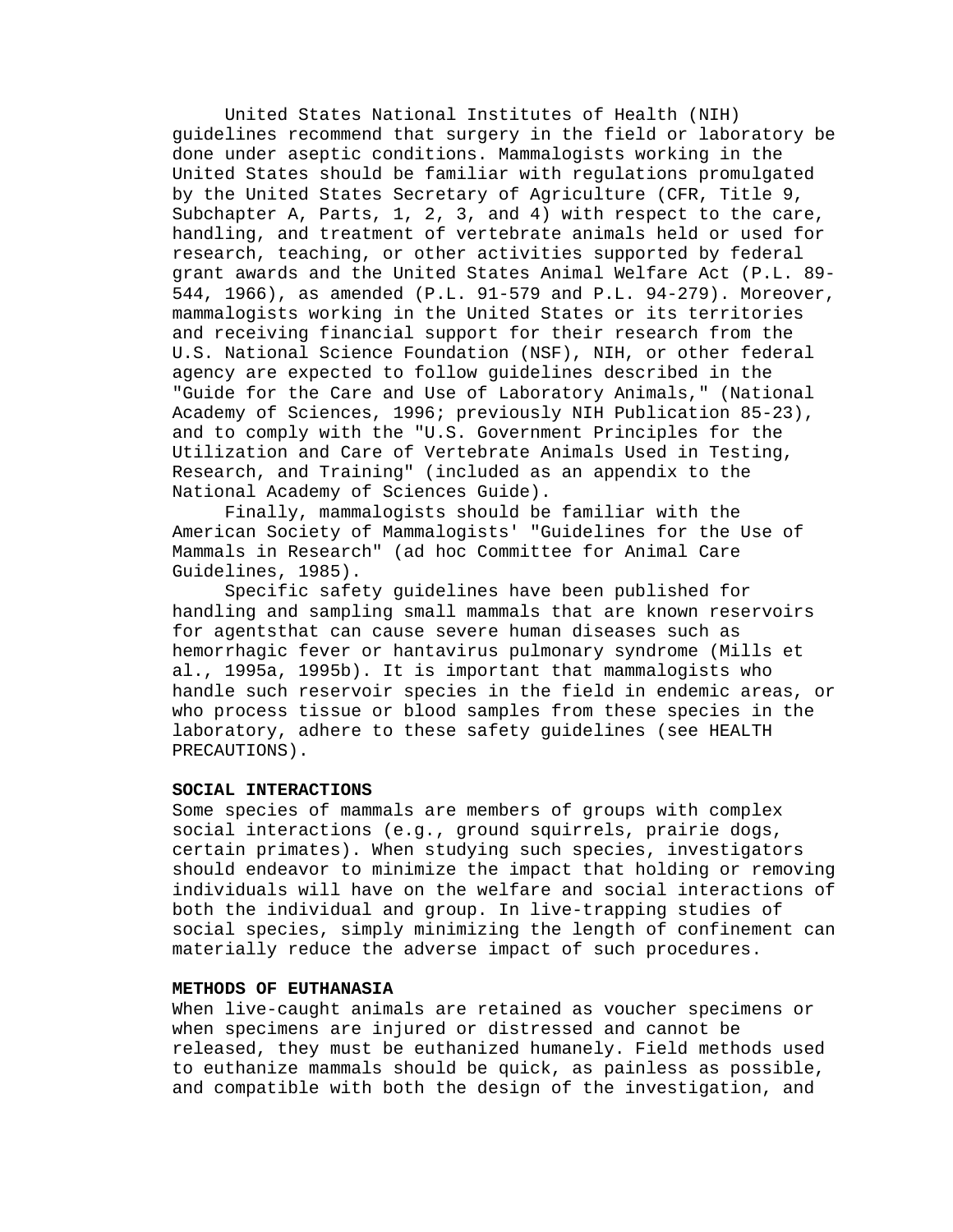United States National Institutes of Health (NIH) guidelines recommend that surgery in the field or laboratory be done under aseptic conditions. Mammalogists working in the United States should be familiar with regulations promulgated by the United States Secretary of Agriculture (CFR, Title 9, Subchapter A, Parts, 1, 2, 3, and 4) with respect to the care, handling, and treatment of vertebrate animals held or used for research, teaching, or other activities supported by federal grant awards and the United States Animal Welfare Act (P.L. 89- 544, 1966), as amended (P.L. 91-579 and P.L. 94-279). Moreover, mammalogists working in the United States or its territories and receiving financial support for their research from the U.S. National Science Foundation (NSF), NIH, or other federal agency are expected to follow guidelines described in the "Guide for the Care and Use of Laboratory Animals," (National Academy of Sciences, 1996; previously NIH Publication 85-23), and to comply with the "U.S. Government Principles for the Utilization and Care of Vertebrate Animals Used in Testing, Research, and Training" (included as an appendix to the National Academy of Sciences Guide).

Finally, mammalogists should be familiar with the American Society of Mammalogists' "Guidelines for the Use of Mammals in Research" (ad hoc Committee for Animal Care Guidelines, 1985).

Specific safety guidelines have been published for handling and sampling small mammals that are known reservoirs for agentsthat can cause severe human diseases such as hemorrhagic fever or hantavirus pulmonary syndrome (Mills et al., 1995a, 1995b). It is important that mammalogists who handle such reservoir species in the field in endemic areas, or who process tissue or blood samples from these species in the laboratory, adhere to these safety guidelines (see HEALTH PRECAUTIONS).

### **SOCIAL INTERACTIONS**

Some species of mammals are members of groups with complex social interactions (e.g., ground squirrels, prairie dogs, certain primates). When studying such species, investigators should endeavor to minimize the impact that holding or removing individuals will have on the welfare and social interactions of both the individual and group. In live-trapping studies of social species, simply minimizing the length of confinement can materially reduce the adverse impact of such procedures.

#### **METHODS OF EUTHANASIA**

When live-caught animals are retained as voucher specimens or when specimens are injured or distressed and cannot be released, they must be euthanized humanely. Field methods used to euthanize mammals should be quick, as painless as possible, and compatible with both the design of the investigation, and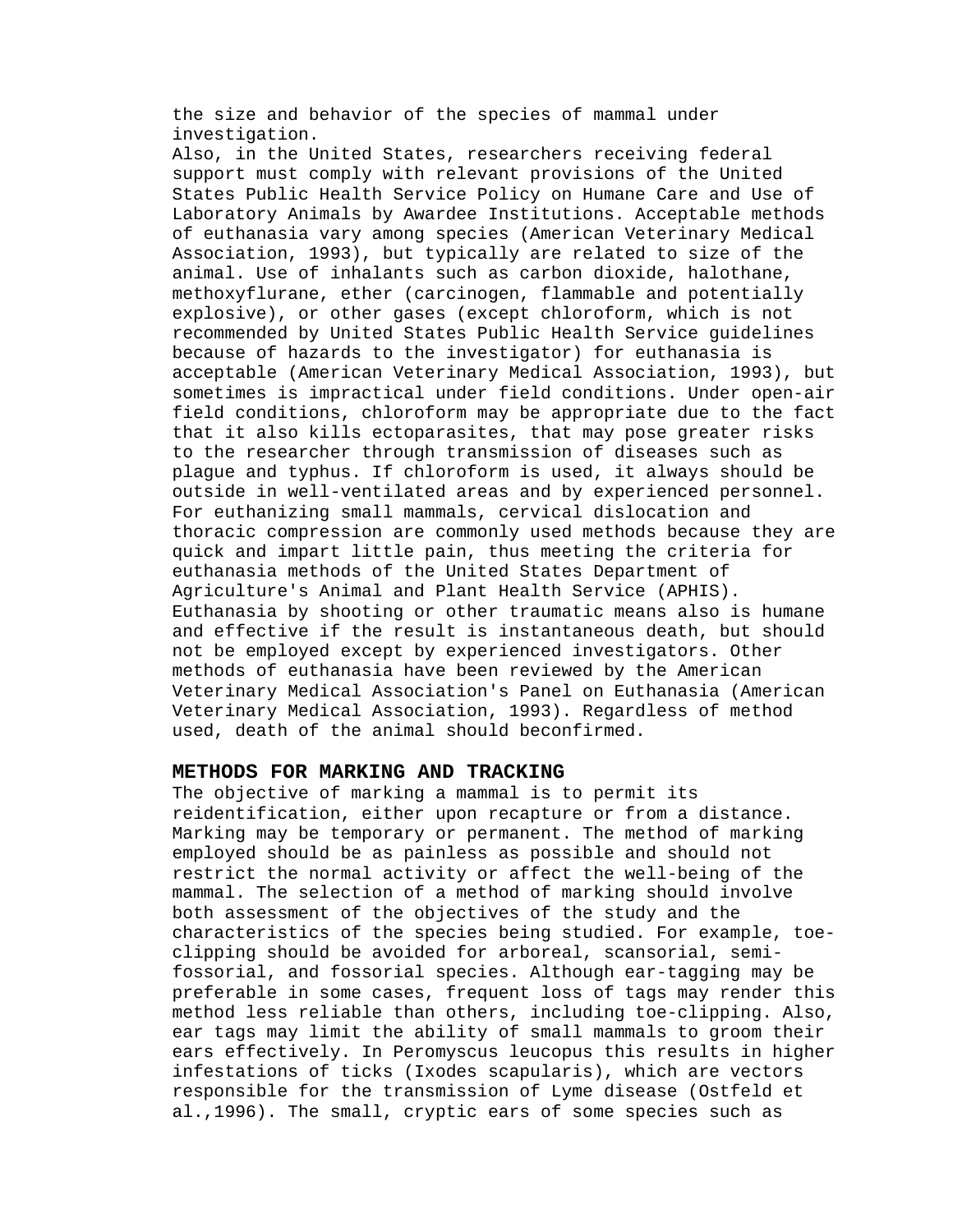the size and behavior of the species of mammal under investigation.

Also, in the United States, researchers receiving federal support must comply with relevant provisions of the United States Public Health Service Policy on Humane Care and Use of Laboratory Animals by Awardee Institutions. Acceptable methods of euthanasia vary among species (American Veterinary Medical Association, 1993), but typically are related to size of the animal. Use of inhalants such as carbon dioxide, halothane, methoxyflurane, ether (carcinogen, flammable and potentially explosive), or other gases (except chloroform, which is not recommended by United States Public Health Service guidelines because of hazards to the investigator) for euthanasia is acceptable (American Veterinary Medical Association, 1993), but sometimes is impractical under field conditions. Under open-air field conditions, chloroform may be appropriate due to the fact that it also kills ectoparasites, that may pose greater risks to the researcher through transmission of diseases such as plague and typhus. If chloroform is used, it always should be outside in well-ventilated areas and by experienced personnel. For euthanizing small mammals, cervical dislocation and thoracic compression are commonly used methods because they are quick and impart little pain, thus meeting the criteria for euthanasia methods of the United States Department of Agriculture's Animal and Plant Health Service (APHIS). Euthanasia by shooting or other traumatic means also is humane and effective if the result is instantaneous death, but should not be employed except by experienced investigators. Other methods of euthanasia have been reviewed by the American Veterinary Medical Association's Panel on Euthanasia (American Veterinary Medical Association, 1993). Regardless of method used, death of the animal should beconfirmed.

#### **METHODS FOR MARKING AND TRACKING**

The objective of marking a mammal is to permit its reidentification, either upon recapture or from a distance. Marking may be temporary or permanent. The method of marking employed should be as painless as possible and should not restrict the normal activity or affect the well-being of the mammal. The selection of a method of marking should involve both assessment of the objectives of the study and the characteristics of the species being studied. For example, toeclipping should be avoided for arboreal, scansorial, semifossorial, and fossorial species. Although ear-tagging may be preferable in some cases, frequent loss of tags may render this method less reliable than others, including toe-clipping. Also, ear tags may limit the ability of small mammals to groom their ears effectively. In Peromyscus leucopus this results in higher infestations of ticks (Ixodes scapularis), which are vectors responsible for the transmission of Lyme disease (Ostfeld et al.,1996). The small, cryptic ears of some species such as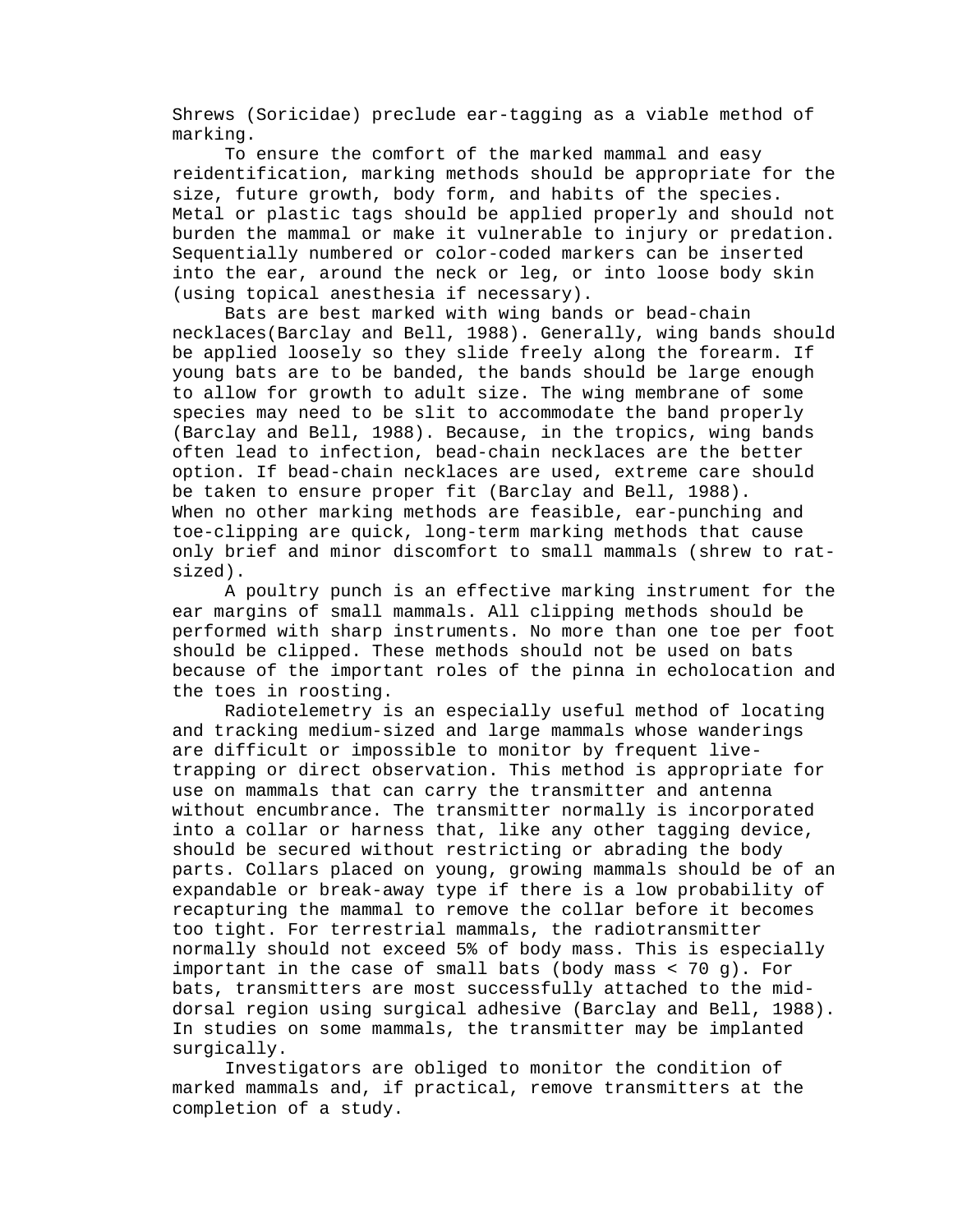Shrews (Soricidae) preclude ear-tagging as a viable method of marking.

To ensure the comfort of the marked mammal and easy reidentification, marking methods should be appropriate for the size, future growth, body form, and habits of the species. Metal or plastic tags should be applied properly and should not burden the mammal or make it vulnerable to injury or predation. Sequentially numbered or color-coded markers can be inserted into the ear, around the neck or leg, or into loose body skin (using topical anesthesia if necessary).

Bats are best marked with wing bands or bead-chain necklaces(Barclay and Bell, 1988). Generally, wing bands should be applied loosely so they slide freely along the forearm. If young bats are to be banded, the bands should be large enough to allow for growth to adult size. The wing membrane of some species may need to be slit to accommodate the band properly (Barclay and Bell, 1988). Because, in the tropics, wing bands often lead to infection, bead-chain necklaces are the better option. If bead-chain necklaces are used, extreme care should be taken to ensure proper fit (Barclay and Bell, 1988). When no other marking methods are feasible, ear-punching and toe-clipping are quick, long-term marking methods that cause only brief and minor discomfort to small mammals (shrew to ratsized).

A poultry punch is an effective marking instrument for the ear margins of small mammals. All clipping methods should be performed with sharp instruments. No more than one toe per foot should be clipped. These methods should not be used on bats because of the important roles of the pinna in echolocation and the toes in roosting.

Radiotelemetry is an especially useful method of locating and tracking medium-sized and large mammals whose wanderings are difficult or impossible to monitor by frequent livetrapping or direct observation. This method is appropriate for use on mammals that can carry the transmitter and antenna without encumbrance. The transmitter normally is incorporated into a collar or harness that, like any other tagging device, should be secured without restricting or abrading the body parts. Collars placed on young, growing mammals should be of an expandable or break-away type if there is a low probability of recapturing the mammal to remove the collar before it becomes too tight. For terrestrial mammals, the radiotransmitter normally should not exceed 5% of body mass. This is especially important in the case of small bats (body mass < 70 g). For bats, transmitters are most successfully attached to the middorsal region using surgical adhesive (Barclay and Bell, 1988). In studies on some mammals, the transmitter may be implanted surgically.

Investigators are obliged to monitor the condition of marked mammals and, if practical, remove transmitters at the completion of a study.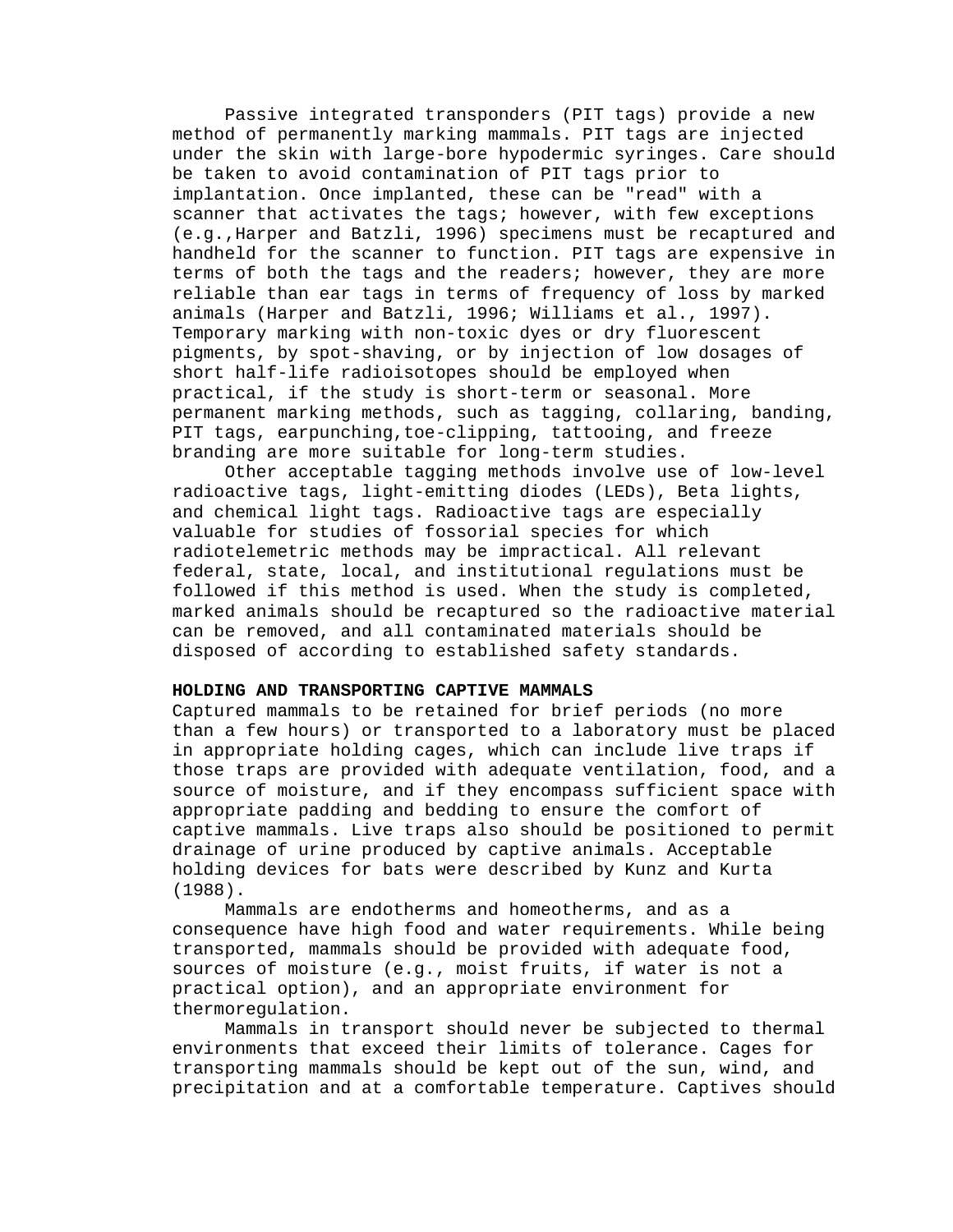Passive integrated transponders (PIT tags) provide a new method of permanently marking mammals. PIT tags are injected under the skin with large-bore hypodermic syringes. Care should be taken to avoid contamination of PIT tags prior to implantation. Once implanted, these can be "read" with a scanner that activates the tags; however, with few exceptions (e.g.,Harper and Batzli, 1996) specimens must be recaptured and handheld for the scanner to function. PIT tags are expensive in terms of both the tags and the readers; however, they are more reliable than ear tags in terms of frequency of loss by marked animals (Harper and Batzli, 1996; Williams et al., 1997). Temporary marking with non-toxic dyes or dry fluorescent pigments, by spot-shaving, or by injection of low dosages of short half-life radioisotopes should be employed when practical, if the study is short-term or seasonal. More permanent marking methods, such as tagging, collaring, banding, PIT tags, earpunching,toe-clipping, tattooing, and freeze branding are more suitable for long-term studies.

Other acceptable tagging methods involve use of low-level radioactive tags, light-emitting diodes (LEDs), Beta lights, and chemical light tags. Radioactive tags are especially valuable for studies of fossorial species for which radiotelemetric methods may be impractical. All relevant federal, state, local, and institutional regulations must be followed if this method is used. When the study is completed, marked animals should be recaptured so the radioactive material can be removed, and all contaminated materials should be disposed of according to established safety standards.

#### **HOLDING AND TRANSPORTING CAPTIVE MAMMALS**

Captured mammals to be retained for brief periods (no more than a few hours) or transported to a laboratory must be placed in appropriate holding cages, which can include live traps if those traps are provided with adequate ventilation, food, and a source of moisture, and if they encompass sufficient space with appropriate padding and bedding to ensure the comfort of captive mammals. Live traps also should be positioned to permit drainage of urine produced by captive animals. Acceptable holding devices for bats were described by Kunz and Kurta (1988).

Mammals are endotherms and homeotherms, and as a consequence have high food and water requirements. While being transported, mammals should be provided with adequate food, sources of moisture (e.g., moist fruits, if water is not a practical option), and an appropriate environment for thermoregulation.

Mammals in transport should never be subjected to thermal environments that exceed their limits of tolerance. Cages for transporting mammals should be kept out of the sun, wind, and precipitation and at a comfortable temperature. Captives should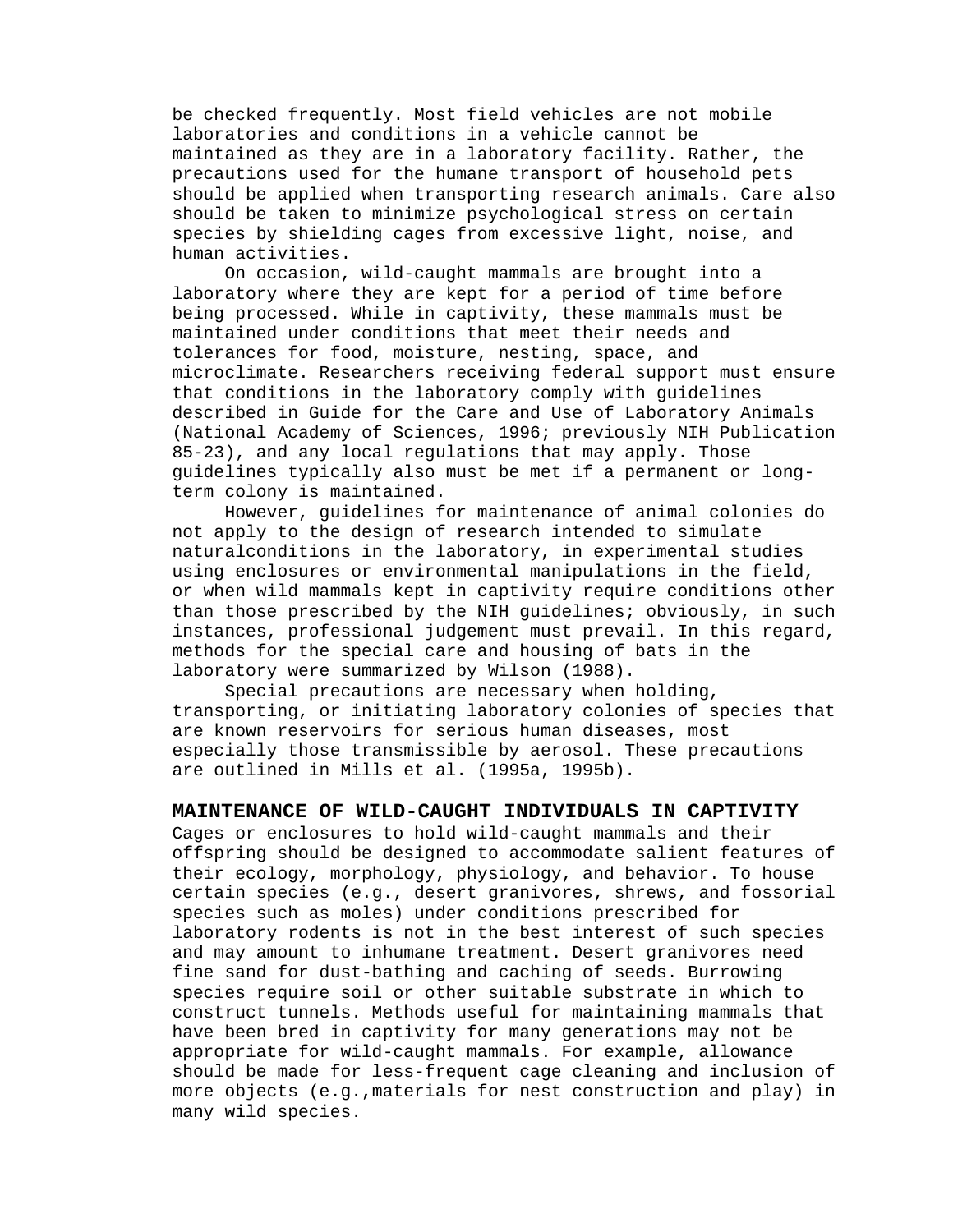be checked frequently. Most field vehicles are not mobile laboratories and conditions in a vehicle cannot be maintained as they are in a laboratory facility. Rather, the precautions used for the humane transport of household pets should be applied when transporting research animals. Care also should be taken to minimize psychological stress on certain species by shielding cages from excessive light, noise, and human activities.

On occasion, wild-caught mammals are brought into a laboratory where they are kept for a period of time before being processed. While in captivity, these mammals must be maintained under conditions that meet their needs and tolerances for food, moisture, nesting, space, and microclimate. Researchers receiving federal support must ensure that conditions in the laboratory comply with guidelines described in Guide for the Care and Use of Laboratory Animals (National Academy of Sciences, 1996; previously NIH Publication 85-23), and any local regulations that may apply. Those guidelines typically also must be met if a permanent or longterm colony is maintained.

However, guidelines for maintenance of animal colonies do not apply to the design of research intended to simulate naturalconditions in the laboratory, in experimental studies using enclosures or environmental manipulations in the field, or when wild mammals kept in captivity require conditions other than those prescribed by the NIH guidelines; obviously, in such instances, professional judgement must prevail. In this regard, methods for the special care and housing of bats in the laboratory were summarized by Wilson (1988).

Special precautions are necessary when holding, transporting, or initiating laboratory colonies of species that are known reservoirs for serious human diseases, most especially those transmissible by aerosol. These precautions are outlined in Mills et al. (1995a, 1995b).

## **MAINTENANCE OF WILD-CAUGHT INDIVIDUALS IN CAPTIVITY**

Cages or enclosures to hold wild-caught mammals and their offspring should be designed to accommodate salient features of their ecology, morphology, physiology, and behavior. To house certain species (e.g., desert granivores, shrews, and fossorial species such as moles) under conditions prescribed for laboratory rodents is not in the best interest of such species and may amount to inhumane treatment. Desert granivores need fine sand for dust-bathing and caching of seeds. Burrowing species require soil or other suitable substrate in which to construct tunnels. Methods useful for maintaining mammals that have been bred in captivity for many generations may not be appropriate for wild-caught mammals. For example, allowance should be made for less-frequent cage cleaning and inclusion of more objects (e.g.,materials for nest construction and play) in many wild species.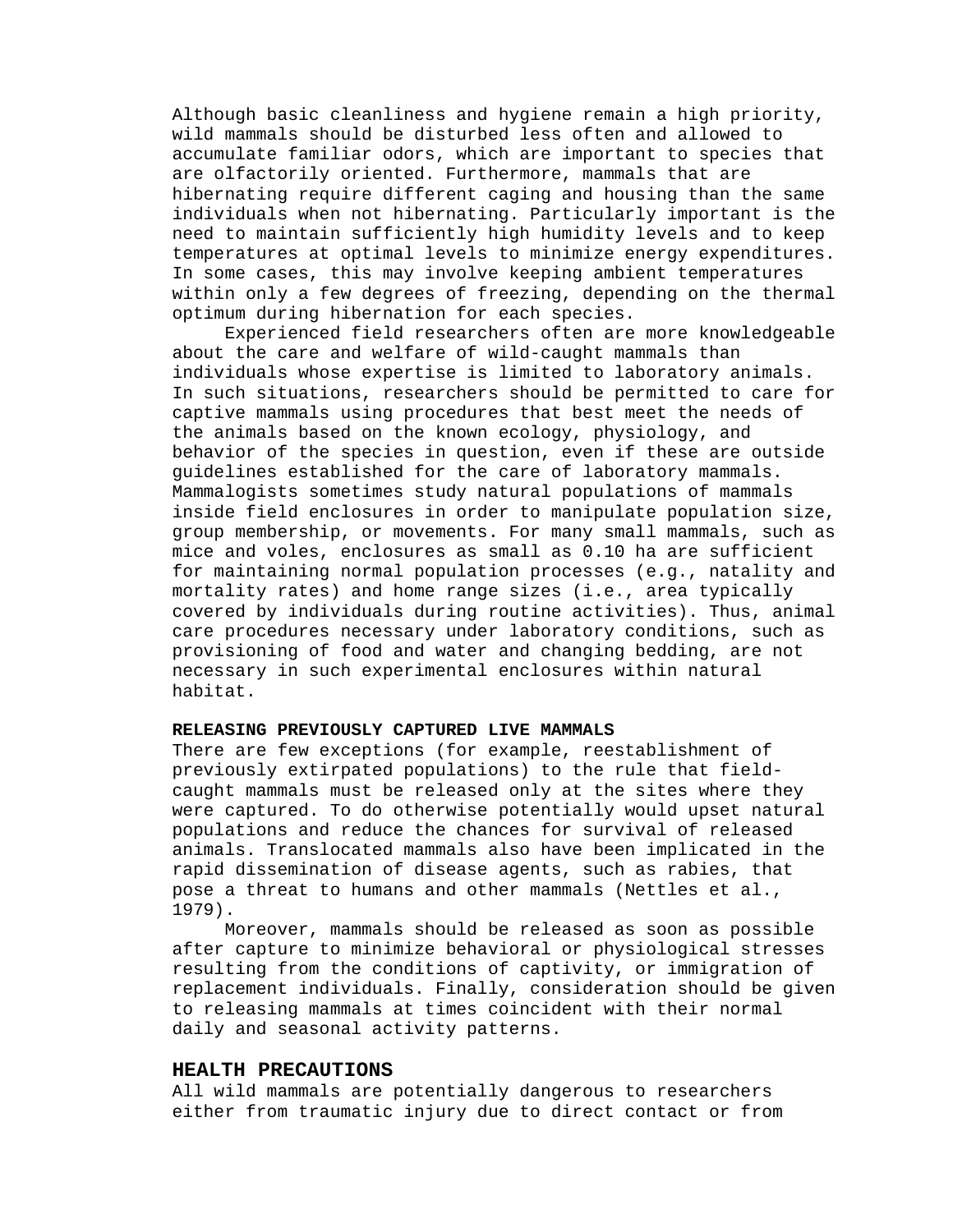Although basic cleanliness and hygiene remain a high priority, wild mammals should be disturbed less often and allowed to accumulate familiar odors, which are important to species that are olfactorily oriented. Furthermore, mammals that are hibernating require different caging and housing than the same individuals when not hibernating. Particularly important is the need to maintain sufficiently high humidity levels and to keep temperatures at optimal levels to minimize energy expenditures. In some cases, this may involve keeping ambient temperatures within only a few degrees of freezing, depending on the thermal optimum during hibernation for each species.

Experienced field researchers often are more knowledgeable about the care and welfare of wild-caught mammals than individuals whose expertise is limited to laboratory animals. In such situations, researchers should be permitted to care for captive mammals using procedures that best meet the needs of the animals based on the known ecology, physiology, and behavior of the species in question, even if these are outside guidelines established for the care of laboratory mammals. Mammalogists sometimes study natural populations of mammals inside field enclosures in order to manipulate population size, group membership, or movements. For many small mammals, such as mice and voles, enclosures as small as 0.10 ha are sufficient for maintaining normal population processes (e.g., natality and mortality rates) and home range sizes (i.e., area typically covered by individuals during routine activities). Thus, animal care procedures necessary under laboratory conditions, such as provisioning of food and water and changing bedding, are not necessary in such experimental enclosures within natural habitat.

#### **RELEASING PREVIOUSLY CAPTURED LIVE MAMMALS**

There are few exceptions (for example, reestablishment of previously extirpated populations) to the rule that fieldcaught mammals must be released only at the sites where they were captured. To do otherwise potentially would upset natural populations and reduce the chances for survival of released animals. Translocated mammals also have been implicated in the rapid dissemination of disease agents, such as rabies, that pose a threat to humans and other mammals (Nettles et al., 1979).

Moreover, mammals should be released as soon as possible after capture to minimize behavioral or physiological stresses resulting from the conditions of captivity, or immigration of replacement individuals. Finally, consideration should be given to releasing mammals at times coincident with their normal daily and seasonal activity patterns.

### **HEALTH PRECAUTIONS**

All wild mammals are potentially dangerous to researchers either from traumatic injury due to direct contact or from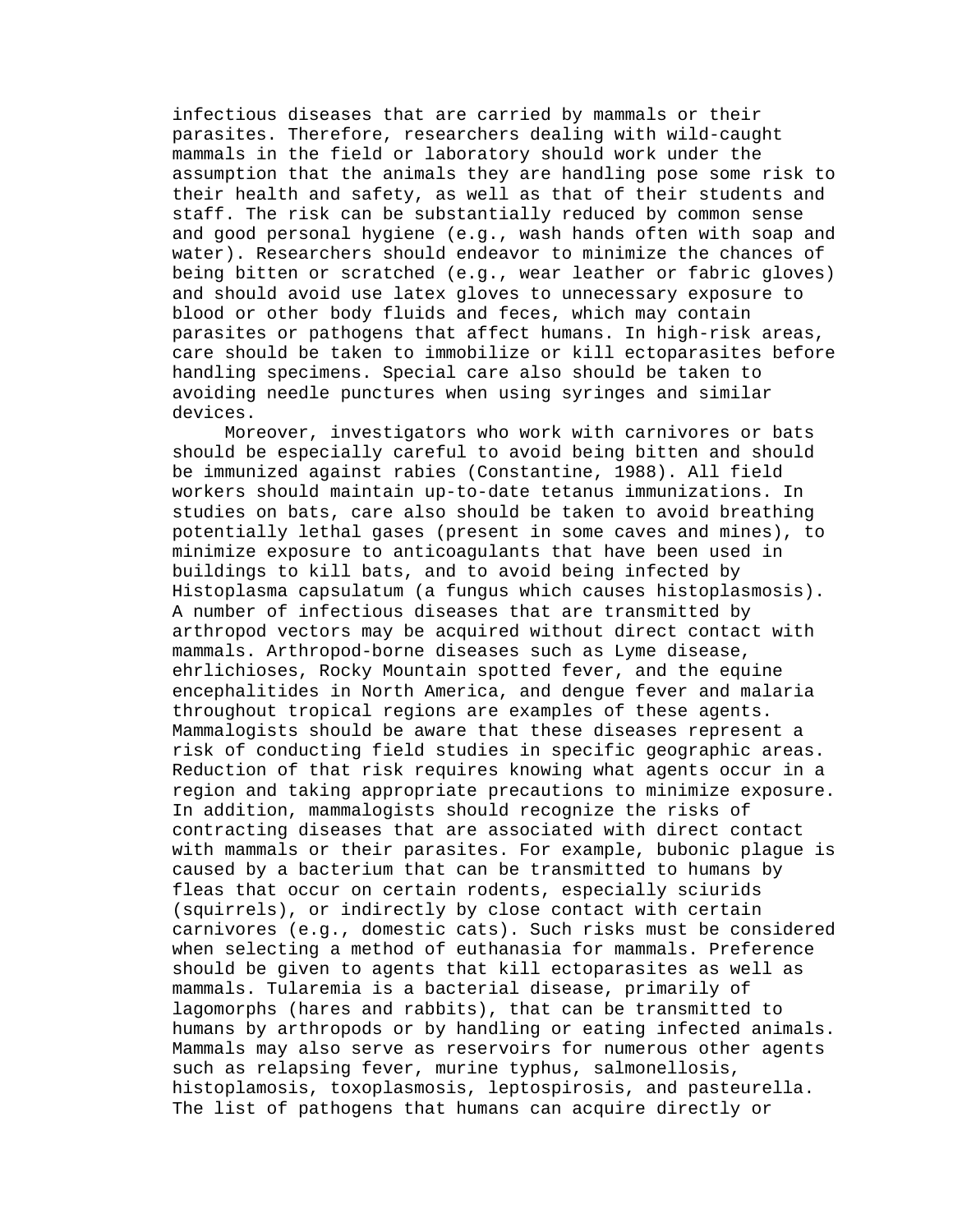infectious diseases that are carried by mammals or their parasites. Therefore, researchers dealing with wild-caught mammals in the field or laboratory should work under the assumption that the animals they are handling pose some risk to their health and safety, as well as that of their students and staff. The risk can be substantially reduced by common sense and good personal hygiene (e.g., wash hands often with soap and water). Researchers should endeavor to minimize the chances of being bitten or scratched (e.g., wear leather or fabric gloves) and should avoid use latex gloves to unnecessary exposure to blood or other body fluids and feces, which may contain parasites or pathogens that affect humans. In high-risk areas, care should be taken to immobilize or kill ectoparasites before handling specimens. Special care also should be taken to avoiding needle punctures when using syringes and similar devices.

Moreover, investigators who work with carnivores or bats should be especially careful to avoid being bitten and should be immunized against rabies (Constantine, 1988). All field workers should maintain up-to-date tetanus immunizations. In studies on bats, care also should be taken to avoid breathing potentially lethal gases (present in some caves and mines), to minimize exposure to anticoagulants that have been used in buildings to kill bats, and to avoid being infected by Histoplasma capsulatum (a fungus which causes histoplasmosis). A number of infectious diseases that are transmitted by arthropod vectors may be acquired without direct contact with mammals. Arthropod-borne diseases such as Lyme disease, ehrlichioses, Rocky Mountain spotted fever, and the equine encephalitides in North America, and dengue fever and malaria throughout tropical regions are examples of these agents. Mammalogists should be aware that these diseases represent a risk of conducting field studies in specific geographic areas. Reduction of that risk requires knowing what agents occur in a region and taking appropriate precautions to minimize exposure. In addition, mammalogists should recognize the risks of contracting diseases that are associated with direct contact with mammals or their parasites. For example, bubonic plague is caused by a bacterium that can be transmitted to humans by fleas that occur on certain rodents, especially sciurids (squirrels), or indirectly by close contact with certain carnivores (e.g., domestic cats). Such risks must be considered when selecting a method of euthanasia for mammals. Preference should be given to agents that kill ectoparasites as well as mammals. Tularemia is a bacterial disease, primarily of lagomorphs (hares and rabbits), that can be transmitted to humans by arthropods or by handling or eating infected animals. Mammals may also serve as reservoirs for numerous other agents such as relapsing fever, murine typhus, salmonellosis, histoplamosis, toxoplasmosis, leptospirosis, and pasteurella. The list of pathogens that humans can acquire directly or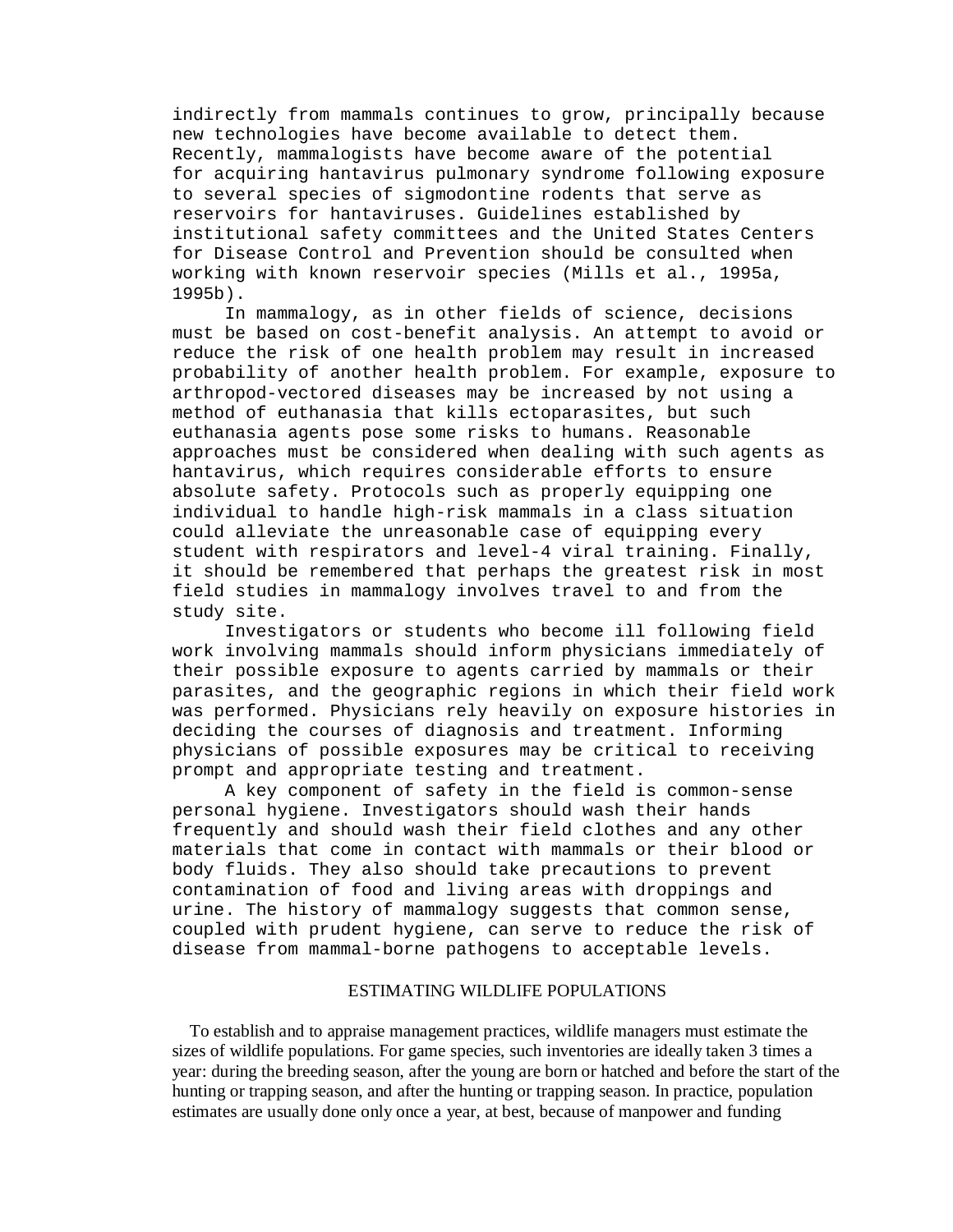indirectly from mammals continues to grow, principally because new technologies have become available to detect them. Recently, mammalogists have become aware of the potential for acquiring hantavirus pulmonary syndrome following exposure to several species of sigmodontine rodents that serve as reservoirs for hantaviruses. Guidelines established by institutional safety committees and the United States Centers for Disease Control and Prevention should be consulted when working with known reservoir species (Mills et al., 1995a, 1995b).

In mammalogy, as in other fields of science, decisions must be based on cost-benefit analysis. An attempt to avoid or reduce the risk of one health problem may result in increased probability of another health problem. For example, exposure to arthropod-vectored diseases may be increased by not using a method of euthanasia that kills ectoparasites, but such euthanasia agents pose some risks to humans. Reasonable approaches must be considered when dealing with such agents as hantavirus, which requires considerable efforts to ensure absolute safety. Protocols such as properly equipping one individual to handle high-risk mammals in a class situation could alleviate the unreasonable case of equipping every student with respirators and level-4 viral training. Finally, it should be remembered that perhaps the greatest risk in most field studies in mammalogy involves travel to and from the study site.

Investigators or students who become ill following field work involving mammals should inform physicians immediately of their possible exposure to agents carried by mammals or their parasites, and the geographic regions in which their field work was performed. Physicians rely heavily on exposure histories in deciding the courses of diagnosis and treatment. Informing physicians of possible exposures may be critical to receiving prompt and appropriate testing and treatment.

A key component of safety in the field is common-sense personal hygiene. Investigators should wash their hands frequently and should wash their field clothes and any other materials that come in contact with mammals or their blood or body fluids. They also should take precautions to prevent contamination of food and living areas with droppings and urine. The history of mammalogy suggests that common sense, coupled with prudent hygiene, can serve to reduce the risk of disease from mammal-borne pathogens to acceptable levels.

#### ESTIMATING WILDLIFE POPULATIONS

To establish and to appraise management practices, wildlife managers must estimate the sizes of wildlife populations. For game species, such inventories are ideally taken 3 times a year: during the breeding season, after the young are born or hatched and before the start of the hunting or trapping season, and after the hunting or trapping season. In practice, population estimates are usually done only once a year, at best, because of manpower and funding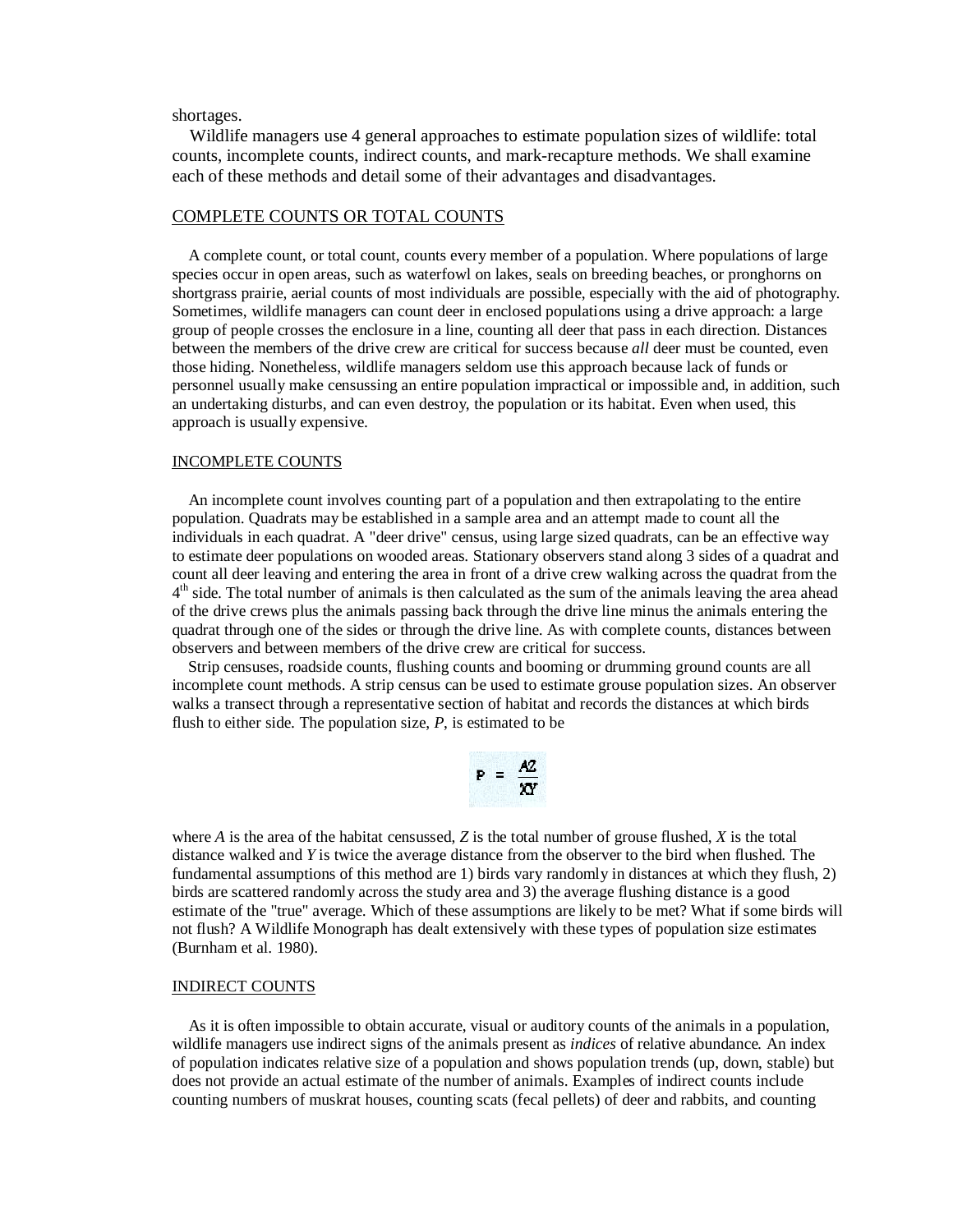shortages.

Wildlife managers use 4 general approaches to estimate population sizes of wildlife: total counts, incomplete counts, indirect counts, and mark-recapture methods. We shall examine each of these methods and detail some of their advantages and disadvantages.

## COMPLETE COUNTS OR TOTAL COUNTS

A complete count, or total count, counts every member of a population. Where populations of large species occur in open areas, such as waterfowl on lakes, seals on breeding beaches, or pronghorns on shortgrass prairie, aerial counts of most individuals are possible, especially with the aid of photography. Sometimes, wildlife managers can count deer in enclosed populations using a drive approach: a large group of people crosses the enclosure in a line, counting all deer that pass in each direction. Distances between the members of the drive crew are critical for success because *all* deer must be counted, even those hiding. Nonetheless, wildlife managers seldom use this approach because lack of funds or personnel usually make censussing an entire population impractical or impossible and, in addition, such an undertaking disturbs, and can even destroy, the population or its habitat. Even when used, this approach is usually expensive.

## INCOMPLETE COUNTS

An incomplete count involves counting part of a population and then extrapolating to the entire population. Quadrats may be established in a sample area and an attempt made to count all the individuals in each quadrat. A "deer drive" census, using large sized quadrats, can be an effective way to estimate deer populations on wooded areas. Stationary observers stand along 3 sides of a quadrat and count all deer leaving and entering the area in front of a drive crew walking across the quadrat from the 4<sup>th</sup> side. The total number of animals is then calculated as the sum of the animals leaving the area ahead of the drive crews plus the animals passing back through the drive line minus the animals entering the quadrat through one of the sides or through the drive line. As with complete counts, distances between observers and between members of the drive crew are critical for success.

Strip censuses, roadside counts, flushing counts and booming or drumming ground counts are all incomplete count methods. A strip census can be used to estimate grouse population sizes. An observer walks a transect through a representative section of habitat and records the distances at which birds flush to either side. The population size, *P*, is estimated to be

$$
P = \frac{AZ}{XY}
$$

where  $A$  is the area of the habitat censussed,  $Z$  is the total number of grouse flushed,  $X$  is the total distance walked and *Y* is twice the average distance from the observer to the bird when flushed. The fundamental assumptions of this method are 1) birds vary randomly in distances at which they flush, 2) birds are scattered randomly across the study area and 3) the average flushing distance is a good estimate of the "true" average. Which of these assumptions are likely to be met? What if some birds will not flush? A Wildlife Monograph has dealt extensively with these types of population size estimates (Burnham et al. 1980).

## INDIRECT COUNTS

As it is often impossible to obtain accurate, visual or auditory counts of the animals in a population, wildlife managers use indirect signs of the animals present as *indices* of relative abundance. An index of population indicates relative size of a population and shows population trends (up, down, stable) but does not provide an actual estimate of the number of animals. Examples of indirect counts include counting numbers of muskrat houses, counting scats (fecal pellets) of deer and rabbits, and counting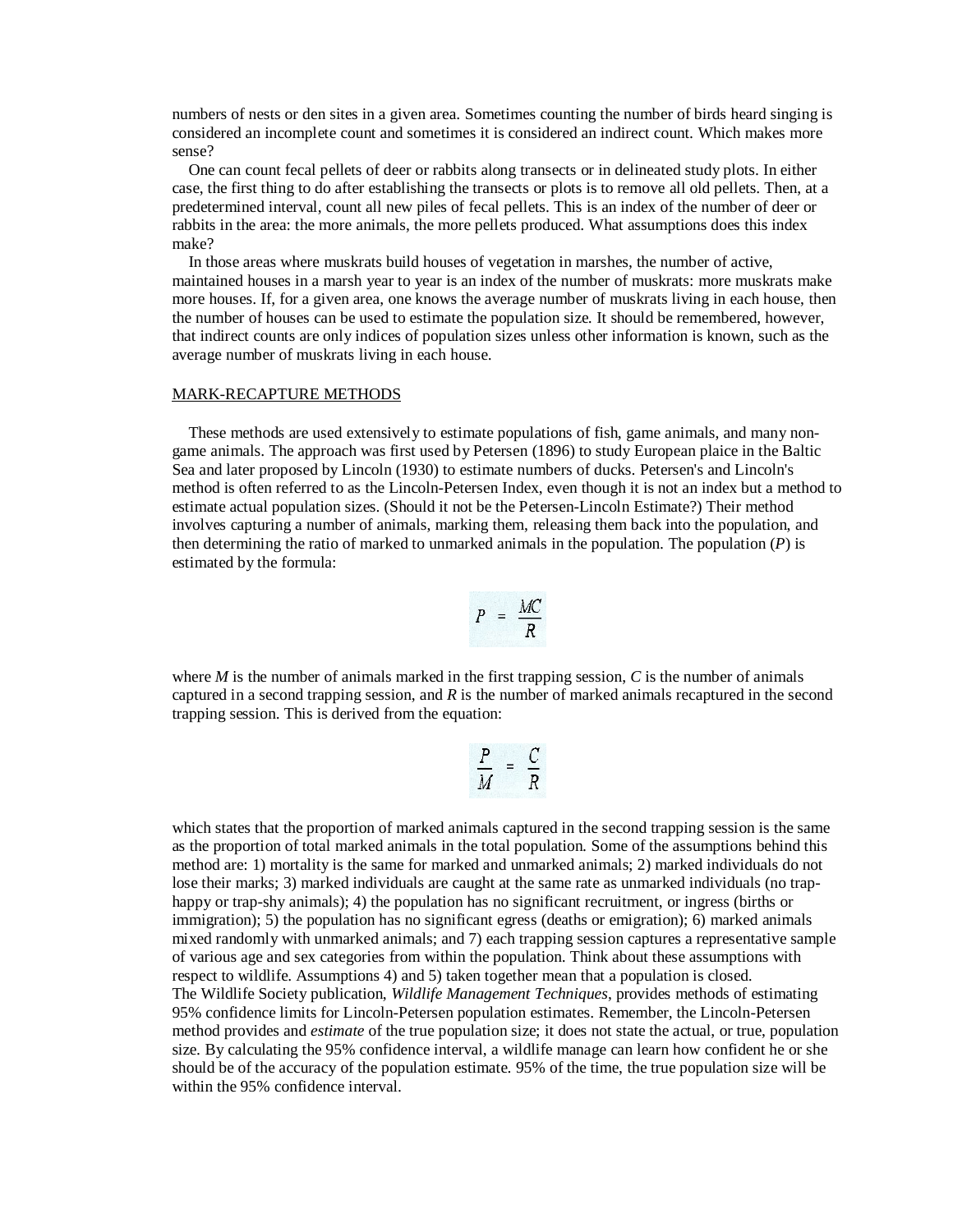numbers of nests or den sites in a given area. Sometimes counting the number of birds heard singing is considered an incomplete count and sometimes it is considered an indirect count. Which makes more sense?

One can count fecal pellets of deer or rabbits along transects or in delineated study plots. In either case, the first thing to do after establishing the transects or plots is to remove all old pellets. Then, at a predetermined interval, count all new piles of fecal pellets. This is an index of the number of deer or rabbits in the area: the more animals, the more pellets produced. What assumptions does this index make?

In those areas where muskrats build houses of vegetation in marshes, the number of active, maintained houses in a marsh year to year is an index of the number of muskrats: more muskrats make more houses. If, for a given area, one knows the average number of muskrats living in each house, then the number of houses can be used to estimate the population size. It should be remembered, however, that indirect counts are only indices of population sizes unless other information is known, such as the average number of muskrats living in each house.

### MARK-RECAPTURE METHODS

These methods are used extensively to estimate populations of fish, game animals, and many nongame animals. The approach was first used by Petersen (1896) to study European plaice in the Baltic Sea and later proposed by Lincoln (1930) to estimate numbers of ducks. Petersen's and Lincoln's method is often referred to as the Lincoln-Petersen Index, even though it is not an index but a method to estimate actual population sizes. (Should it not be the Petersen-Lincoln Estimate?) Their method involves capturing a number of animals, marking them, releasing them back into the population, and then determining the ratio of marked to unmarked animals in the population. The population  $(P)$  is estimated by the formula:

$$
P = \frac{MC}{R}
$$

where *M* is the number of animals marked in the first trapping session, *C* is the number of animals captured in a second trapping session, and *R* is the number of marked animals recaptured in the second trapping session. This is derived from the equation:

| P | ⋍ | C              |
|---|---|----------------|
| M |   | $\overline{R}$ |

which states that the proportion of marked animals captured in the second trapping session is the same as the proportion of total marked animals in the total population. Some of the assumptions behind this method are: 1) mortality is the same for marked and unmarked animals; 2) marked individuals do not lose their marks; 3) marked individuals are caught at the same rate as unmarked individuals (no traphappy or trap-shy animals); 4) the population has no significant recruitment, or ingress (births or immigration); 5) the population has no significant egress (deaths or emigration); 6) marked animals mixed randomly with unmarked animals; and 7) each trapping session captures a representative sample of various age and sex categories from within the population. Think about these assumptions with respect to wildlife. Assumptions 4) and 5) taken together mean that a population is closed. The Wildlife Society publication, *Wildlife Management Techniques*, provides methods of estimating 95% confidence limits for Lincoln-Petersen population estimates. Remember, the Lincoln-Petersen method provides and *estimate* of the true population size; it does not state the actual, or true, population size. By calculating the 95% confidence interval, a wildlife manage can learn how confident he or she should be of the accuracy of the population estimate. 95% of the time, the true population size will be within the 95% confidence interval.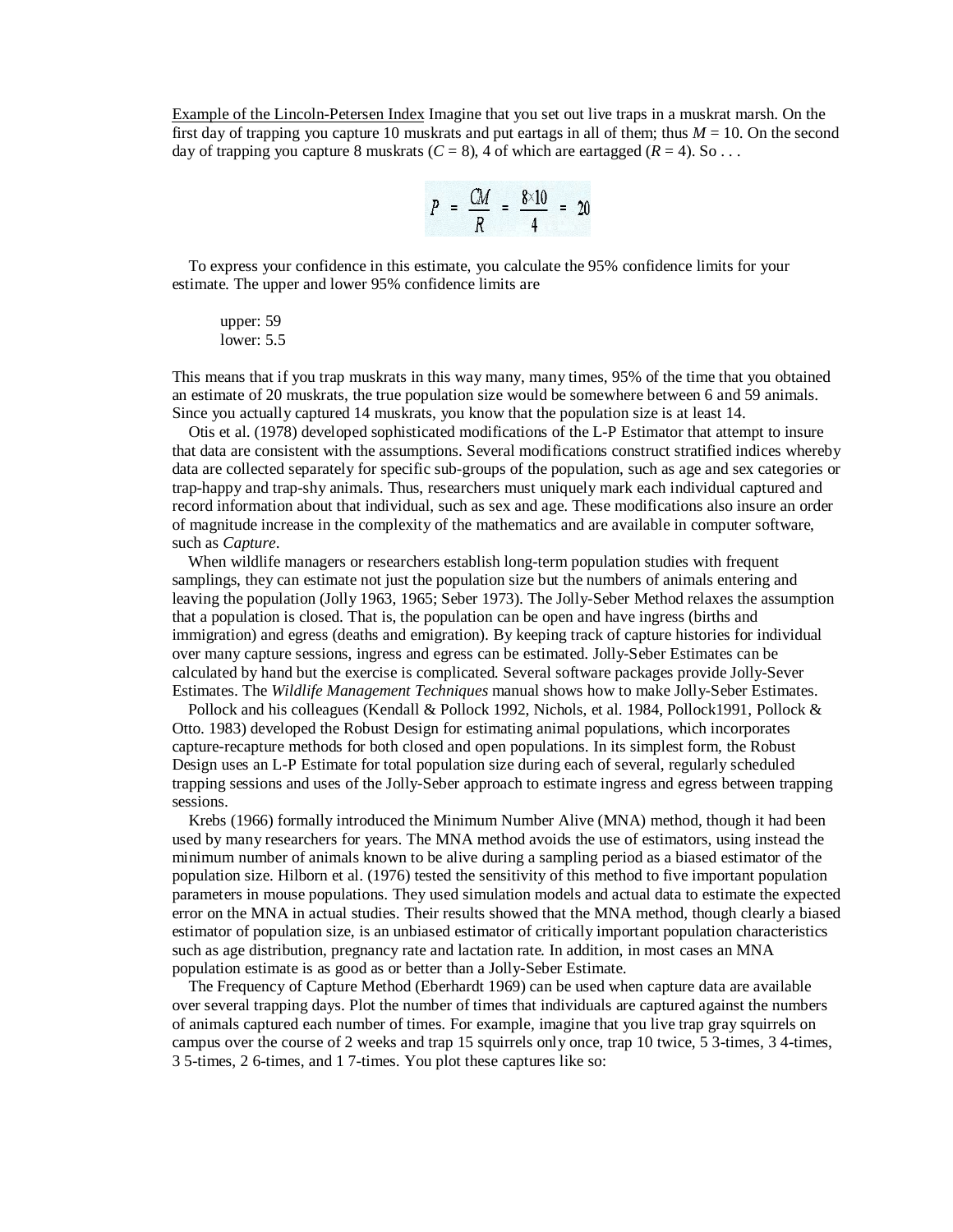Example of the Lincoln-Petersen Index Imagine that you set out live traps in a muskrat marsh. On the first day of trapping you capture 10 muskrats and put eartags in all of them; thus  $M = 10$ . On the second day of trapping you capture 8 muskrats  $(C = 8)$ , 4 of which are eartagged  $(R = 4)$ . So . . .

|  | $P = \frac{CM}{ }$ | $8\times10$ | $= 20$ |
|--|--------------------|-------------|--------|
|  | R                  | $\sim$ 4    |        |

To express your confidence in this estimate, you calculate the 95% confidence limits for your estimate. The upper and lower 95% confidence limits are

upper: 59 lower: 5.5

This means that if you trap muskrats in this way many, many times, 95% of the time that you obtained an estimate of 20 muskrats, the true population size would be somewhere between 6 and 59 animals. Since you actually captured 14 muskrats, you know that the population size is at least 14.

Otis et al. (1978) developed sophisticated modifications of the L-P Estimator that attempt to insure that data are consistent with the assumptions. Several modifications construct stratified indices whereby data are collected separately for specific sub-groups of the population, such as age and sex categories or trap-happy and trap-shy animals. Thus, researchers must uniquely mark each individual captured and record information about that individual, such as sex and age. These modifications also insure an order of magnitude increase in the complexity of the mathematics and are available in computer software, such as *Capture*.

When wildlife managers or researchers establish long-term population studies with frequent samplings, they can estimate not just the population size but the numbers of animals entering and leaving the population (Jolly 1963, 1965; Seber 1973). The Jolly-Seber Method relaxes the assumption that a population is closed. That is, the population can be open and have ingress (births and immigration) and egress (deaths and emigration). By keeping track of capture histories for individual over many capture sessions, ingress and egress can be estimated. Jolly-Seber Estimates can be calculated by hand but the exercise is complicated. Several software packages provide Jolly-Sever Estimates. The *Wildlife Management Techniques* manual shows how to make Jolly-Seber Estimates.

Pollock and his colleagues (Kendall & Pollock 1992, Nichols, et al. 1984, Pollock1991, Pollock & Otto. 1983) developed the Robust Design for estimating animal populations, which incorporates capture-recapture methods for both closed and open populations. In its simplest form, the Robust Design uses an L-P Estimate for total population size during each of several, regularly scheduled trapping sessions and uses of the Jolly-Seber approach to estimate ingress and egress between trapping sessions.

Krebs (1966) formally introduced the Minimum Number Alive (MNA) method, though it had been used by many researchers for years. The MNA method avoids the use of estimators, using instead the minimum number of animals known to be alive during a sampling period as a biased estimator of the population size. Hilborn et al. (1976) tested the sensitivity of this method to five important population parameters in mouse populations. They used simulation models and actual data to estimate the expected error on the MNA in actual studies. Their results showed that the MNA method, though clearly a biased estimator of population size, is an unbiased estimator of critically important population characteristics such as age distribution, pregnancy rate and lactation rate. In addition, in most cases an MNA population estimate is as good as or better than a Jolly-Seber Estimate.

The Frequency of Capture Method (Eberhardt 1969) can be used when capture data are available over several trapping days. Plot the number of times that individuals are captured against the numbers of animals captured each number of times. For example, imagine that you live trap gray squirrels on campus over the course of 2 weeks and trap 15 squirrels only once, trap 10 twice, 5 3-times, 3 4-times, 3 5-times, 2 6-times, and 1 7-times. You plot these captures like so: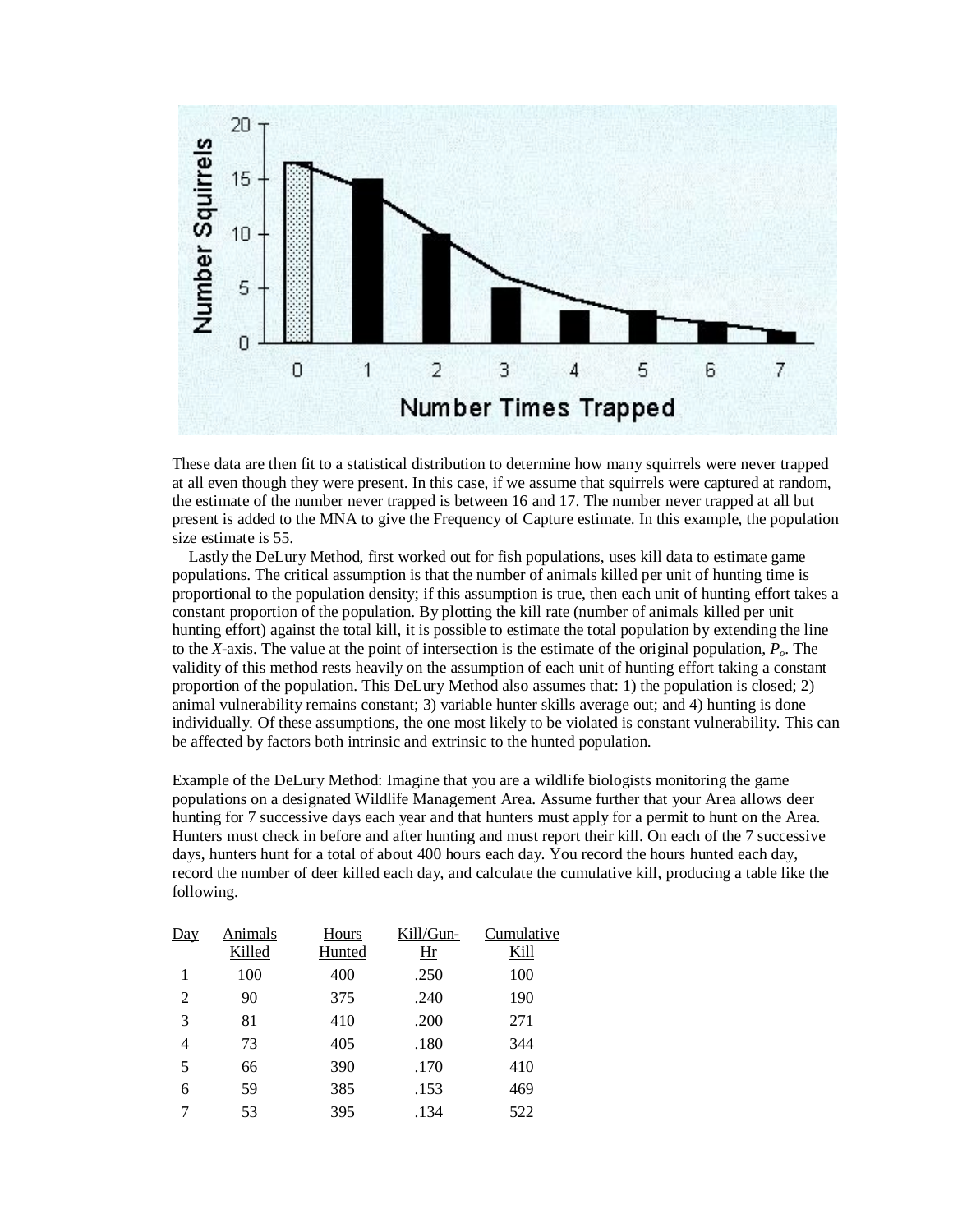

These data are then fit to a statistical distribution to determine how many squirrels were never trapped at all even though they were present. In this case, if we assume that squirrels were captured at random, the estimate of the number never trapped is between 16 and 17. The number never trapped at all but present is added to the MNA to give the Frequency of Capture estimate. In this example, the population size estimate is 55.

Lastly the DeLury Method, first worked out for fish populations, uses kill data to estimate game populations. The critical assumption is that the number of animals killed per unit of hunting time is proportional to the population density; if this assumption is true, then each unit of hunting effort takes a constant proportion of the population. By plotting the kill rate (number of animals killed per unit hunting effort) against the total kill, it is possible to estimate the total population by extending the line to the *X*-axis. The value at the point of intersection is the estimate of the original population, *Po*. The validity of this method rests heavily on the assumption of each unit of hunting effort taking a constant proportion of the population. This DeLury Method also assumes that: 1) the population is closed; 2) animal vulnerability remains constant; 3) variable hunter skills average out; and 4) hunting is done individually. Of these assumptions, the one most likely to be violated is constant vulnerability. This can be affected by factors both intrinsic and extrinsic to the hunted population.

Example of the DeLury Method: Imagine that you are a wildlife biologists monitoring the game populations on a designated Wildlife Management Area. Assume further that your Area allows deer hunting for 7 successive days each year and that hunters must apply for a permit to hunt on the Area. Hunters must check in before and after hunting and must report their kill. On each of the 7 successive days, hunters hunt for a total of about 400 hours each day. You record the hours hunted each day, record the number of deer killed each day, and calculate the cumulative kill, producing a table like the following.

| $\overline{Day}$ | Animals | <b>Hours</b> | Kill/Gun- | Cumulative |
|------------------|---------|--------------|-----------|------------|
|                  | Killed  | Hunted       | Hr        | Kill       |
| 1                | 100     | 400          | .250      | 100        |
| $\overline{c}$   | 90      | 375          | .240      | 190        |
| 3                | 81      | 410          | .200      | 271        |
| 4                | 73      | 405          | .180      | 344        |
| 5                | 66      | 390          | .170      | 410        |
| 6                | 59      | 385          | .153      | 469        |
| 7                | 53      | 395          | .134      | 522        |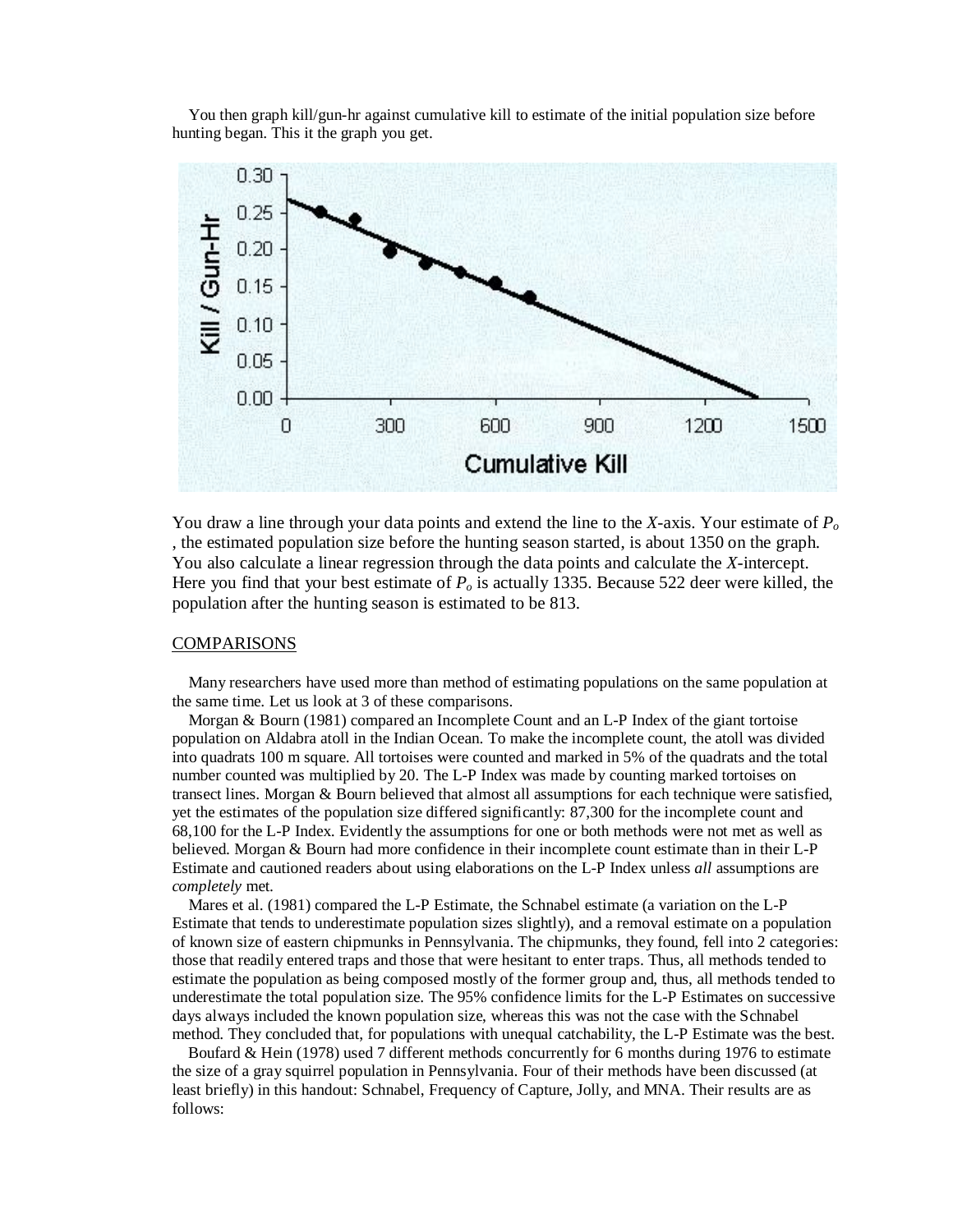You then graph kill/gun-hr against cumulative kill to estimate of the initial population size before hunting began. This it the graph you get.



You draw a line through your data points and extend the line to the *X*-axis. Your estimate of *P<sup>o</sup>* , the estimated population size before the hunting season started, is about 1350 on the graph. You also calculate a linear regression through the data points and calculate the *X*-intercept. Here you find that your best estimate of *P<sup>o</sup>* is actually 1335. Because 522 deer were killed, the population after the hunting season is estimated to be 813.

#### **COMPARISONS**

Many researchers have used more than method of estimating populations on the same population at the same time. Let us look at 3 of these comparisons.

Morgan & Bourn (1981) compared an Incomplete Count and an L-P Index of the giant tortoise population on Aldabra atoll in the Indian Ocean. To make the incomplete count, the atoll was divided into quadrats 100 m square. All tortoises were counted and marked in 5% of the quadrats and the total number counted was multiplied by 20. The L-P Index was made by counting marked tortoises on transect lines. Morgan & Bourn believed that almost all assumptions for each technique were satisfied, yet the estimates of the population size differed significantly: 87,300 for the incomplete count and 68,100 for the L-P Index. Evidently the assumptions for one or both methods were not met as well as believed. Morgan & Bourn had more confidence in their incomplete count estimate than in their L-P Estimate and cautioned readers about using elaborations on the L-P Index unless *all* assumptions are *completely* met.

Mares et al. (1981) compared the L-P Estimate, the Schnabel estimate (a variation on the L-P Estimate that tends to underestimate population sizes slightly), and a removal estimate on a population of known size of eastern chipmunks in Pennsylvania. The chipmunks, they found, fell into 2 categories: those that readily entered traps and those that were hesitant to enter traps. Thus, all methods tended to estimate the population as being composed mostly of the former group and, thus, all methods tended to underestimate the total population size. The 95% confidence limits for the L-P Estimates on successive days always included the known population size, whereas this was not the case with the Schnabel method. They concluded that, for populations with unequal catchability, the L-P Estimate was the best.

Boufard & Hein (1978) used 7 different methods concurrently for 6 months during 1976 to estimate the size of a gray squirrel population in Pennsylvania. Four of their methods have been discussed (at least briefly) in this handout: Schnabel, Frequency of Capture, Jolly, and MNA. Their results are as follows: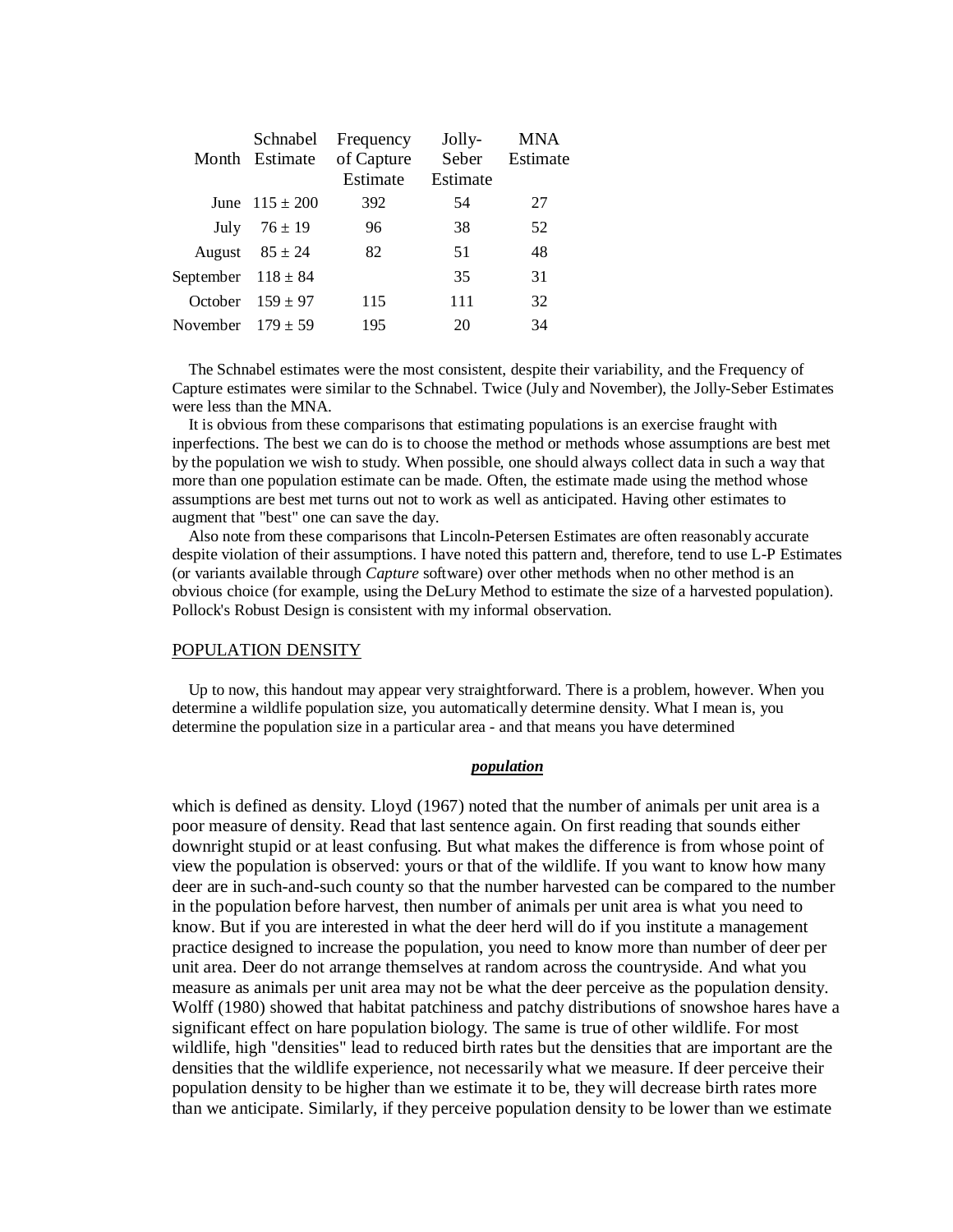|                        | Schnabel<br>Month Estimate | Frequency<br>of Capture<br>Estimate | Jolly-<br>Seber<br>Estimate | <b>MNA</b><br>Estimate |
|------------------------|----------------------------|-------------------------------------|-----------------------------|------------------------|
|                        | June $115 \pm 200$         | 392                                 | 54                          | 27                     |
| July                   | $76 \pm 19$                | 96                                  | 38                          | 52                     |
|                        | August $85 \pm 24$         | 82                                  | 51                          | 48                     |
| September $118 \pm 84$ |                            |                                     | 35                          | 31                     |
|                        | October $159 \pm 97$       | 115                                 | 111                         | 32                     |
| November $179 + 59$    |                            | 195                                 | 20                          | 34                     |

The Schnabel estimates were the most consistent, despite their variability, and the Frequency of Capture estimates were similar to the Schnabel. Twice (July and November), the Jolly-Seber Estimates were less than the MNA.

It is obvious from these comparisons that estimating populations is an exercise fraught with inperfections. The best we can do is to choose the method or methods whose assumptions are best met by the population we wish to study. When possible, one should always collect data in such a way that more than one population estimate can be made. Often, the estimate made using the method whose assumptions are best met turns out not to work as well as anticipated. Having other estimates to augment that "best" one can save the day.

Also note from these comparisons that Lincoln-Petersen Estimates are often reasonably accurate despite violation of their assumptions. I have noted this pattern and, therefore, tend to use L-P Estimates (or variants available through *Capture* software) over other methods when no other method is an obvious choice (for example, using the DeLury Method to estimate the size of a harvested population). Pollock's Robust Design is consistent with my informal observation.

## POPULATION DENSITY

Up to now, this handout may appear very straightforward. There is a problem, however. When you determine a wildlife population size, you automatically determine density. What I mean is, you determine the population size in a particular area - and that means you have determined

### *population*

which is defined as density. Lloyd (1967) noted that the number of animals per unit area is a poor measure of density. Read that last sentence again. On first reading that sounds either downright stupid or at least confusing. But what makes the difference is from whose point of view the population is observed: yours or that of the wildlife. If you want to know how many deer are in such-and-such county so that the number harvested can be compared to the number in the population before harvest, then number of animals per unit area is what you need to know. But if you are interested in what the deer herd will do if you institute a management practice designed to increase the population, you need to know more than number of deer per unit area. Deer do not arrange themselves at random across the countryside. And what you measure as animals per unit area may not be what the deer perceive as the population density. Wolff (1980) showed that habitat patchiness and patchy distributions of snowshoe hares have a significant effect on hare population biology. The same is true of other wildlife. For most wildlife, high "densities" lead to reduced birth rates but the densities that are important are the densities that the wildlife experience, not necessarily what we measure. If deer perceive their population density to be higher than we estimate it to be, they will decrease birth rates more than we anticipate. Similarly, if they perceive population density to be lower than we estimate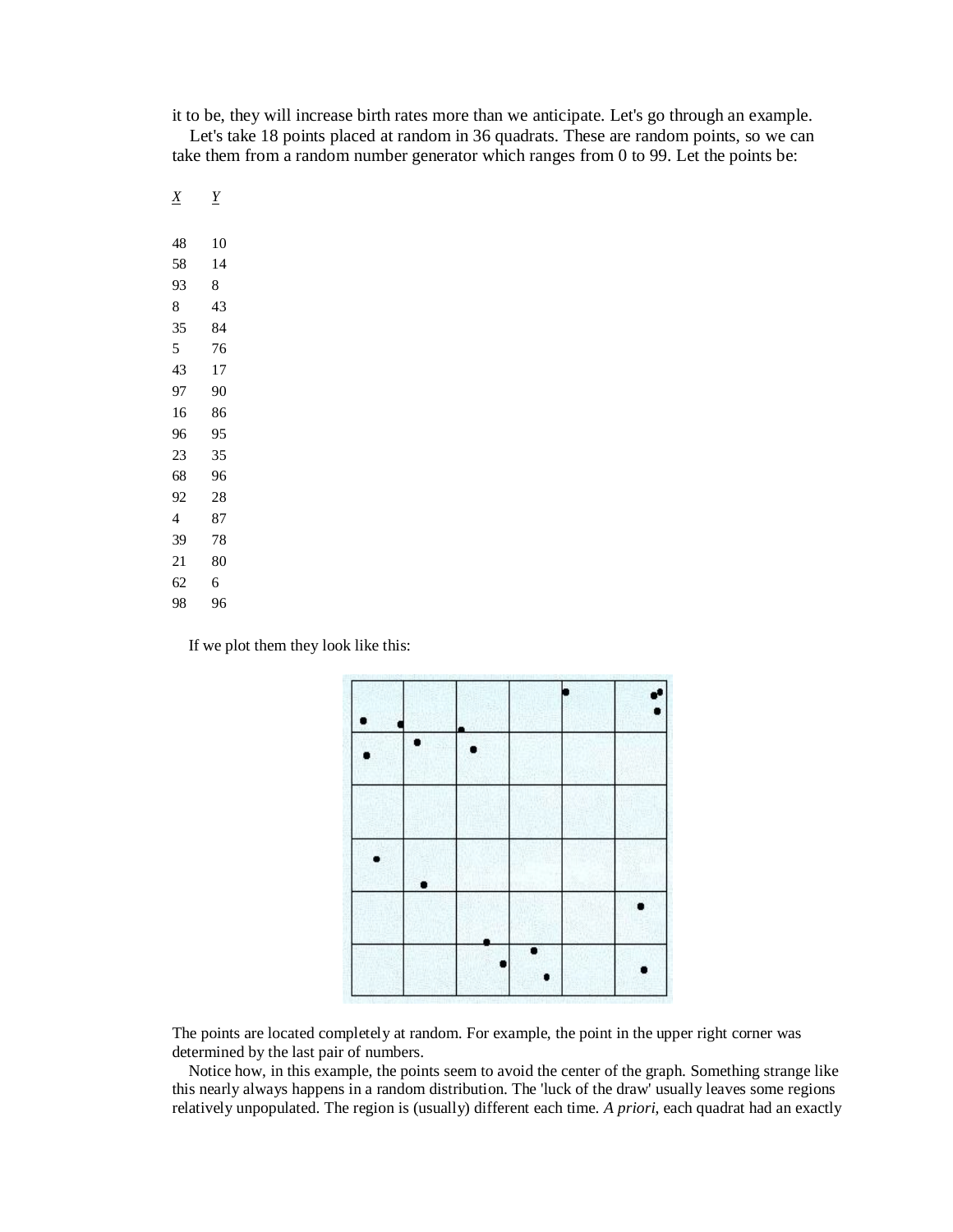it to be, they will increase birth rates more than we anticipate. Let's go through an example.

Let's take 18 points placed at random in 36 quadrats. These are random points, so we can take them from a random number generator which ranges from 0 to 99. Let the points be:

| Y  |
|----|
|    |
| 10 |
| 14 |
| 8  |
| 43 |
| 84 |
| 76 |
| 17 |
| 90 |
| 86 |
| 95 |
| 35 |
| 96 |
| 28 |
| 87 |
| 78 |
| 80 |
| 6  |
| 96 |
|    |

If we plot them they look like this:

The points are located completely at random. For example, the point in the upper right corner was determined by the last pair of numbers.

Notice how, in this example, the points seem to avoid the center of the graph. Something strange like this nearly always happens in a random distribution. The 'luck of the draw' usually leaves some regions relatively unpopulated. The region is (usually) different each time. *A priori*, each quadrat had an exactly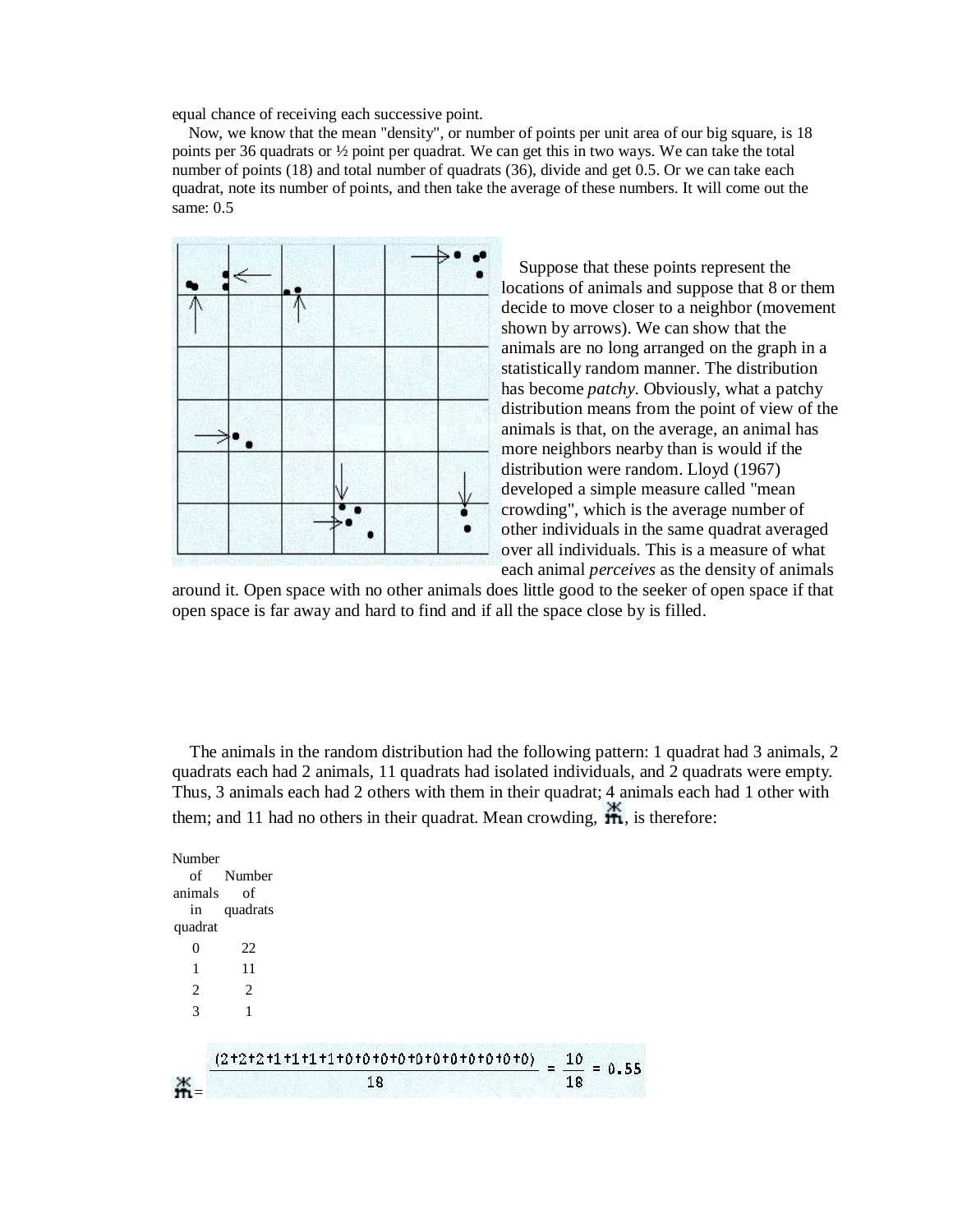equal chance of receiving each successive point.

Now, we know that the mean "density", or number of points per unit area of our big square, is 18 points per 36 quadrats or ½ point per quadrat. We can get this in two ways. We can take the total number of points (18) and total number of quadrats (36), divide and get 0.5. Or we can take each quadrat, note its number of points, and then take the average of these numbers. It will come out the same: 0.5



Suppose that these points represent the locations of animals and suppose that 8 or them decide to move closer to a neighbor (movement shown by arrows). We can show that the animals are no long arranged on the graph in a statistically random manner. The distribution has become *patchy*. Obviously, what a patchy distribution means from the point of view of the animals is that, on the average, an animal has more neighbors nearby than is would if the distribution were random. Lloyd (1967) developed a simple measure called "mean crowding", which is the average number of other individuals in the same quadrat averaged over all individuals. This is a measure of what each animal *perceives* as the density of animals

around it. Open space with no other animals does little good to the seeker of open space if that open space is far away and hard to find and if all the space close by is filled.

The animals in the random distribution had the following pattern: 1 quadrat had 3 animals, 2 quadrats each had 2 animals, 11 quadrats had isolated individuals, and 2 quadrats were empty. Thus, 3 animals each had 2 others with them in their quadrat; 4 animals each had 1 other with them; and 11 had no others in their quadrat. Mean crowding,  $\frac{|\mathbf{X}|}{|\mathbf{H}|}$ , is therefore:

| Number<br>of<br>animals<br>in<br>quadrat | Number<br>of<br>quadrats                  |                      |          |
|------------------------------------------|-------------------------------------------|----------------------|----------|
| $\overline{0}$                           | 22                                        |                      |          |
| 1                                        | 11                                        |                      |          |
| $\overline{c}$                           | $\overline{2}$                            |                      |          |
| 3                                        | 1                                         |                      |          |
| $\mathcal{M}_{\mathrm{c}}$<br>$m =$      | $(2+2+2+1+1+1+0+0+0+0+0+0+0+0+0+0)$<br>18 | $\frac{10}{1}$<br>18 | $= 0.55$ |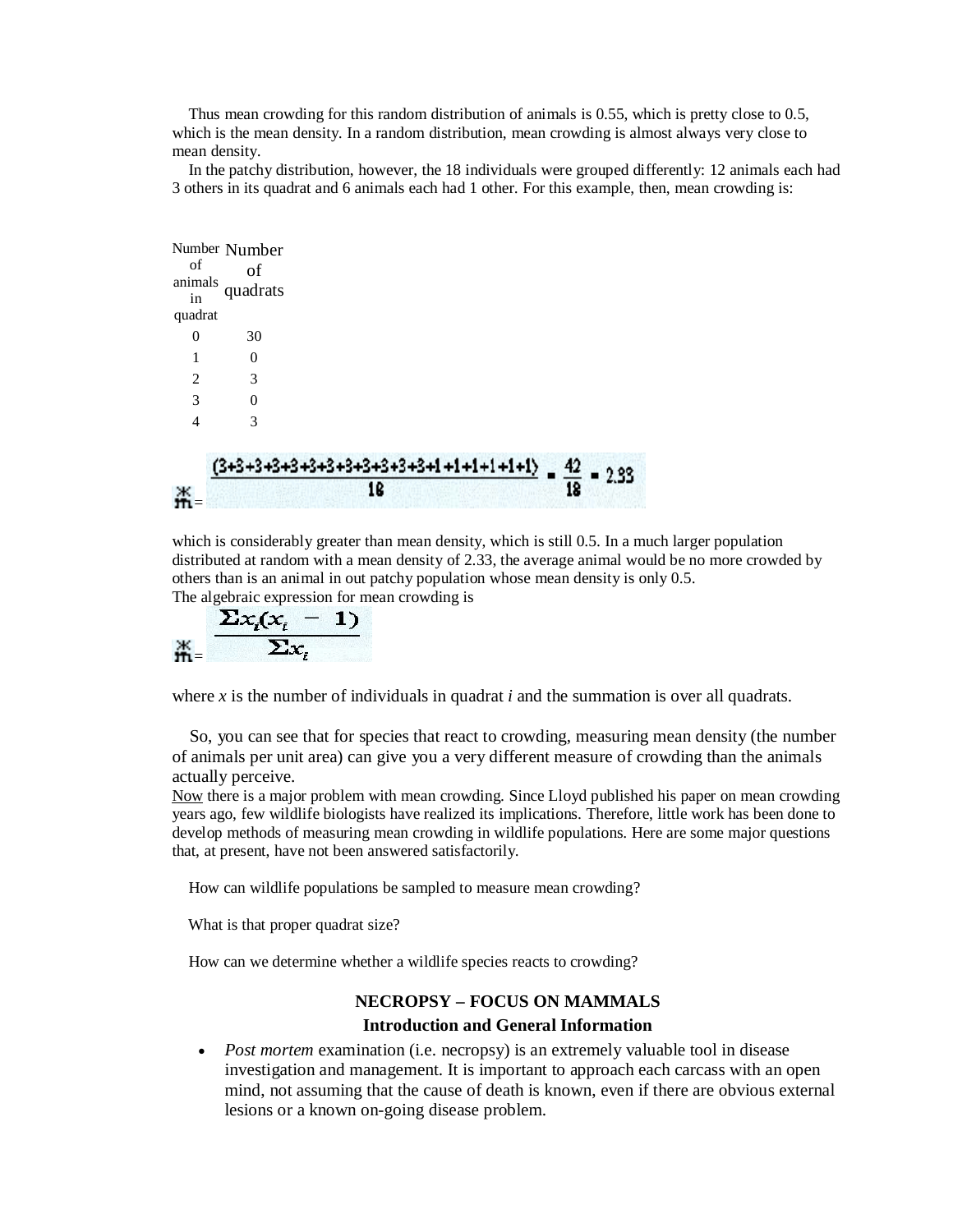Thus mean crowding for this random distribution of animals is 0.55, which is pretty close to 0.5, which is the mean density. In a random distribution, mean crowding is almost always very close to mean density.

In the patchy distribution, however, the 18 individuals were grouped differently: 12 animals each had 3 others in its quadrat and 6 animals each had 1 other. For this example, then, mean crowding is:

| of<br>animals<br>in<br>quadrat | Number Number<br>of<br>quadrats |                      |       |  |
|--------------------------------|---------------------------------|----------------------|-------|--|
| $\Omega$                       | 30                              |                      |       |  |
| 1                              | $\Omega$                        |                      |       |  |
| $\overline{2}$                 | 3                               |                      |       |  |
| 3                              | $\Omega$                        |                      |       |  |
| $\overline{4}$                 | 3                               |                      |       |  |
|                                |                                 | +3+3+3+3+1+1+1+1+1+1 | $-42$ |  |
| $\mathcal{H}$<br>m=            |                                 | 16                   | 18    |  |

which is considerably greater than mean density, which is still 0.5. In a much larger population distributed at random with a mean density of 2.33, the average animal would be no more crowded by others than is an animal in out patchy population whose mean density is only 0.5. The algebraic expression for mean crowding is



where  $\dot{x}$  is the number of individuals in quadrat  $\dot{i}$  and the summation is over all quadrats.

So, you can see that for species that react to crowding, measuring mean density (the number of animals per unit area) can give you a very different measure of crowding than the animals actually perceive.

Now there is a major problem with mean crowding. Since Lloyd published his paper on mean crowding years ago, few wildlife biologists have realized its implications. Therefore, little work has been done to develop methods of measuring mean crowding in wildlife populations. Here are some major questions that, at present, have not been answered satisfactorily.

How can wildlife populations be sampled to measure mean crowding?

What is that proper quadrat size?

How can we determine whether a wildlife species reacts to crowding?

# **NECROPSY – FOCUS ON MAMMALS Introduction and General Information**

*Post mortem* examination (i.e. necropsy) is an extremely valuable tool in disease investigation and management. It is important to approach each carcass with an open mind, not assuming that the cause of death is known, even if there are obvious external lesions or a known on-going disease problem.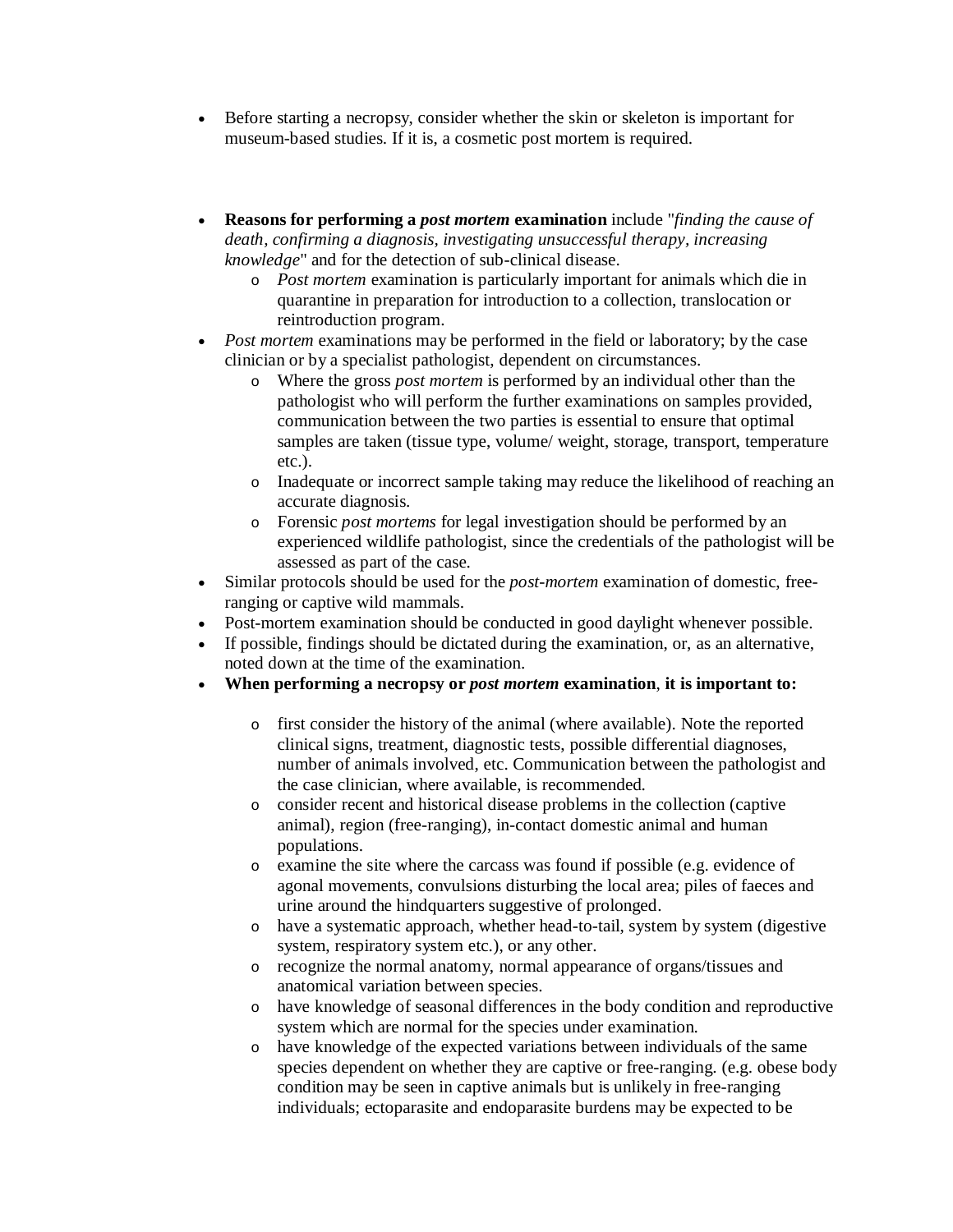- Before starting a necropsy, consider whether the skin or skeleton is important for museum-based studies. If it is, a cosmetic post mortem is required.
- **Reasons for performing a** *post mortem* **examination** include "*finding the cause of death, confirming a diagnosis, investigating unsuccessful therapy, increasing knowledge*" and for the detection of sub-clinical disease.
	- o *Post mortem* examination is particularly important for animals which die in quarantine in preparation for introduction to a collection, translocation or reintroduction program.
- *Post mortem* examinations may be performed in the field or laboratory; by the case clinician or by a specialist pathologist, dependent on circumstances.
	- o Where the gross *post mortem* is performed by an individual other than the pathologist who will perform the further examinations on samples provided, communication between the two parties is essential to ensure that optimal samples are taken (tissue type, volume/ weight, storage, transport, temperature etc.).
	- o Inadequate or incorrect sample taking may reduce the likelihood of reaching an accurate diagnosis.
	- o Forensic *post mortems* for legal investigation should be performed by an experienced wildlife pathologist, since the credentials of the pathologist will be assessed as part of the case.
- Similar protocols should be used for the *post-mortem* examination of domestic, freeranging or captive wild mammals.
- Post-mortem examination should be conducted in good daylight whenever possible.
- If possible, findings should be dictated during the examination, or, as an alternative, noted down at the time of the examination.
- **When performing a necropsy or** *post mortem* **examination**, **it is important to:**
	- o first consider the history of the animal (where available). Note the reported clinical signs, treatment, diagnostic tests, possible differential diagnoses, number of animals involved, etc. Communication between the pathologist and the case clinician, where available, is recommended.
	- o consider recent and historical disease problems in the collection (captive animal), region (free-ranging), in-contact domestic animal and human populations.
	- o examine the site where the carcass was found if possible (e.g. evidence of agonal movements, convulsions disturbing the local area; piles of faeces and urine around the hindquarters suggestive of prolonged.
	- o have a systematic approach, whether head-to-tail, system by system (digestive system, respiratory system etc.), or any other.
	- o recognize the normal anatomy, normal appearance of organs/tissues and anatomical variation between species.
	- o have knowledge of seasonal differences in the body condition and reproductive system which are normal for the species under examination.
	- o have knowledge of the expected variations between individuals of the same species dependent on whether they are captive or free-ranging. (e.g. obese body condition may be seen in captive animals but is unlikely in free-ranging individuals; ectoparasite and endoparasite burdens may be expected to be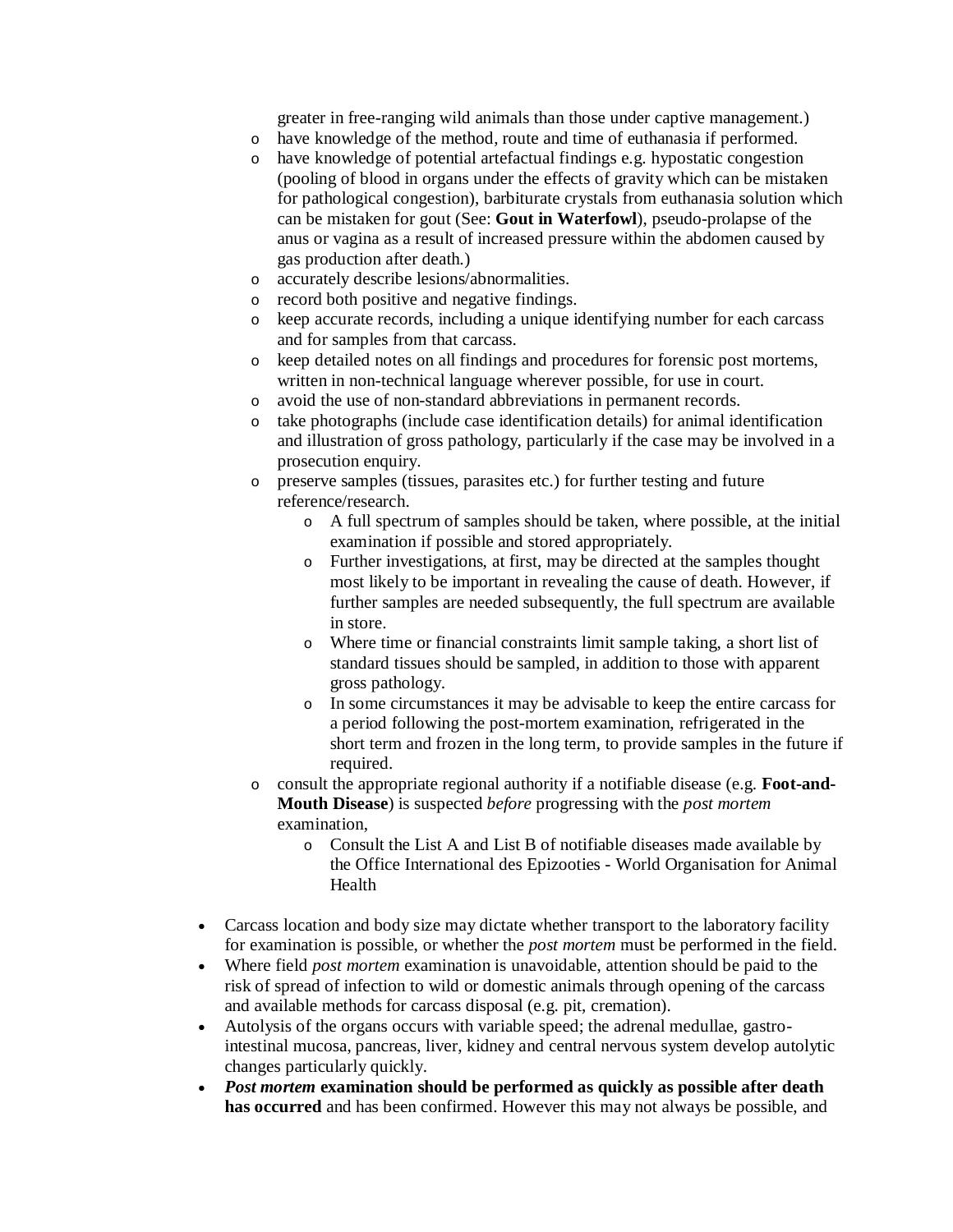greater in free-ranging wild animals than those under captive management.)

- o have knowledge of the method, route and time of euthanasia if performed.
- o have knowledge of potential artefactual findings e.g. hypostatic congestion (pooling of blood in organs under the effects of gravity which can be mistaken for pathological congestion), barbiturate crystals from euthanasia solution which can be mistaken for gout (See: **Gout in Waterfowl**), pseudo-prolapse of the anus or vagina as a result of increased pressure within the abdomen caused by gas production after death.)
- o accurately describe lesions/abnormalities.
- o record both positive and negative findings.
- o keep accurate records, including a unique identifying number for each carcass and for samples from that carcass.
- o keep detailed notes on all findings and procedures for forensic post mortems, written in non-technical language wherever possible, for use in court.
- o avoid the use of non-standard abbreviations in permanent records.
- o take photographs (include case identification details) for animal identification and illustration of gross pathology, particularly if the case may be involved in a prosecution enquiry.
- o preserve samples (tissues, parasites etc.) for further testing and future reference/research.
	- o A full spectrum of samples should be taken, where possible, at the initial examination if possible and stored appropriately.
	- o Further investigations, at first, may be directed at the samples thought most likely to be important in revealing the cause of death. However, if further samples are needed subsequently, the full spectrum are available in store.
	- o Where time or financial constraints limit sample taking, a short list of standard tissues should be sampled, in addition to those with apparent gross pathology.
	- o In some circumstances it may be advisable to keep the entire carcass for a period following the post-mortem examination, refrigerated in the short term and frozen in the long term, to provide samples in the future if required.
- o consult the appropriate regional authority if a notifiable disease (e.g. **Foot-and-Mouth Disease**) is suspected *before* progressing with the *post mortem* examination,
	- o Consult the List A and List B of notifiable diseases made available by the Office International des Epizooties - World Organisation for Animal Health
- Carcass location and body size may dictate whether transport to the laboratory facility for examination is possible, or whether the *post mortem* must be performed in the field.
- Where field *post mortem* examination is unavoidable, attention should be paid to the risk of spread of infection to wild or domestic animals through opening of the carcass and available methods for carcass disposal (e.g. pit, cremation).
- Autolysis of the organs occurs with variable speed; the adrenal medullae, gastrointestinal mucosa, pancreas, liver, kidney and central nervous system develop autolytic changes particularly quickly.
- *Post mortem* **examination should be performed as quickly as possible after death has occurred** and has been confirmed. However this may not always be possible, and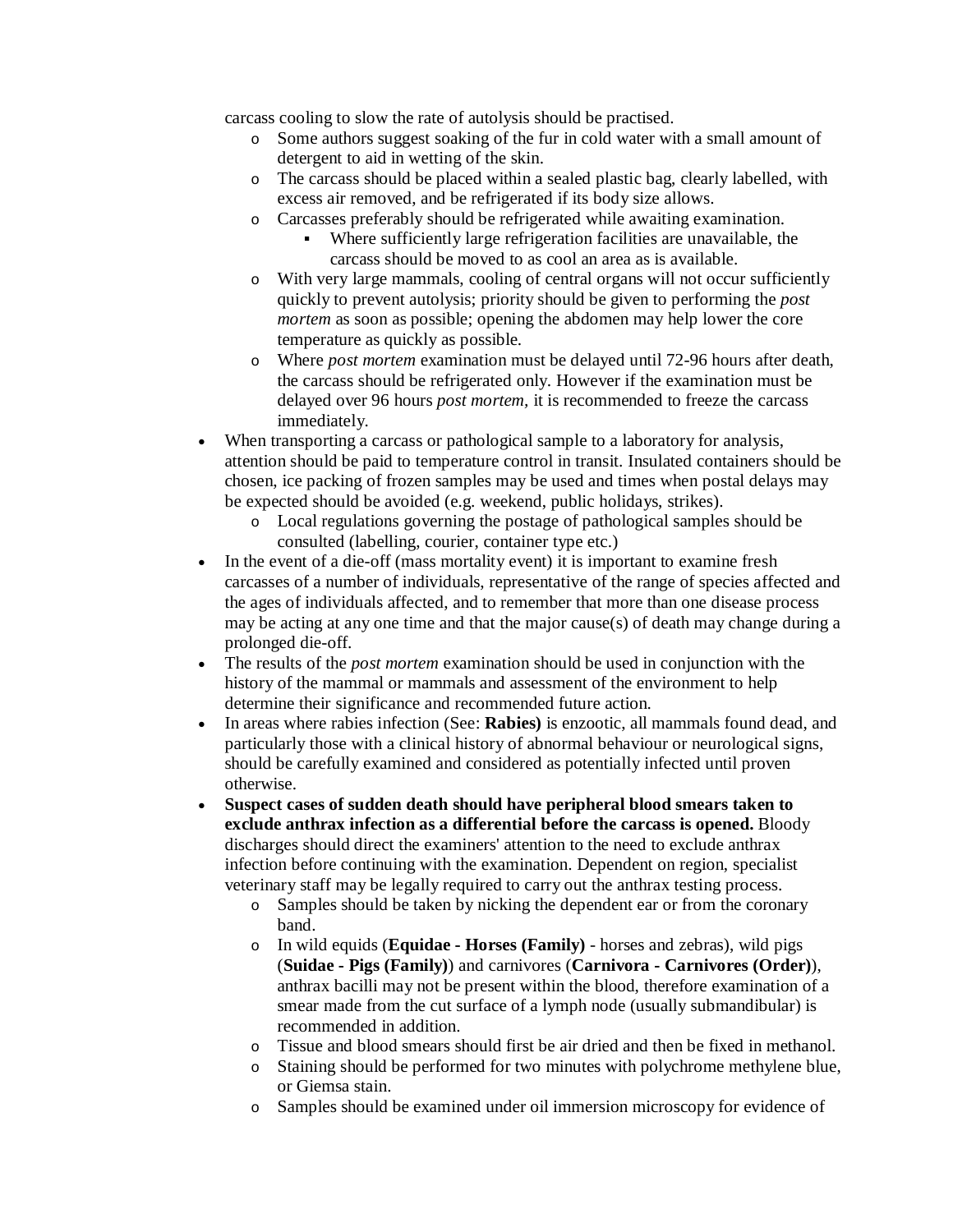carcass cooling to slow the rate of autolysis should be practised.

- o Some authors suggest soaking of the fur in cold water with a small amount of detergent to aid in wetting of the skin.
- o The carcass should be placed within a sealed plastic bag, clearly labelled, with excess air removed, and be refrigerated if its body size allows.
- o Carcasses preferably should be refrigerated while awaiting examination.
	- Where sufficiently large refrigeration facilities are unavailable, the carcass should be moved to as cool an area as is available.
- o With very large mammals, cooling of central organs will not occur sufficiently quickly to prevent autolysis; priority should be given to performing the *post mortem* as soon as possible; opening the abdomen may help lower the core temperature as quickly as possible.
- o Where *post mortem* examination must be delayed until 72-96 hours after death, the carcass should be refrigerated only. However if the examination must be delayed over 96 hours *post mortem,* it is recommended to freeze the carcass immediately.
- When transporting a carcass or pathological sample to a laboratory for analysis, attention should be paid to temperature control in transit. Insulated containers should be chosen, ice packing of frozen samples may be used and times when postal delays may be expected should be avoided (e.g. weekend, public holidays, strikes).
	- o Local regulations governing the postage of pathological samples should be consulted (labelling, courier, container type etc.)
- In the event of a die-off (mass mortality event) it is important to examine fresh carcasses of a number of individuals, representative of the range of species affected and the ages of individuals affected, and to remember that more than one disease process may be acting at any one time and that the major cause(s) of death may change during a prolonged die-off.
- The results of the *post mortem* examination should be used in conjunction with the history of the mammal or mammals and assessment of the environment to help determine their significance and recommended future action.
- In areas where rabies infection (See: **Rabies)** is enzootic, all mammals found dead, and particularly those with a clinical history of abnormal behaviour or neurological signs, should be carefully examined and considered as potentially infected until proven otherwise.
- **Suspect cases of sudden death should have peripheral blood smears taken to exclude anthrax infection as a differential before the carcass is opened.** Bloody discharges should direct the examiners' attention to the need to exclude anthrax infection before continuing with the examination. Dependent on region, specialist veterinary staff may be legally required to carry out the anthrax testing process.
	- o Samples should be taken by nicking the dependent ear or from the coronary band.
	- o In wild equids (**Equidae - Horses (Family)** horses and zebras), wild pigs (**Suidae - Pigs (Family)**) and carnivores (**Carnivora - Carnivores (Order)**), anthrax bacilli may not be present within the blood, therefore examination of a smear made from the cut surface of a lymph node (usually submandibular) is recommended in addition.
	- o Tissue and blood smears should first be air dried and then be fixed in methanol.
	- o Staining should be performed for two minutes with polychrome methylene blue, or Giemsa stain.
	- o Samples should be examined under oil immersion microscopy for evidence of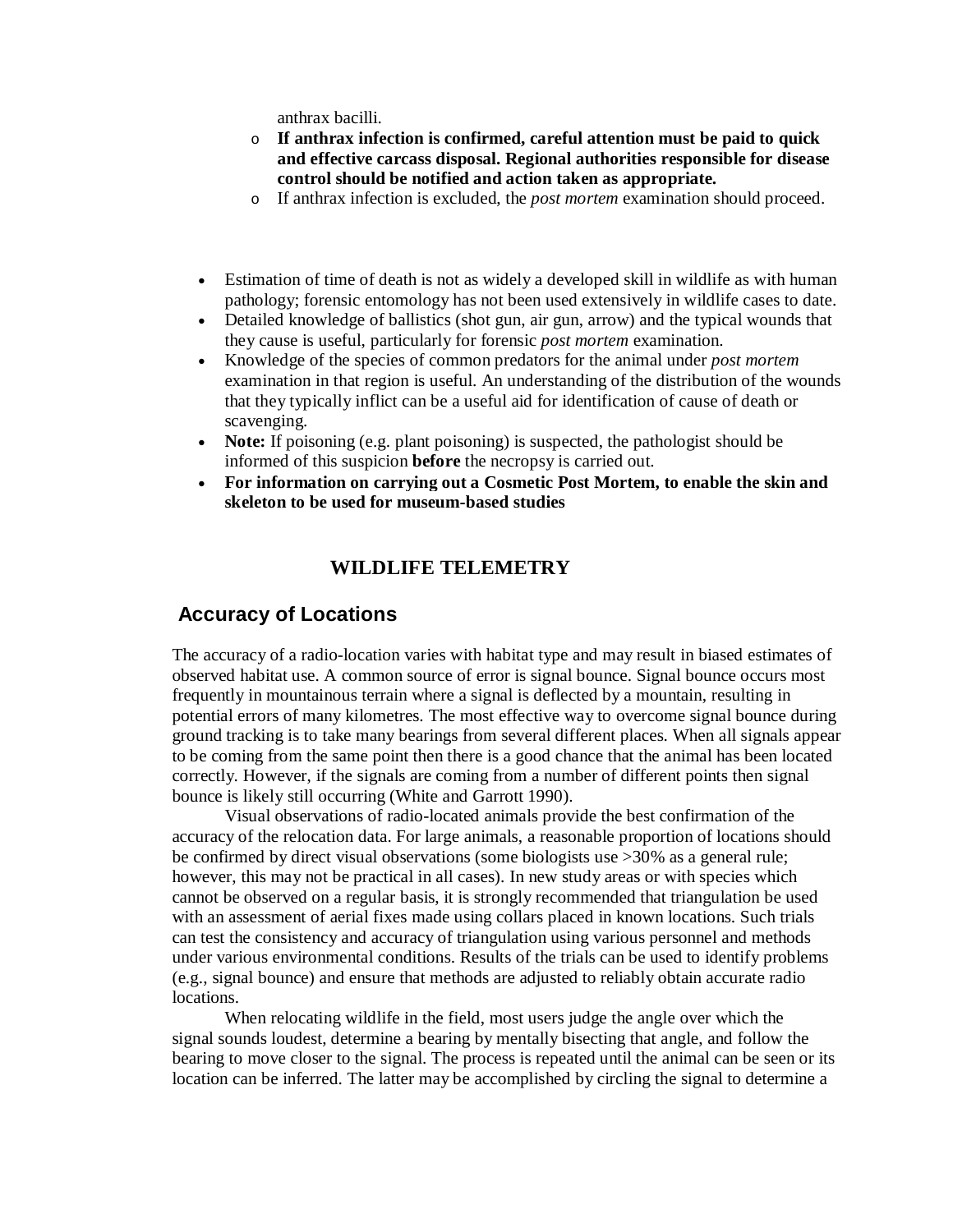anthrax bacilli.

- o **If anthrax infection is confirmed, careful attention must be paid to quick and effective carcass disposal. Regional authorities responsible for disease control should be notified and action taken as appropriate.**
- o If anthrax infection is excluded, the *post mortem* examination should proceed.
- Estimation of time of death is not as widely a developed skill in wildlife as with human pathology; forensic entomology has not been used extensively in wildlife cases to date.
- Detailed knowledge of ballistics (shot gun, air gun, arrow) and the typical wounds that they cause is useful, particularly for forensic *post mortem* examination.
- Knowledge of the species of common predators for the animal under *post mortem*  examination in that region is useful. An understanding of the distribution of the wounds that they typically inflict can be a useful aid for identification of cause of death or scavenging.
- **Note:** If poisoning (e.g. plant poisoning) is suspected, the pathologist should be informed of this suspicion **before** the necropsy is carried out.
- **For information on carrying out a Cosmetic Post Mortem, to enable the skin and skeleton to be used for museum-based studies**

# **WILDLIFE TELEMETRY**

# **Accuracy of Locations**

The accuracy of a radio-location varies with habitat type and may result in biased estimates of observed habitat use. A common source of error is signal bounce. Signal bounce occurs most frequently in mountainous terrain where a signal is deflected by a mountain, resulting in potential errors of many kilometres. The most effective way to overcome signal bounce during ground tracking is to take many bearings from several different places. When all signals appear to be coming from the same point then there is a good chance that the animal has been located correctly. However, if the signals are coming from a number of different points then signal bounce is likely still occurring (White and Garrott 1990).

Visual observations of radio-located animals provide the best confirmation of the accuracy of the relocation data. For large animals, a reasonable proportion of locations should be confirmed by direct visual observations (some biologists use  $>30\%$  as a general rule; however, this may not be practical in all cases). In new study areas or with species which cannot be observed on a regular basis, it is strongly recommended that triangulation be used with an assessment of aerial fixes made using collars placed in known locations. Such trials can test the consistency and accuracy of triangulation using various personnel and methods under various environmental conditions. Results of the trials can be used to identify problems (e.g., signal bounce) and ensure that methods are adjusted to reliably obtain accurate radio locations.

When relocating wildlife in the field, most users judge the angle over which the signal sounds loudest, determine a bearing by mentally bisecting that angle, and follow the bearing to move closer to the signal. The process is repeated until the animal can be seen or its location can be inferred. The latter may be accomplished by circling the signal to determine a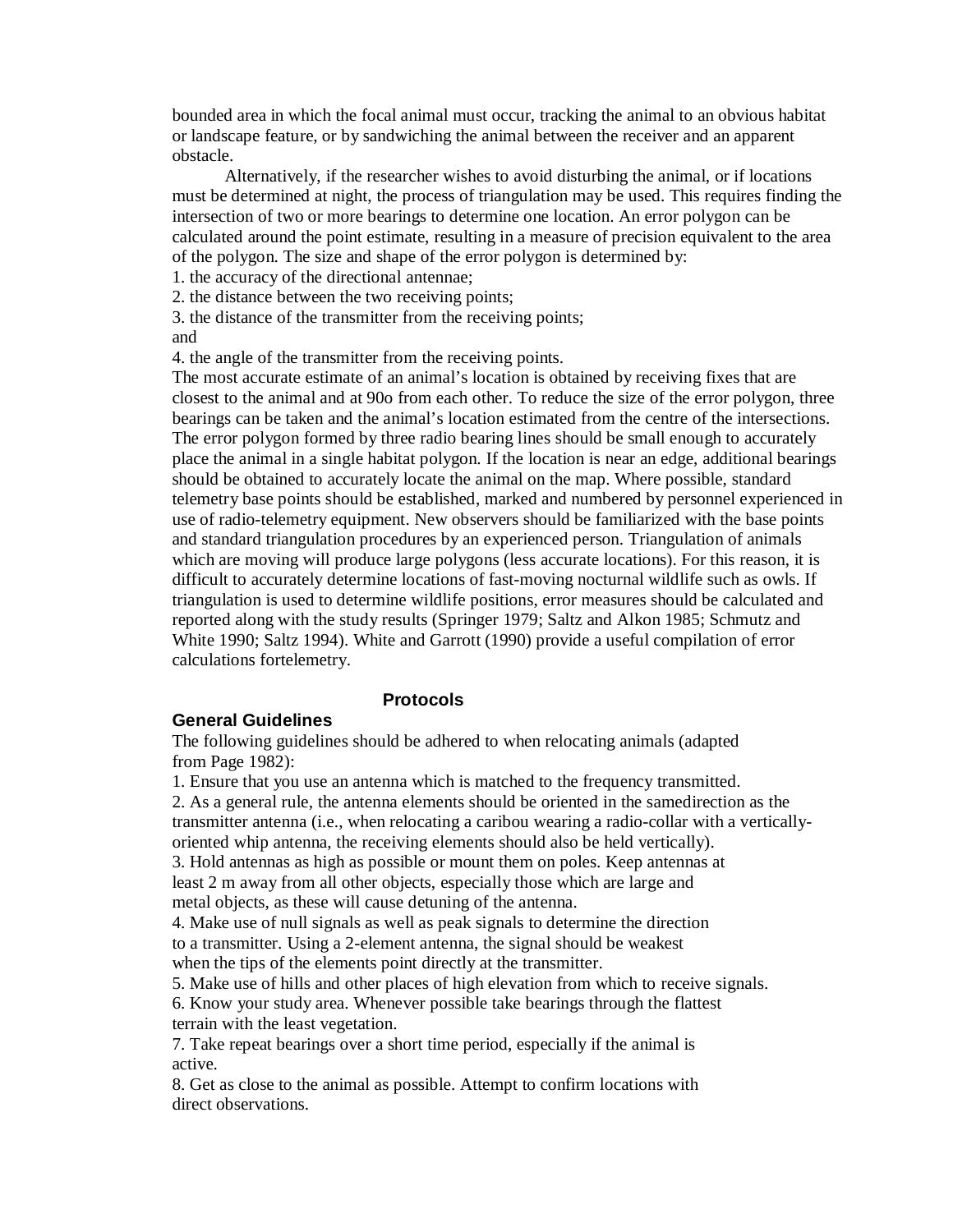bounded area in which the focal animal must occur, tracking the animal to an obvious habitat or landscape feature, or by sandwiching the animal between the receiver and an apparent obstacle.

Alternatively, if the researcher wishes to avoid disturbing the animal, or if locations must be determined at night, the process of triangulation may be used. This requires finding the intersection of two or more bearings to determine one location. An error polygon can be calculated around the point estimate, resulting in a measure of precision equivalent to the area of the polygon. The size and shape of the error polygon is determined by:

1. the accuracy of the directional antennae;

2. the distance between the two receiving points;

3. the distance of the transmitter from the receiving points;

and

4. the angle of the transmitter from the receiving points.

The most accurate estimate of an animal's location is obtained by receiving fixes that are closest to the animal and at 90o from each other. To reduce the size of the error polygon, three bearings can be taken and the animal's location estimated from the centre of the intersections. The error polygon formed by three radio bearing lines should be small enough to accurately place the animal in a single habitat polygon. If the location is near an edge, additional bearings should be obtained to accurately locate the animal on the map. Where possible, standard telemetry base points should be established, marked and numbered by personnel experienced in use of radio-telemetry equipment. New observers should be familiarized with the base points and standard triangulation procedures by an experienced person. Triangulation of animals which are moving will produce large polygons (less accurate locations). For this reason, it is difficult to accurately determine locations of fast-moving nocturnal wildlife such as owls. If triangulation is used to determine wildlife positions, error measures should be calculated and reported along with the study results (Springer 1979; Saltz and Alkon 1985; Schmutz and White 1990; Saltz 1994). White and Garrott (1990) provide a useful compilation of error calculations fortelemetry.

## **General Guidelines**

# **Protocols**

The following guidelines should be adhered to when relocating animals (adapted from Page 1982):

1. Ensure that you use an antenna which is matched to the frequency transmitted. 2. As a general rule, the antenna elements should be oriented in the samedirection as the transmitter antenna (i.e., when relocating a caribou wearing a radio-collar with a verticallyoriented whip antenna, the receiving elements should also be held vertically).

3. Hold antennas as high as possible or mount them on poles. Keep antennas at least 2 m away from all other objects, especially those which are large and metal objects, as these will cause detuning of the antenna.

4. Make use of null signals as well as peak signals to determine the direction to a transmitter. Using a 2-element antenna, the signal should be weakest when the tips of the elements point directly at the transmitter.

5. Make use of hills and other places of high elevation from which to receive signals. 6. Know your study area. Whenever possible take bearings through the flattest terrain with the least vegetation.

7. Take repeat bearings over a short time period, especially if the animal is active.

8. Get as close to the animal as possible. Attempt to confirm locations with direct observations.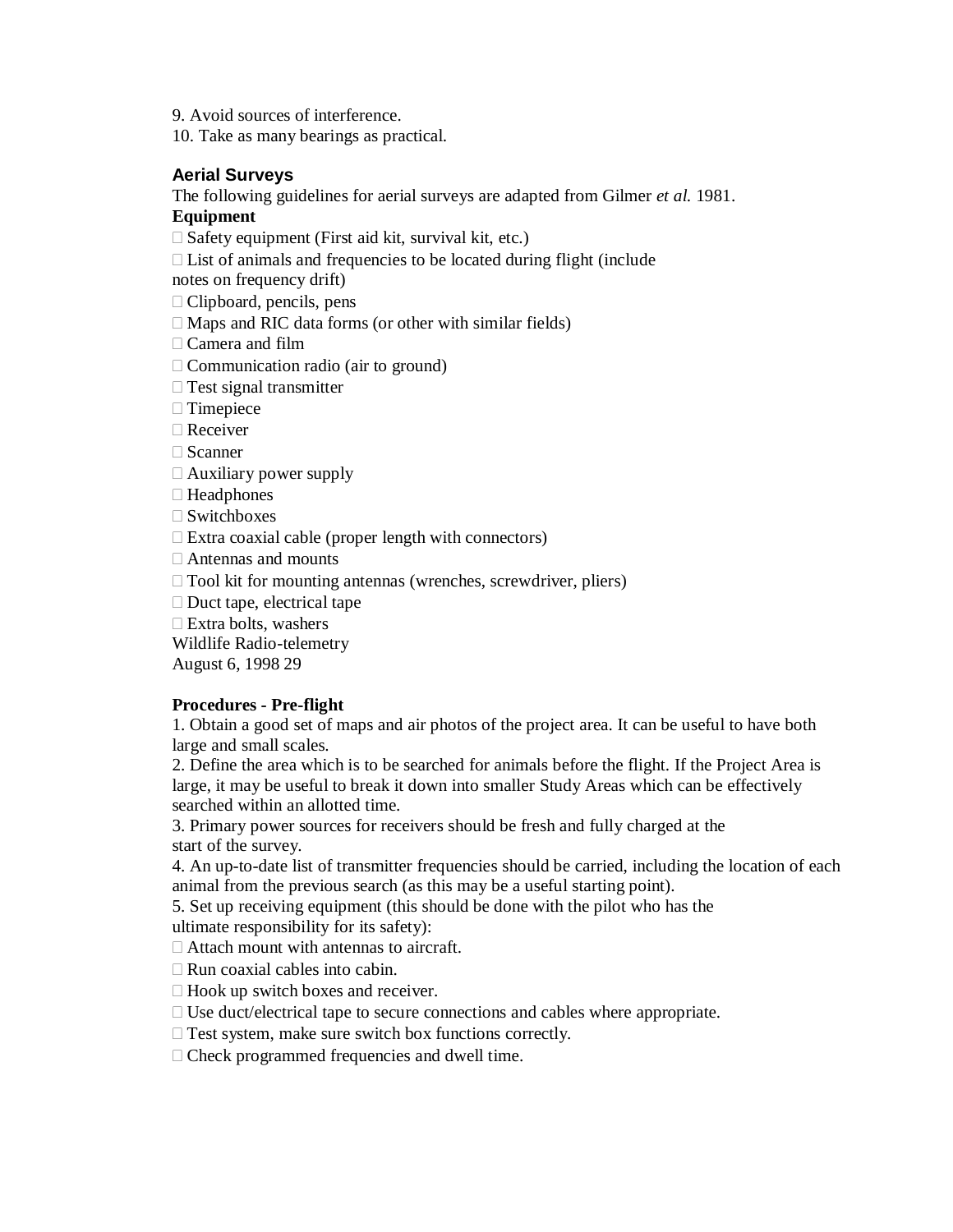9. Avoid sources of interference.

10. Take as many bearings as practical.

## **Aerial Surveys**

The following guidelines for aerial surveys are adapted from Gilmer *et al.* 1981.

## **Equipment**

 $\square$  Safety equipment (First aid kit, survival kit, etc.)

 $\Box$  List of animals and frequencies to be located during flight (include

notes on frequency drift)

 $\Box$  Clipboard, pencils, pens

 $\Box$  Maps and RIC data forms (or other with similar fields)

□ Camera and film

 $\Box$  Communication radio (air to ground)

 $\Box$  Test signal transmitter

□ Timepiece

□ Receiver

Scanner

 $\Box$  Auxiliary power supply

□ Headphones

□ Switchboxes

 $\Box$  Extra coaxial cable (proper length with connectors)

Antennas and mounts

□ Tool kit for mounting antennas (wrenches, screwdriver, pliers)

 $\Box$  Duct tape, electrical tape

Extra bolts, washers

Wildlife Radio-telemetry

August 6, 1998 29

# **Procedures - Pre-flight**

1. Obtain a good set of maps and air photos of the project area. It can be useful to have both large and small scales.

2. Define the area which is to be searched for animals before the flight. If the Project Area is large, it may be useful to break it down into smaller Study Areas which can be effectively searched within an allotted time.

3. Primary power sources for receivers should be fresh and fully charged at the start of the survey.

4. An up-to-date list of transmitter frequencies should be carried, including the location of each animal from the previous search (as this may be a useful starting point).

5. Set up receiving equipment (this should be done with the pilot who has the ultimate responsibility for its safety):

Attach mount with antennas to aircraft.

 $\Box$  Run coaxial cables into cabin.

 $\Box$  Hook up switch boxes and receiver.

 $\Box$  Use duct/electrical tape to secure connections and cables where appropriate.

 $\Box$  Test system, make sure switch box functions correctly.

 $\Box$  Check programmed frequencies and dwell time.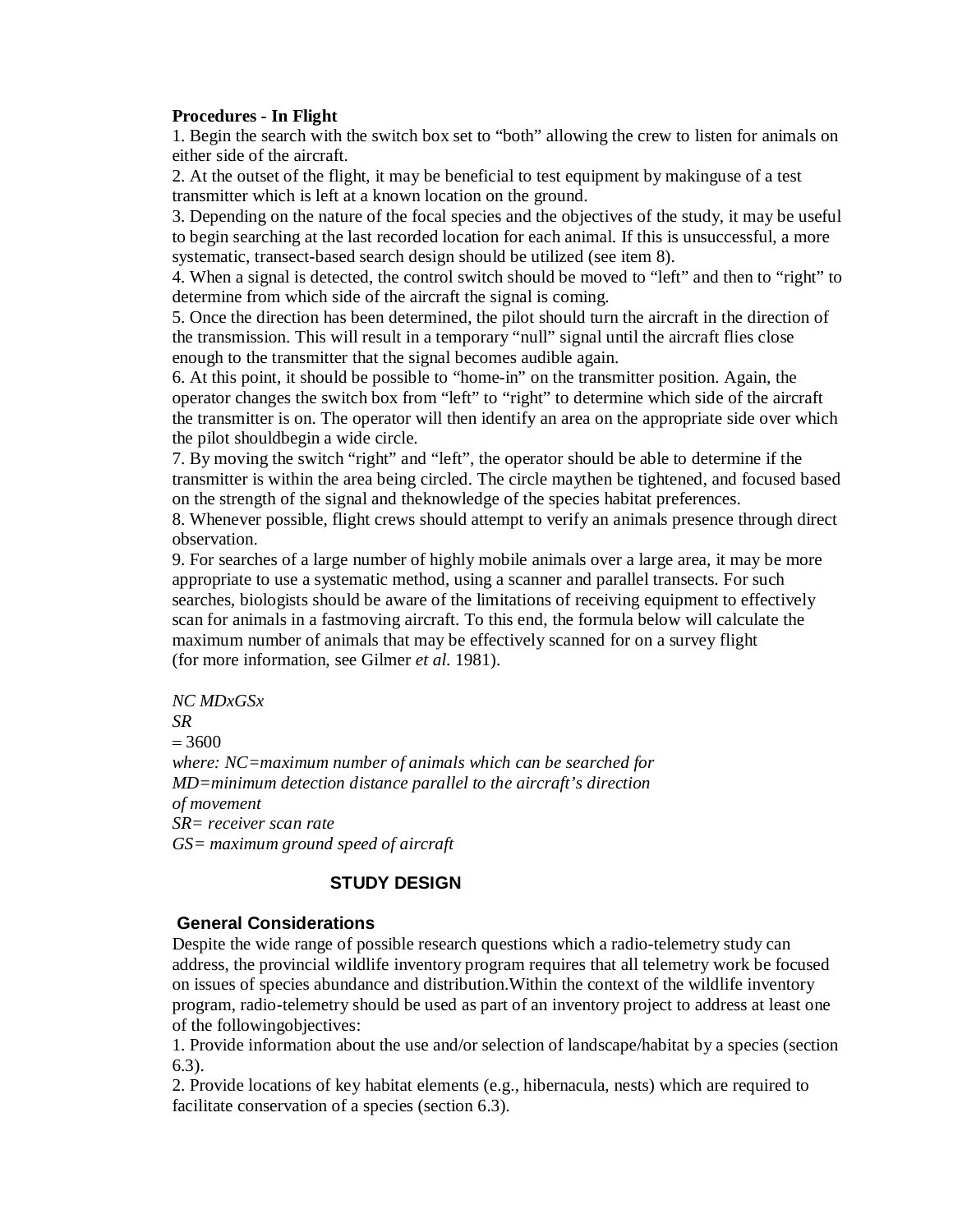## **Procedures - In Flight**

1. Begin the search with the switch box set to "both" allowing the crew to listen for animals on either side of the aircraft.

2. At the outset of the flight, it may be beneficial to test equipment by makinguse of a test transmitter which is left at a known location on the ground.

3. Depending on the nature of the focal species and the objectives of the study, it may be useful to begin searching at the last recorded location for each animal. If this is unsuccessful, a more systematic, transect-based search design should be utilized (see item 8).

4. When a signal is detected, the control switch should be moved to "left" and then to "right" to determine from which side of the aircraft the signal is coming.

5. Once the direction has been determined, the pilot should turn the aircraft in the direction of the transmission. This will result in a temporary "null" signal until the aircraft flies close enough to the transmitter that the signal becomes audible again.

6. At this point, it should be possible to "home-in" on the transmitter position. Again, the operator changes the switch box from "left" to "right" to determine which side of the aircraft the transmitter is on. The operator will then identify an area on the appropriate side over which the pilot shouldbegin a wide circle.

7. By moving the switch "right" and "left", the operator should be able to determine if the transmitter is within the area being circled. The circle maythen be tightened, and focused based on the strength of the signal and theknowledge of the species habitat preferences.

8. Whenever possible, flight crews should attempt to verify an animals presence through direct observation.

9. For searches of a large number of highly mobile animals over a large area, it may be more appropriate to use a systematic method, using a scanner and parallel transects. For such searches, biologists should be aware of the limitations of receiving equipment to effectively scan for animals in a fastmoving aircraft. To this end, the formula below will calculate the maximum number of animals that may be effectively scanned for on a survey flight (for more information, see Gilmer *et al.* 1981).

*NC MDxGSx SR*  $= 3600$ *where: NC=maximum number of animals which can be searched for MD=minimum detection distance parallel to the aircraft's direction of movement SR= receiver scan rate GS= maximum ground speed of aircraft*

# **STUDY DESIGN**

# **General Considerations**

Despite the wide range of possible research questions which a radio-telemetry study can address, the provincial wildlife inventory program requires that all telemetry work be focused on issues of species abundance and distribution.Within the context of the wildlife inventory program, radio-telemetry should be used as part of an inventory project to address at least one of the followingobjectives:

1. Provide information about the use and/or selection of landscape/habitat by a species (section 6.3).

2. Provide locations of key habitat elements (e.g., hibernacula, nests) which are required to facilitate conservation of a species (section 6.3).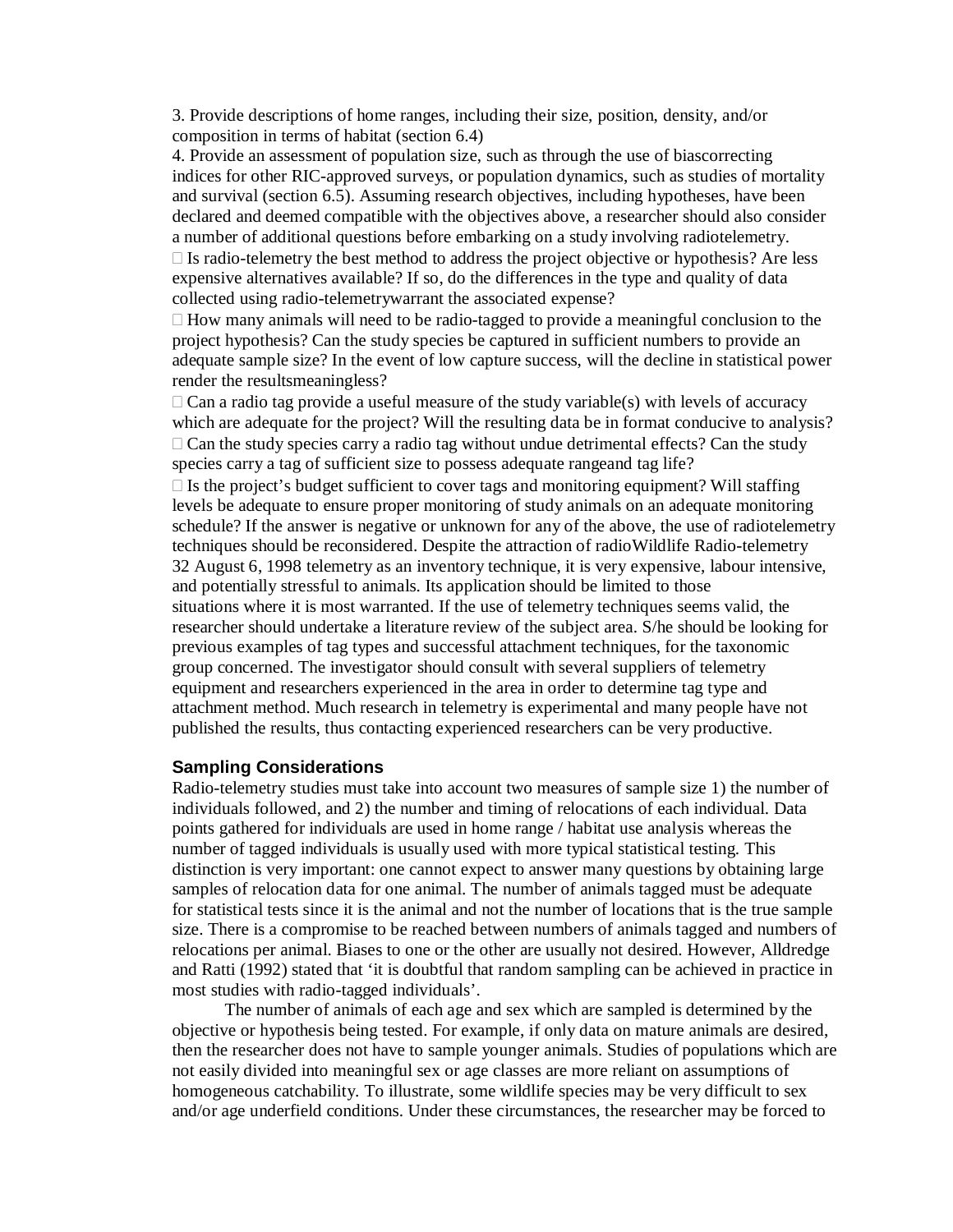3. Provide descriptions of home ranges, including their size, position, density, and/or composition in terms of habitat (section 6.4)

4. Provide an assessment of population size, such as through the use of biascorrecting indices for other RIC-approved surveys, or population dynamics, such as studies of mortality and survival (section 6.5). Assuming research objectives, including hypotheses, have been declared and deemed compatible with the objectives above, a researcher should also consider a number of additional questions before embarking on a study involving radiotelemetry.  $\Box$  Is radio-telemetry the best method to address the project objective or hypothesis? Are less expensive alternatives available? If so, do the differences in the type and quality of data collected using radio-telemetrywarrant the associated expense?

 $\Box$  How many animals will need to be radio-tagged to provide a meaningful conclusion to the project hypothesis? Can the study species be captured in sufficient numbers to provide an adequate sample size? In the event of low capture success, will the decline in statistical power render the resultsmeaningless?

 $\Box$  Can a radio tag provide a useful measure of the study variable(s) with levels of accuracy which are adequate for the project? Will the resulting data be in format conducive to analysis?  $\Box$  Can the study species carry a radio tag without undue detrimental effects? Can the study species carry a tag of sufficient size to possess adequate rangeand tag life?

 $\Box$  Is the project's budget sufficient to cover tags and monitoring equipment? Will staffing levels be adequate to ensure proper monitoring of study animals on an adequate monitoring schedule? If the answer is negative or unknown for any of the above, the use of radiotelemetry techniques should be reconsidered. Despite the attraction of radioWildlife Radio-telemetry 32 August 6, 1998 telemetry as an inventory technique, it is very expensive, labour intensive, and potentially stressful to animals. Its application should be limited to those situations where it is most warranted. If the use of telemetry techniques seems valid, the researcher should undertake a literature review of the subject area. S/he should be looking for previous examples of tag types and successful attachment techniques, for the taxonomic group concerned. The investigator should consult with several suppliers of telemetry equipment and researchers experienced in the area in order to determine tag type and attachment method. Much research in telemetry is experimental and many people have not published the results, thus contacting experienced researchers can be very productive.

#### **Sampling Considerations**

Radio-telemetry studies must take into account two measures of sample size 1) the number of individuals followed, and 2) the number and timing of relocations of each individual. Data points gathered for individuals are used in home range / habitat use analysis whereas the number of tagged individuals is usually used with more typical statistical testing. This distinction is very important: one cannot expect to answer many questions by obtaining large samples of relocation data for one animal. The number of animals tagged must be adequate for statistical tests since it is the animal and not the number of locations that is the true sample size. There is a compromise to be reached between numbers of animals tagged and numbers of relocations per animal. Biases to one or the other are usually not desired. However, Alldredge and Ratti (1992) stated that 'it is doubtful that random sampling can be achieved in practice in most studies with radio-tagged individuals'.

The number of animals of each age and sex which are sampled is determined by the objective or hypothesis being tested. For example, if only data on mature animals are desired, then the researcher does not have to sample younger animals. Studies of populations which are not easily divided into meaningful sex or age classes are more reliant on assumptions of homogeneous catchability. To illustrate, some wildlife species may be very difficult to sex and/or age underfield conditions. Under these circumstances, the researcher may be forced to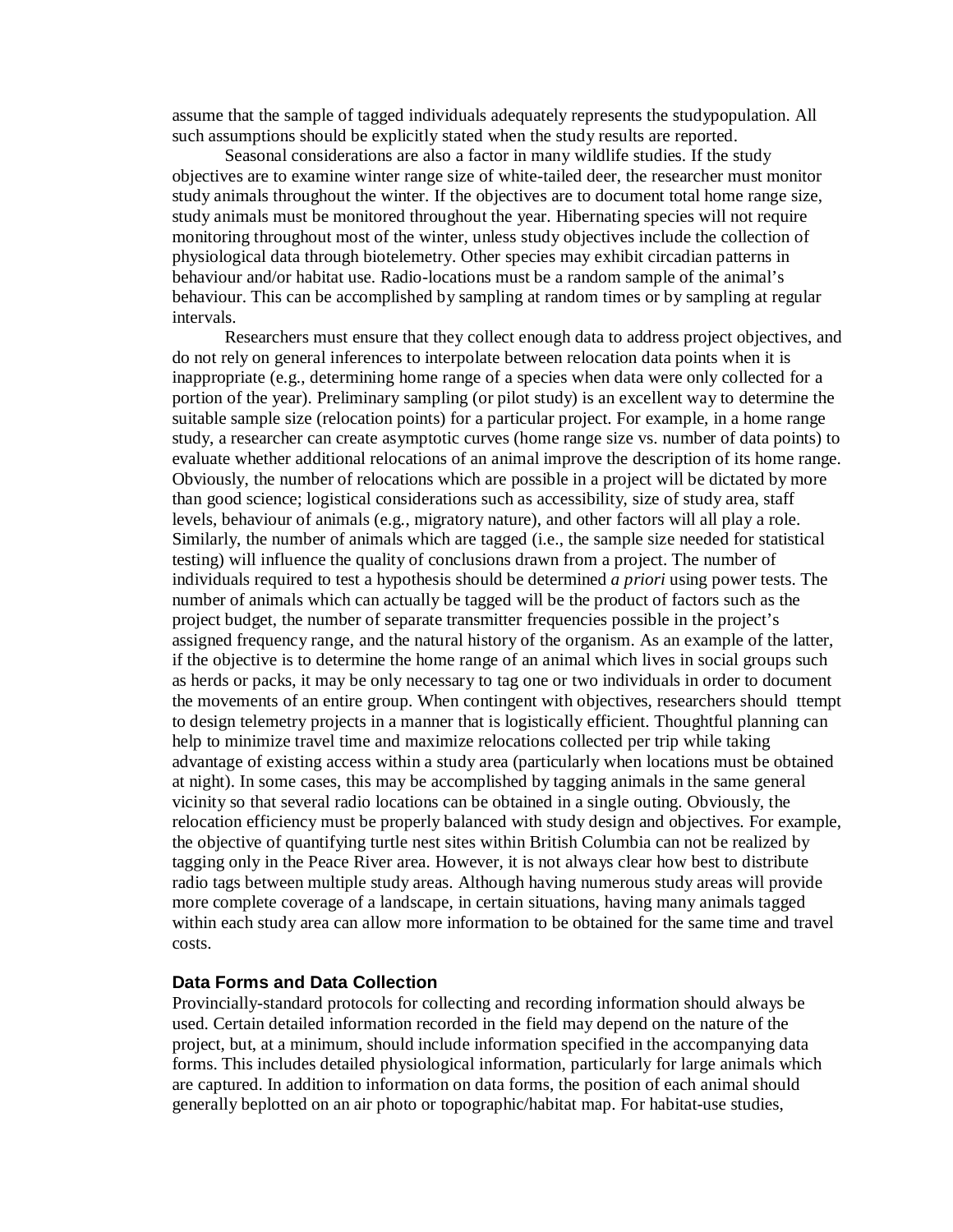assume that the sample of tagged individuals adequately represents the studypopulation. All such assumptions should be explicitly stated when the study results are reported.

Seasonal considerations are also a factor in many wildlife studies. If the study objectives are to examine winter range size of white-tailed deer, the researcher must monitor study animals throughout the winter. If the objectives are to document total home range size, study animals must be monitored throughout the year. Hibernating species will not require monitoring throughout most of the winter, unless study objectives include the collection of physiological data through biotelemetry. Other species may exhibit circadian patterns in behaviour and/or habitat use. Radio-locations must be a random sample of the animal's behaviour. This can be accomplished by sampling at random times or by sampling at regular intervals.

Researchers must ensure that they collect enough data to address project objectives, and do not rely on general inferences to interpolate between relocation data points when it is inappropriate (e.g., determining home range of a species when data were only collected for a portion of the year). Preliminary sampling (or pilot study) is an excellent way to determine the suitable sample size (relocation points) for a particular project. For example, in a home range study, a researcher can create asymptotic curves (home range size vs. number of data points) to evaluate whether additional relocations of an animal improve the description of its home range. Obviously, the number of relocations which are possible in a project will be dictated by more than good science; logistical considerations such as accessibility, size of study area, staff levels, behaviour of animals (e.g., migratory nature), and other factors will all play a role. Similarly, the number of animals which are tagged (i.e., the sample size needed for statistical testing) will influence the quality of conclusions drawn from a project. The number of individuals required to test a hypothesis should be determined *a priori* using power tests. The number of animals which can actually be tagged will be the product of factors such as the project budget, the number of separate transmitter frequencies possible in the project's assigned frequency range, and the natural history of the organism. As an example of the latter, if the objective is to determine the home range of an animal which lives in social groups such as herds or packs, it may be only necessary to tag one or two individuals in order to document the movements of an entire group. When contingent with objectives, researchers should ttempt to design telemetry projects in a manner that is logistically efficient. Thoughtful planning can help to minimize travel time and maximize relocations collected per trip while taking advantage of existing access within a study area (particularly when locations must be obtained at night). In some cases, this may be accomplished by tagging animals in the same general vicinity so that several radio locations can be obtained in a single outing. Obviously, the relocation efficiency must be properly balanced with study design and objectives. For example, the objective of quantifying turtle nest sites within British Columbia can not be realized by tagging only in the Peace River area. However, it is not always clear how best to distribute radio tags between multiple study areas. Although having numerous study areas will provide more complete coverage of a landscape, in certain situations, having many animals tagged within each study area can allow more information to be obtained for the same time and travel costs.

## **Data Forms and Data Collection**

Provincially-standard protocols for collecting and recording information should always be used. Certain detailed information recorded in the field may depend on the nature of the project, but, at a minimum, should include information specified in the accompanying data forms. This includes detailed physiological information, particularly for large animals which are captured. In addition to information on data forms, the position of each animal should generally beplotted on an air photo or topographic/habitat map. For habitat-use studies,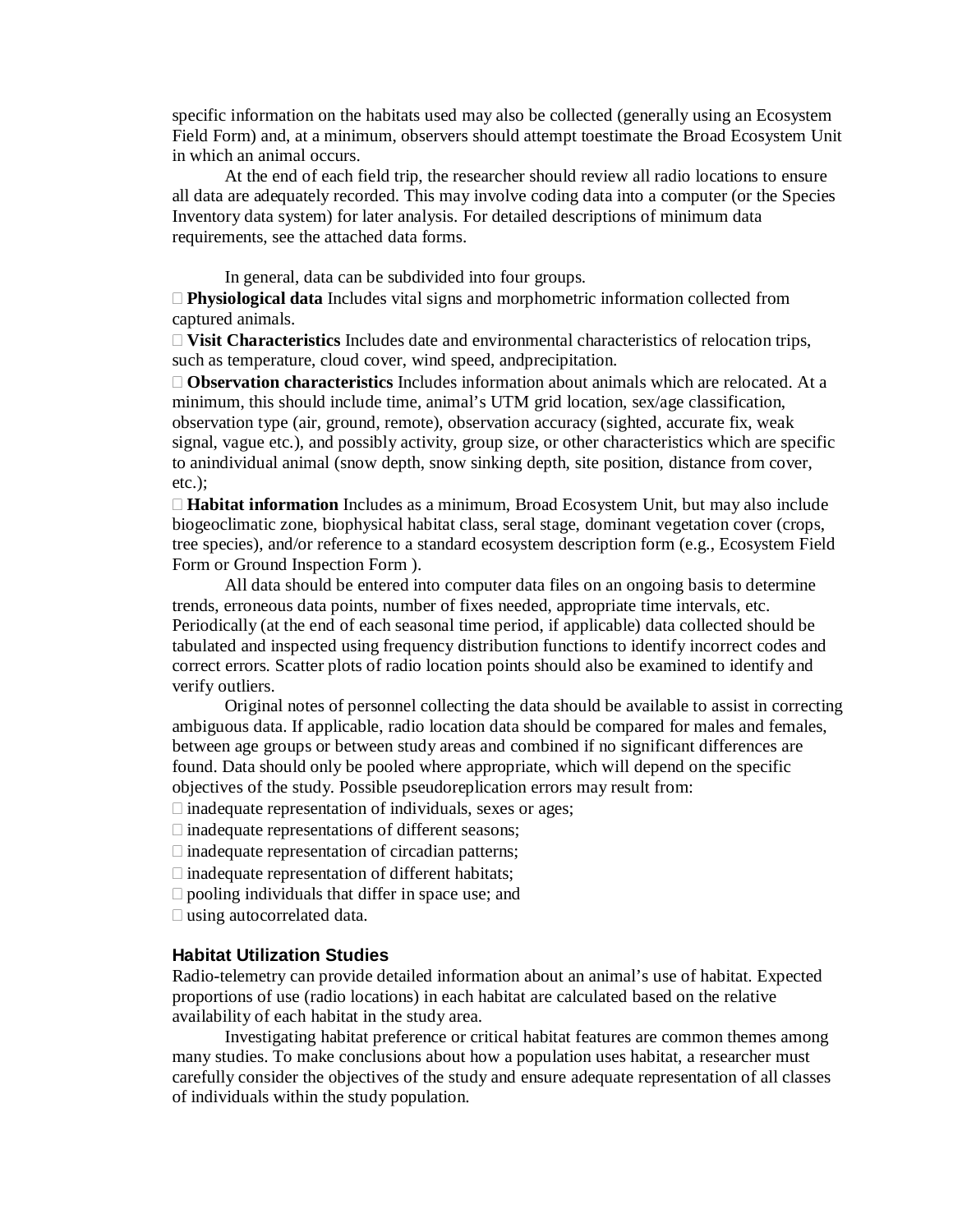specific information on the habitats used may also be collected (generally using an Ecosystem Field Form) and, at a minimum, observers should attempt toestimate the Broad Ecosystem Unit in which an animal occurs.

At the end of each field trip, the researcher should review all radio locations to ensure all data are adequately recorded. This may involve coding data into a computer (or the Species Inventory data system) for later analysis. For detailed descriptions of minimum data requirements, see the attached data forms.

In general, data can be subdivided into four groups.

**Physiological data** Includes vital signs and morphometric information collected from captured animals.

**Visit Characteristics** Includes date and environmental characteristics of relocation trips, such as temperature, cloud cover, wind speed, andprecipitation.

**Observation characteristics** Includes information about animals which are relocated. At a minimum, this should include time, animal's UTM grid location, sex/age classification, observation type (air, ground, remote), observation accuracy (sighted, accurate fix, weak signal, vague etc.), and possibly activity, group size, or other characteristics which are specific to anindividual animal (snow depth, snow sinking depth, site position, distance from cover, etc.);

**Habitat information** Includes as a minimum, Broad Ecosystem Unit, but may also include biogeoclimatic zone, biophysical habitat class, seral stage, dominant vegetation cover (crops, tree species), and/or reference to a standard ecosystem description form (e.g., Ecosystem Field Form or Ground Inspection Form ).

All data should be entered into computer data files on an ongoing basis to determine trends, erroneous data points, number of fixes needed, appropriate time intervals, etc. Periodically (at the end of each seasonal time period, if applicable) data collected should be tabulated and inspected using frequency distribution functions to identify incorrect codes and correct errors. Scatter plots of radio location points should also be examined to identify and verify outliers.

Original notes of personnel collecting the data should be available to assist in correcting ambiguous data. If applicable, radio location data should be compared for males and females, between age groups or between study areas and combined if no significant differences are found. Data should only be pooled where appropriate, which will depend on the specific objectives of the study. Possible pseudoreplication errors may result from:

 $\Box$  inadequate representation of individuals, sexes or ages;

 $\Box$  inadequate representations of different seasons;

 $\Box$  inadequate representation of circadian patterns;

 $\Box$  inadequate representation of different habitats;

 $\Box$  pooling individuals that differ in space use; and

 $\square$  using autocorrelated data.

## **Habitat Utilization Studies**

Radio-telemetry can provide detailed information about an animal's use of habitat. Expected proportions of use (radio locations) in each habitat are calculated based on the relative availability of each habitat in the study area.

Investigating habitat preference or critical habitat features are common themes among many studies. To make conclusions about how a population uses habitat, a researcher must carefully consider the objectives of the study and ensure adequate representation of all classes of individuals within the study population.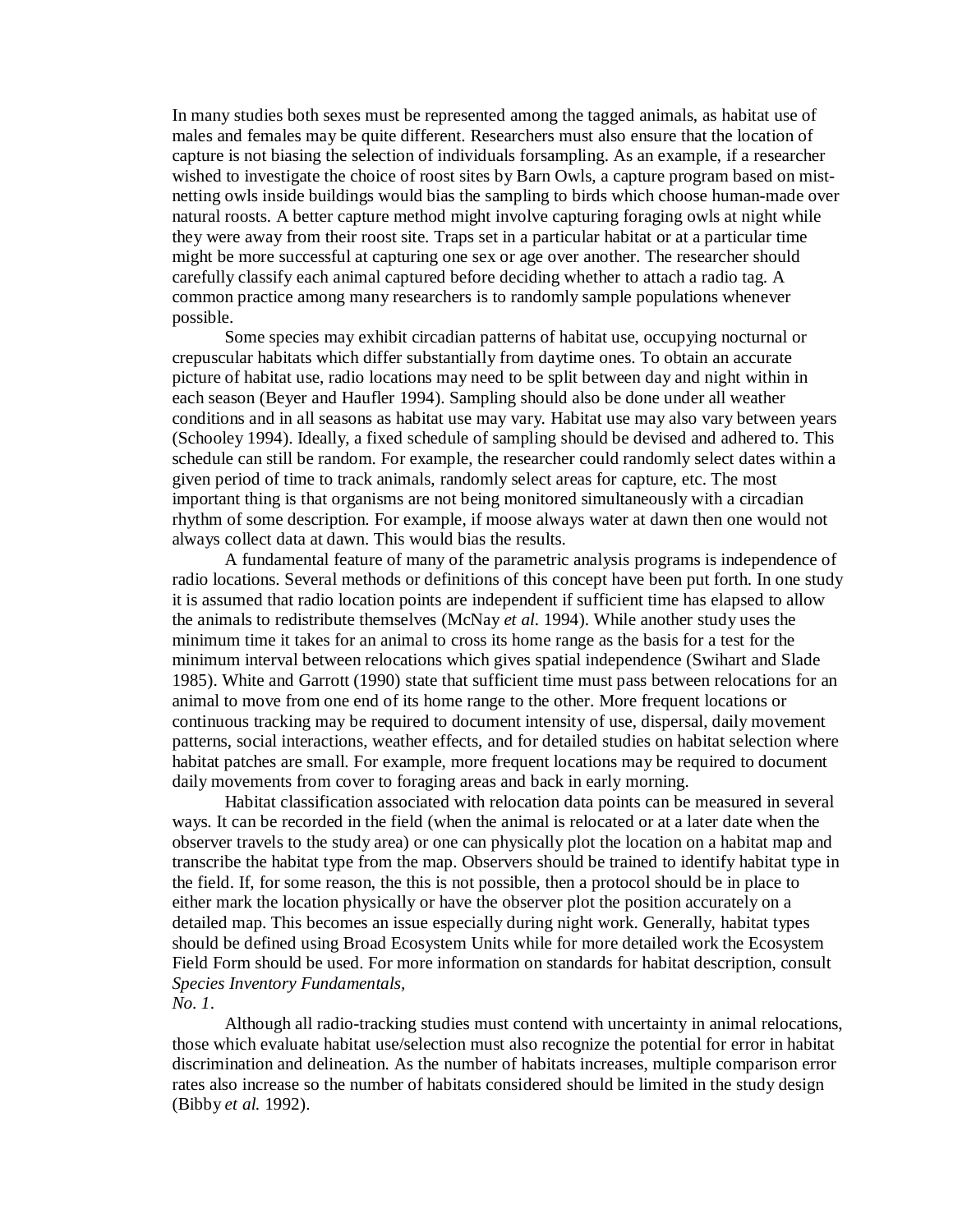In many studies both sexes must be represented among the tagged animals, as habitat use of males and females may be quite different. Researchers must also ensure that the location of capture is not biasing the selection of individuals forsampling. As an example, if a researcher wished to investigate the choice of roost sites by Barn Owls, a capture program based on mistnetting owls inside buildings would bias the sampling to birds which choose human-made over natural roosts. A better capture method might involve capturing foraging owls at night while they were away from their roost site. Traps set in a particular habitat or at a particular time might be more successful at capturing one sex or age over another. The researcher should carefully classify each animal captured before deciding whether to attach a radio tag. A common practice among many researchers is to randomly sample populations whenever possible.

Some species may exhibit circadian patterns of habitat use, occupying nocturnal or crepuscular habitats which differ substantially from daytime ones. To obtain an accurate picture of habitat use, radio locations may need to be split between day and night within in each season (Beyer and Haufler 1994). Sampling should also be done under all weather conditions and in all seasons as habitat use may vary. Habitat use may also vary between years (Schooley 1994). Ideally, a fixed schedule of sampling should be devised and adhered to. This schedule can still be random. For example, the researcher could randomly select dates within a given period of time to track animals, randomly select areas for capture, etc. The most important thing is that organisms are not being monitored simultaneously with a circadian rhythm of some description. For example, if moose always water at dawn then one would not always collect data at dawn. This would bias the results.

A fundamental feature of many of the parametric analysis programs is independence of radio locations. Several methods or definitions of this concept have been put forth. In one study it is assumed that radio location points are independent if sufficient time has elapsed to allow the animals to redistribute themselves (McNay *et al.* 1994). While another study uses the minimum time it takes for an animal to cross its home range as the basis for a test for the minimum interval between relocations which gives spatial independence (Swihart and Slade 1985). White and Garrott (1990) state that sufficient time must pass between relocations for an animal to move from one end of its home range to the other. More frequent locations or continuous tracking may be required to document intensity of use, dispersal, daily movement patterns, social interactions, weather effects, and for detailed studies on habitat selection where habitat patches are small. For example, more frequent locations may be required to document daily movements from cover to foraging areas and back in early morning.

Habitat classification associated with relocation data points can be measured in several ways. It can be recorded in the field (when the animal is relocated or at a later date when the observer travels to the study area) or one can physically plot the location on a habitat map and transcribe the habitat type from the map. Observers should be trained to identify habitat type in the field. If, for some reason, the this is not possible, then a protocol should be in place to either mark the location physically or have the observer plot the position accurately on a detailed map. This becomes an issue especially during night work. Generally, habitat types should be defined using Broad Ecosystem Units while for more detailed work the Ecosystem Field Form should be used. For more information on standards for habitat description, consult *Species Inventory Fundamentals, No. 1*.

Although all radio-tracking studies must contend with uncertainty in animal relocations, those which evaluate habitat use/selection must also recognize the potential for error in habitat discrimination and delineation. As the number of habitats increases, multiple comparison error rates also increase so the number of habitats considered should be limited in the study design (Bibby *et al.* 1992).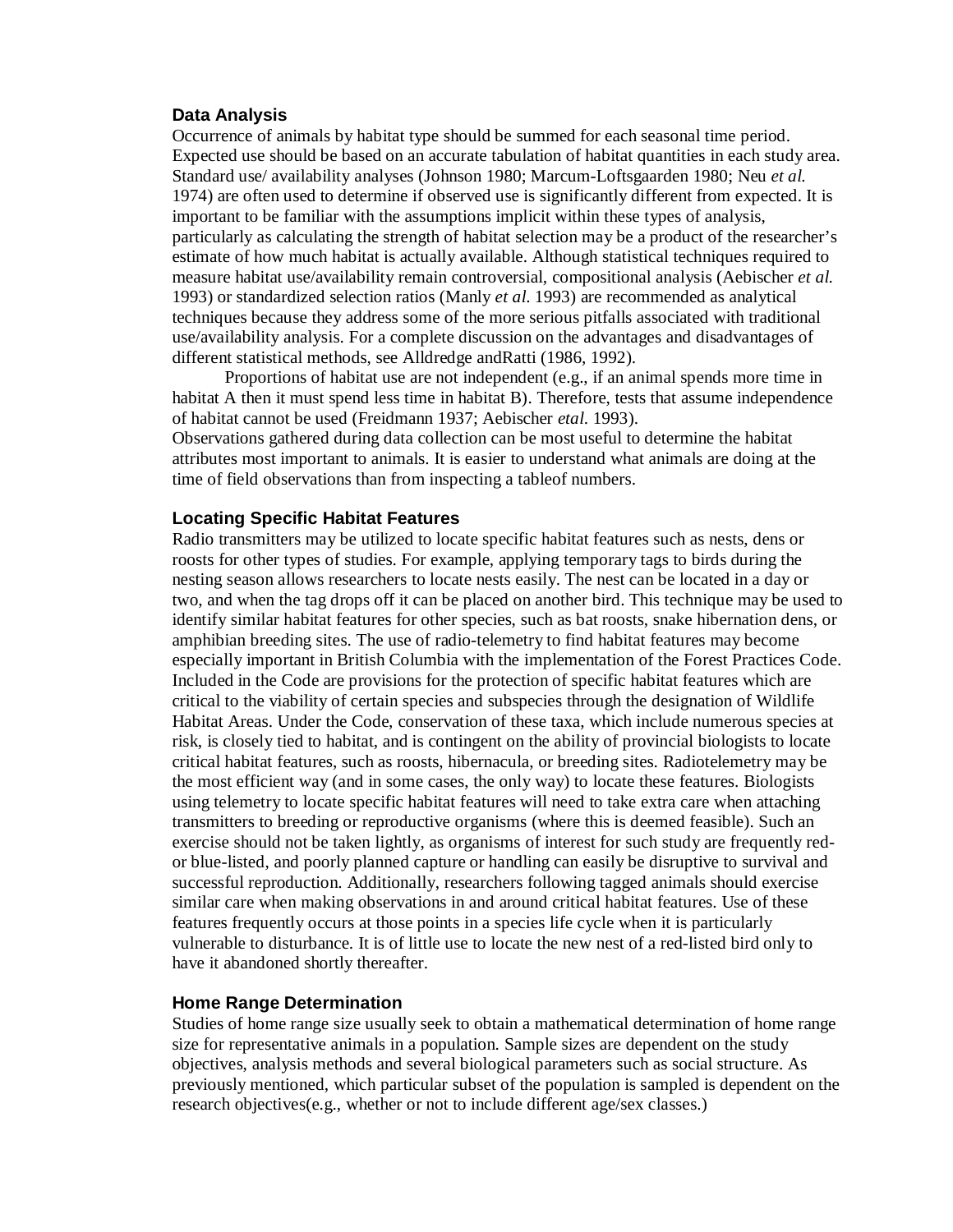## **Data Analysis**

Occurrence of animals by habitat type should be summed for each seasonal time period. Expected use should be based on an accurate tabulation of habitat quantities in each study area. Standard use/ availability analyses (Johnson 1980; Marcum-Loftsgaarden 1980; Neu *et al.*  1974) are often used to determine if observed use is significantly different from expected. It is important to be familiar with the assumptions implicit within these types of analysis, particularly as calculating the strength of habitat selection may be a product of the researcher's estimate of how much habitat is actually available. Although statistical techniques required to measure habitat use/availability remain controversial, compositional analysis (Aebischer *et al.*  1993) or standardized selection ratios (Manly *et al.* 1993) are recommended as analytical techniques because they address some of the more serious pitfalls associated with traditional use/availability analysis. For a complete discussion on the advantages and disadvantages of different statistical methods, see Alldredge andRatti (1986, 1992).

Proportions of habitat use are not independent (e.g., if an animal spends more time in habitat A then it must spend less time in habitat B). Therefore, tests that assume independence of habitat cannot be used (Freidmann 1937; Aebischer *etal.* 1993). Observations gathered during data collection can be most useful to determine the habitat

attributes most important to animals. It is easier to understand what animals are doing at the time of field observations than from inspecting a tableof numbers.

## **Locating Specific Habitat Features**

Radio transmitters may be utilized to locate specific habitat features such as nests, dens or roosts for other types of studies. For example, applying temporary tags to birds during the nesting season allows researchers to locate nests easily. The nest can be located in a day or two, and when the tag drops off it can be placed on another bird. This technique may be used to identify similar habitat features for other species, such as bat roosts, snake hibernation dens, or amphibian breeding sites. The use of radio-telemetry to find habitat features may become especially important in British Columbia with the implementation of the Forest Practices Code. Included in the Code are provisions for the protection of specific habitat features which are critical to the viability of certain species and subspecies through the designation of Wildlife Habitat Areas. Under the Code, conservation of these taxa, which include numerous species at risk, is closely tied to habitat, and is contingent on the ability of provincial biologists to locate critical habitat features, such as roosts, hibernacula, or breeding sites. Radiotelemetry may be the most efficient way (and in some cases, the only way) to locate these features. Biologists using telemetry to locate specific habitat features will need to take extra care when attaching transmitters to breeding or reproductive organisms (where this is deemed feasible). Such an exercise should not be taken lightly, as organisms of interest for such study are frequently redor blue-listed, and poorly planned capture or handling can easily be disruptive to survival and successful reproduction. Additionally, researchers following tagged animals should exercise similar care when making observations in and around critical habitat features. Use of these features frequently occurs at those points in a species life cycle when it is particularly vulnerable to disturbance. It is of little use to locate the new nest of a red-listed bird only to have it abandoned shortly thereafter.

## **Home Range Determination**

Studies of home range size usually seek to obtain a mathematical determination of home range size for representative animals in a population. Sample sizes are dependent on the study objectives, analysis methods and several biological parameters such as social structure. As previously mentioned, which particular subset of the population is sampled is dependent on the research objectives(e.g., whether or not to include different age/sex classes.)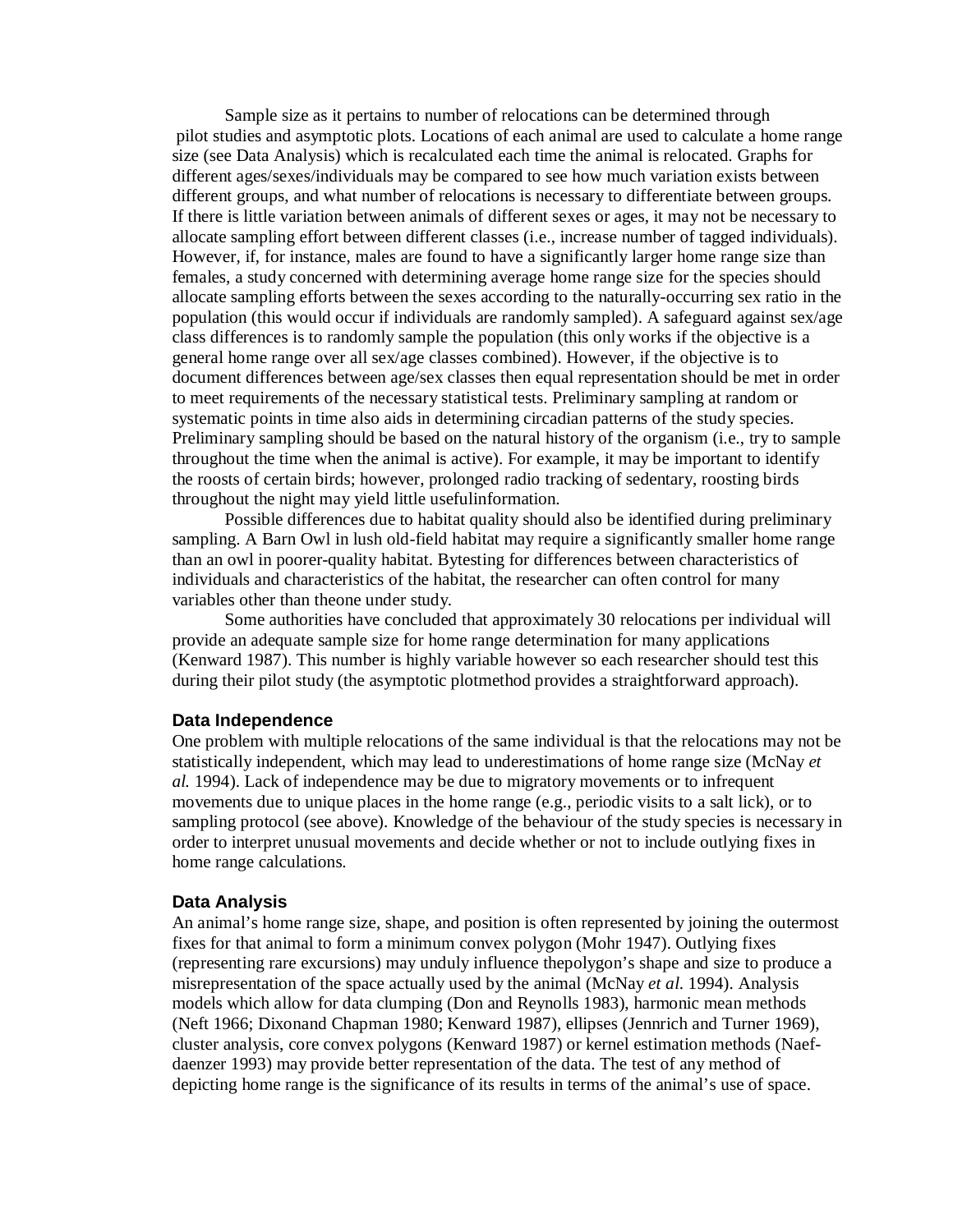Sample size as it pertains to number of relocations can be determined through pilot studies and asymptotic plots. Locations of each animal are used to calculate a home range size (see Data Analysis) which is recalculated each time the animal is relocated. Graphs for different ages/sexes/individuals may be compared to see how much variation exists between different groups, and what number of relocations is necessary to differentiate between groups. If there is little variation between animals of different sexes or ages, it may not be necessary to allocate sampling effort between different classes (i.e., increase number of tagged individuals). However, if, for instance, males are found to have a significantly larger home range size than females, a study concerned with determining average home range size for the species should allocate sampling efforts between the sexes according to the naturally-occurring sex ratio in the population (this would occur if individuals are randomly sampled). A safeguard against sex/age class differences is to randomly sample the population (this only works if the objective is a general home range over all sex/age classes combined). However, if the objective is to document differences between age/sex classes then equal representation should be met in order to meet requirements of the necessary statistical tests. Preliminary sampling at random or systematic points in time also aids in determining circadian patterns of the study species. Preliminary sampling should be based on the natural history of the organism (i.e., try to sample throughout the time when the animal is active). For example, it may be important to identify the roosts of certain birds; however, prolonged radio tracking of sedentary, roosting birds throughout the night may yield little usefulinformation.

Possible differences due to habitat quality should also be identified during preliminary sampling. A Barn Owl in lush old-field habitat may require a significantly smaller home range than an owl in poorer-quality habitat. Bytesting for differences between characteristics of individuals and characteristics of the habitat, the researcher can often control for many variables other than theone under study.

Some authorities have concluded that approximately 30 relocations per individual will provide an adequate sample size for home range determination for many applications (Kenward 1987). This number is highly variable however so each researcher should test this during their pilot study (the asymptotic plotmethod provides a straightforward approach).

#### **Data Independence**

One problem with multiple relocations of the same individual is that the relocations may not be statistically independent, which may lead to underestimations of home range size (McNay *et al.* 1994). Lack of independence may be due to migratory movements or to infrequent movements due to unique places in the home range (e.g., periodic visits to a salt lick), or to sampling protocol (see above). Knowledge of the behaviour of the study species is necessary in order to interpret unusual movements and decide whether or not to include outlying fixes in home range calculations.

## **Data Analysis**

An animal's home range size, shape, and position is often represented by joining the outermost fixes for that animal to form a minimum convex polygon (Mohr 1947). Outlying fixes (representing rare excursions) may unduly influence thepolygon's shape and size to produce a misrepresentation of the space actually used by the animal (McNay *et al.* 1994). Analysis models which allow for data clumping (Don and Reynolls 1983), harmonic mean methods (Neft 1966; Dixonand Chapman 1980; Kenward 1987), ellipses (Jennrich and Turner 1969), cluster analysis, core convex polygons (Kenward 1987) or kernel estimation methods (Naefdaenzer 1993) may provide better representation of the data. The test of any method of depicting home range is the significance of its results in terms of the animal's use of space.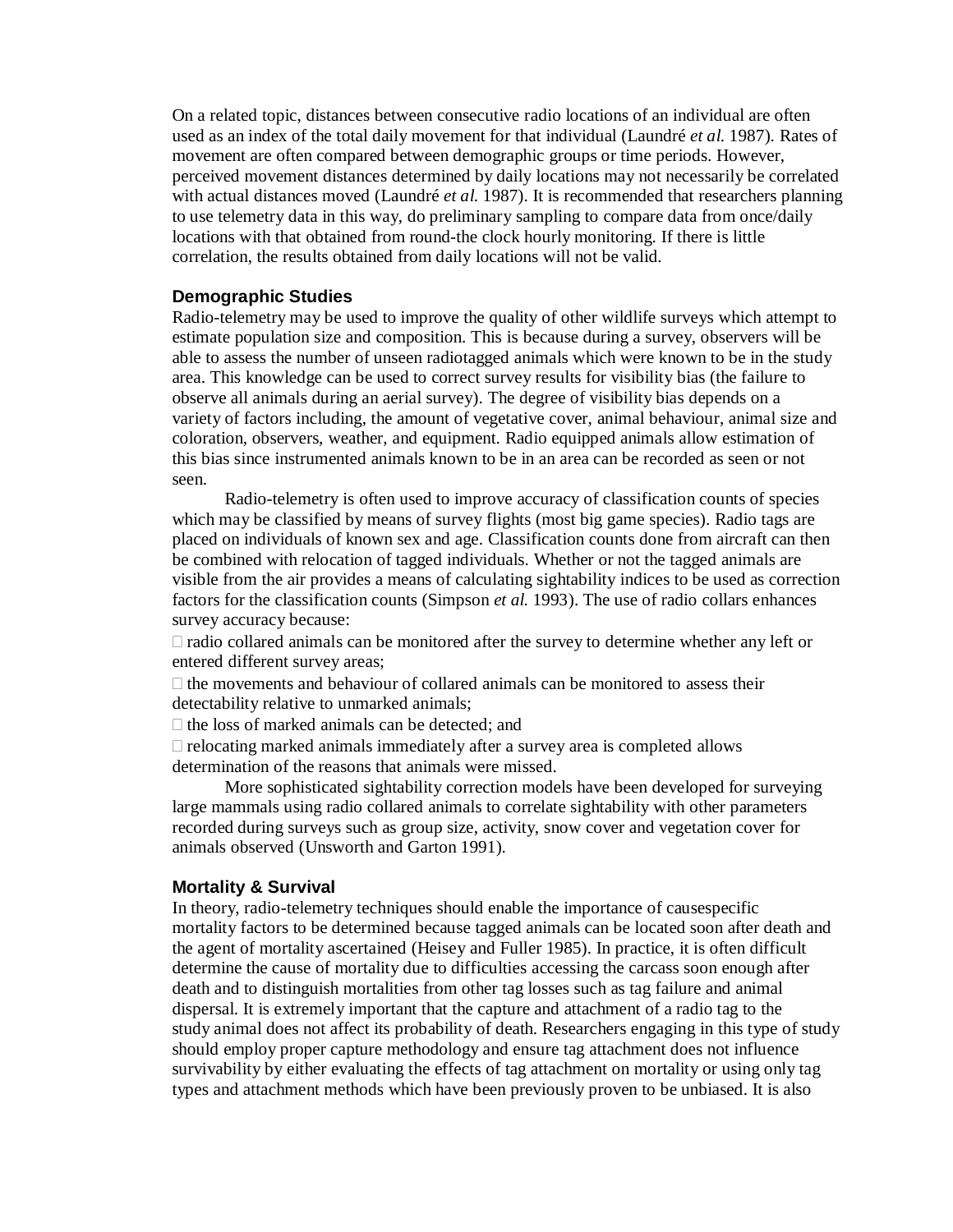On a related topic, distances between consecutive radio locations of an individual are often used as an index of the total daily movement for that individual (Laundré *et al.* 1987). Rates of movement are often compared between demographic groups or time periods. However, perceived movement distances determined by daily locations may not necessarily be correlated with actual distances moved (Laundré *et al.* 1987). It is recommended that researchers planning to use telemetry data in this way, do preliminary sampling to compare data from once/daily locations with that obtained from round-the clock hourly monitoring. If there is little correlation, the results obtained from daily locations will not be valid.

## **Demographic Studies**

Radio-telemetry may be used to improve the quality of other wildlife surveys which attempt to estimate population size and composition. This is because during a survey, observers will be able to assess the number of unseen radiotagged animals which were known to be in the study area. This knowledge can be used to correct survey results for visibility bias (the failure to observe all animals during an aerial survey). The degree of visibility bias depends on a variety of factors including, the amount of vegetative cover, animal behaviour, animal size and coloration, observers, weather, and equipment. Radio equipped animals allow estimation of this bias since instrumented animals known to be in an area can be recorded as seen or not seen.

Radio-telemetry is often used to improve accuracy of classification counts of species which may be classified by means of survey flights (most big game species). Radio tags are placed on individuals of known sex and age. Classification counts done from aircraft can then be combined with relocation of tagged individuals. Whether or not the tagged animals are visible from the air provides a means of calculating sightability indices to be used as correction factors for the classification counts (Simpson *et al.* 1993). The use of radio collars enhances survey accuracy because:

 $\Box$  radio collared animals can be monitored after the survey to determine whether any left or entered different survey areas;

 $\Box$  the movements and behaviour of collared animals can be monitored to assess their detectability relative to unmarked animals;

 $\Box$  the loss of marked animals can be detected; and

 $\Box$  relocating marked animals immediately after a survey area is completed allows determination of the reasons that animals were missed.

More sophisticated sightability correction models have been developed for surveying large mammals using radio collared animals to correlate sightability with other parameters recorded during surveys such as group size, activity, snow cover and vegetation cover for animals observed (Unsworth and Garton 1991).

## **Mortality & Survival**

In theory, radio-telemetry techniques should enable the importance of causespecific mortality factors to be determined because tagged animals can be located soon after death and the agent of mortality ascertained (Heisey and Fuller 1985). In practice, it is often difficult determine the cause of mortality due to difficulties accessing the carcass soon enough after death and to distinguish mortalities from other tag losses such as tag failure and animal dispersal. It is extremely important that the capture and attachment of a radio tag to the study animal does not affect its probability of death. Researchers engaging in this type of study should employ proper capture methodology and ensure tag attachment does not influence survivability by either evaluating the effects of tag attachment on mortality or using only tag types and attachment methods which have been previously proven to be unbiased. It is also